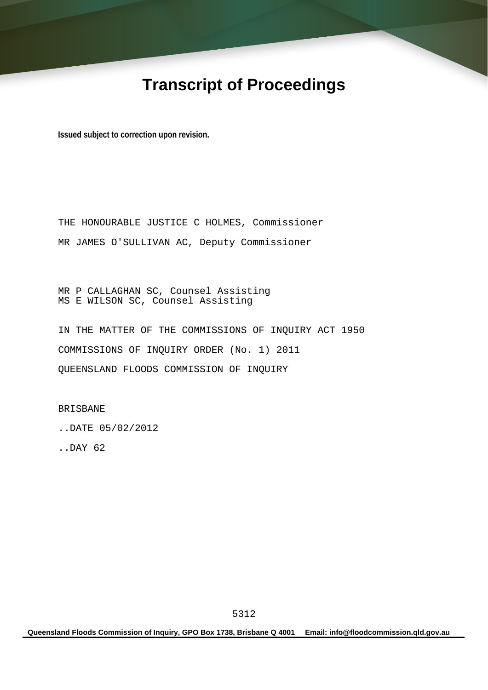# **Transcript of Proceedings**

**Issued subject to correction upon revision.** 

THE HONOURABLE JUSTICE C HOLMES, Commissioner MR JAMES O'SULLIVAN AC, Deputy Commissioner

MR P CALLAGHAN SC, Counsel Assisting MS E WILSON SC, Counsel Assisting

IN THE MATTER OF THE COMMISSIONS OF INQUIRY ACT 1950 COMMISSIONS OF INQUIRY ORDER (No. 1) 2011 QUEENSLAND FLOODS COMMISSION OF INQUIRY

BRISBANE

..DATE 05/02/2012

..DAY 62

**Queensland Floods Commission of Inquiry, GPO Box 1738, Brisbane Q 4001 Email: info@floodcommission.qld.gov.au**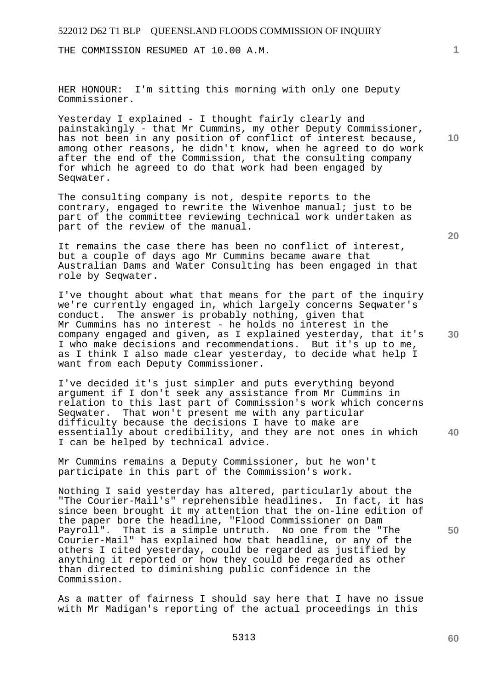THE COMMISSION RESUMED AT 10.00 A.M.

HER HONOUR: I'm sitting this morning with only one Deputy Commissioner.

Yesterday I explained - I thought fairly clearly and painstakingly - that Mr Cummins, my other Deputy Commissioner, has not been in any position of conflict of interest because, among other reasons, he didn't know, when he agreed to do work after the end of the Commission, that the consulting company for which he agreed to do that work had been engaged by Seqwater.

The consulting company is not, despite reports to the contrary, engaged to rewrite the Wivenhoe manual; just to be part of the committee reviewing technical work undertaken as part of the review of the manual.

It remains the case there has been no conflict of interest, but a couple of days ago Mr Cummins became aware that Australian Dams and Water Consulting has been engaged in that role by Seqwater.

I've thought about what that means for the part of the inquiry we're currently engaged in, which largely concerns Seqwater's conduct. The answer is probably nothing, given that Mr Cummins has no interest - he holds no interest in the company engaged and given, as I explained yesterday, that it's I who make decisions and recommendations. But it's up to me, as I think I also made clear yesterday, to decide what help I want from each Deputy Commissioner.

**40**  I've decided it's just simpler and puts everything beyond argument if I don't seek any assistance from Mr Cummins in relation to this last part of Commission's work which concerns Seqwater. That won't present me with any particular difficulty because the decisions I have to make are essentially about credibility, and they are not ones in which I can be helped by technical advice.

Mr Cummins remains a Deputy Commissioner, but he won't participate in this part of the Commission's work.

Nothing I said yesterday has altered, particularly about the "The Courier-Mail's" reprehensible headlines. In fact, it has since been brought it my attention that the on-line edition of the paper bore the headline, "Flood Commissioner on Dam Payroll". That is a simple untruth. No one from the "The Courier-Mail" has explained how that headline, or any of the others I cited yesterday, could be regarded as justified by anything it reported or how they could be regarded as other than directed to diminishing public confidence in the Commission.

As a matter of fairness I should say here that I have no issue with Mr Madigan's reporting of the actual proceedings in this

**20** 

**10** 

**1**

**50**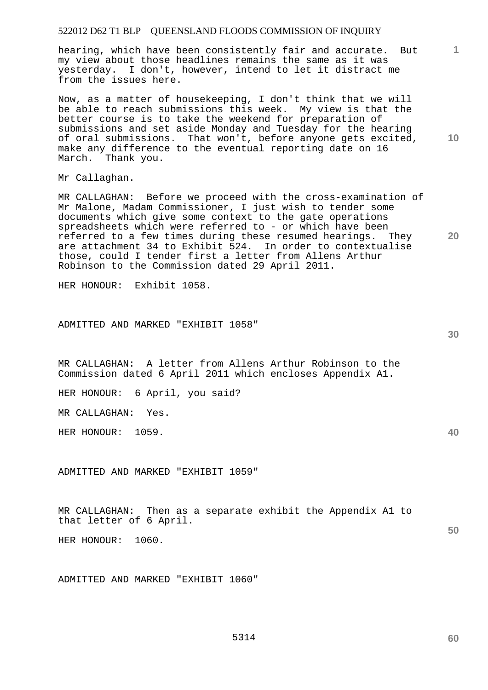hearing, which have been consistently fair and accurate. But my view about those headlines remains the same as it was yesterday. I don't, however, intend to let it distract me from the issues here.

Now, as a matter of housekeeping, I don't think that we will be able to reach submissions this week. My view is that the better course is to take the weekend for preparation of submissions and set aside Monday and Tuesday for the hearing of oral submissions. That won't, before anyone gets excited, make any difference to the eventual reporting date on 16 March. Thank you.

Mr Callaghan.

MR CALLAGHAN: Before we proceed with the cross-examination of Mr Malone, Madam Commissioner, I just wish to tender some documents which give some context to the gate operations spreadsheets which were referred to - or which have been<br>referred to a few times during these resumed hearings. They referred to a few times during these resumed hearings. are attachment 34 to Exhibit 524. In order to contextualise those, could I tender first a letter from Allens Arthur Robinson to the Commission dated 29 April 2011.

HER HONOUR: Exhibit 1058.

ADMITTED AND MARKED "EXHIBIT 1058"

MR CALLAGHAN: A letter from Allens Arthur Robinson to the Commission dated 6 April 2011 which encloses Appendix A1.

HER HONOUR: 6 April, you said?

MR CALLAGHAN: Yes.

HER HONOUR: 1059.

ADMITTED AND MARKED "EXHIBIT 1059"

MR CALLAGHAN: Then as a separate exhibit the Appendix A1 to that letter of 6 April.

HER HONOUR: 1060.

ADMITTED AND MARKED "EXHIBIT 1060"

**40** 

**60** 

**10** 

**1**

**20**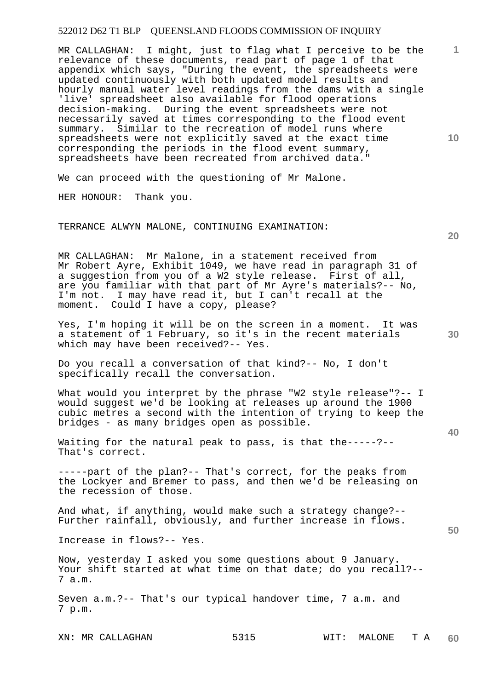**10**  MR CALLAGHAN: I might, just to flag what I perceive to be the relevance of these documents, read part of page 1 of that appendix which says, "During the event, the spreadsheets were updated continuously with both updated model results and hourly manual water level readings from the dams with a single 'live' spreadsheet also available for flood operations decision-making. During the event spreadsheets were not necessarily saved at times corresponding to the flood event summary. Similar to the recreation of model runs where spreadsheets were not explicitly saved at the exact time corresponding the periods in the flood event summary, spreadsheets have been recreated from archived data."

We can proceed with the questioning of Mr Malone.

HER HONOUR: Thank you.

#### TERRANCE ALWYN MALONE, CONTINUING EXAMINATION:

MR CALLAGHAN: Mr Malone, in a statement received from Mr Robert Ayre, Exhibit 1049, we have read in paragraph 31 of a suggestion from you of a W2 style release. First of all, are you familiar with that part of Mr Ayre's materials?-- No, I'm not. I may have read it, but I can't recall at the moment. Could I have a copy, please?

Yes, I'm hoping it will be on the screen in a moment. It was a statement of 1 February, so it's in the recent materials which may have been received?-- Yes.

Do you recall a conversation of that kind?-- No, I don't specifically recall the conversation.

What would you interpret by the phrase "W2 style release"?-- I would suggest we'd be looking at releases up around the 1900 cubic metres a second with the intention of trying to keep the bridges - as many bridges open as possible.

Waiting for the natural peak to pass, is that the-----?-- That's correct.

-----part of the plan?-- That's correct, for the peaks from the Lockyer and Bremer to pass, and then we'd be releasing on the recession of those.

And what, if anything, would make such a strategy change?-- Further rainfall, obviously, and further increase in flows.

Increase in flows?-- Yes.

Now, yesterday I asked you some questions about 9 January. Your shift started at what time on that date; do you recall?-- 7 a.m.

Seven a.m.?-- That's our typical handover time, 7 a.m. and 7 p.m.

**20** 

**30** 

**40** 

**1**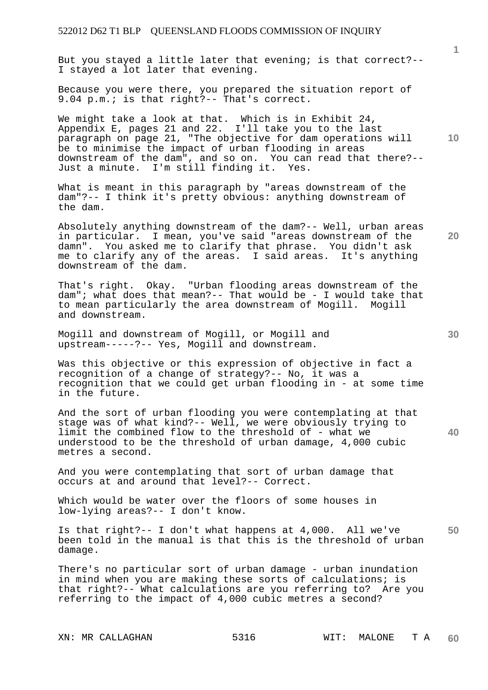But you stayed a little later that evening; is that correct?-- I stayed a lot later that evening.

Because you were there, you prepared the situation report of 9.04 p.m.; is that right?-- That's correct.

We might take a look at that. Which is in Exhibit 24, Appendix E, pages 21 and 22. I'll take you to the last paragraph on page 21, "The objective for dam operations will be to minimise the impact of urban flooding in areas downstream of the dam", and so on. You can read that there?-- Just a minute. I'm still finding it. Yes.

What is meant in this paragraph by "areas downstream of the dam"?-- I think it's pretty obvious: anything downstream of the dam.

Absolutely anything downstream of the dam?-- Well, urban areas in particular. I mean, you've said "areas downstream of the damn". You asked me to clarify that phrase. You didn't ask me to clarify any of the areas. I said areas. It's anything downstream of the dam.

That's right. Okay. "Urban flooding areas downstream of the dam"; what does that mean?-- That would be - I would take that to mean particularly the area downstream of Mogill. Mogill and downstream.

Mogill and downstream of Mogill, or Mogill and upstream-----?-- Yes, Mogill and downstream.

Was this objective or this expression of objective in fact a recognition of a change of strategy?-- No, it was a recognition that we could get urban flooding in - at some time in the future.

And the sort of urban flooding you were contemplating at that stage was of what kind?-- Well, we were obviously trying to limit the combined flow to the threshold of - what we understood to be the threshold of urban damage, 4,000 cubic metres a second.

And you were contemplating that sort of urban damage that occurs at and around that level?-- Correct.

Which would be water over the floors of some houses in low-lying areas?-- I don't know.

**50**  Is that right?-- I don't what happens at 4,000. All we've been told in the manual is that this is the threshold of urban damage.

There's no particular sort of urban damage - urban inundation in mind when you are making these sorts of calculations; is that right?-- What calculations are you referring to? Are you referring to the impact of 4,000 cubic metres a second?

**10** 

**1**

**30**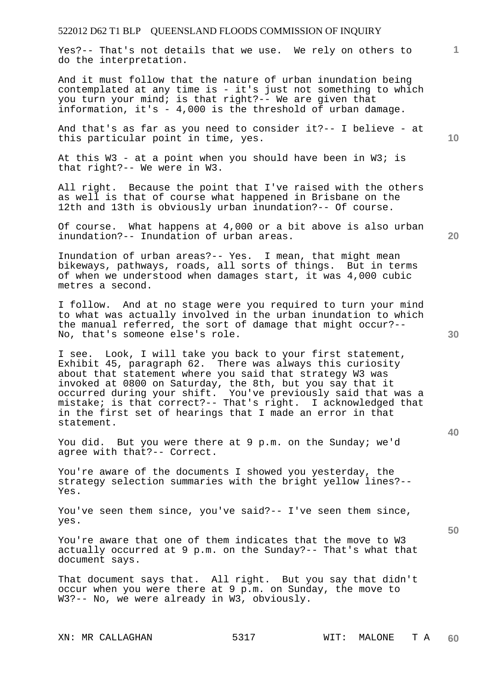Yes?-- That's not details that we use. We rely on others to do the interpretation.

And it must follow that the nature of urban inundation being contemplated at any time is - it's just not something to which you turn your mind; is that right?-- We are given that information, it's - 4,000 is the threshold of urban damage.

And that's as far as you need to consider it?-- I believe - at this particular point in time, yes.

At this W3 - at a point when you should have been in W3; is that right?-- We were in W3.

All right. Because the point that I've raised with the others as well is that of course what happened in Brisbane on the 12th and 13th is obviously urban inundation?-- Of course.

Of course. What happens at 4,000 or a bit above is also urban inundation?-- Inundation of urban areas.

Inundation of urban areas?-- Yes. I mean, that might mean bikeways, pathways, roads, all sorts of things. But in terms of when we understood when damages start, it was 4,000 cubic metres a second.

I follow. And at no stage were you required to turn your mind to what was actually involved in the urban inundation to which the manual referred, the sort of damage that might occur?-- No, that's someone else's role.

I see. Look, I will take you back to your first statement, Exhibit 45, paragraph 62. There was always this curiosity about that statement where you said that strategy W3 was invoked at 0800 on Saturday, the 8th, but you say that it occurred during your shift. You've previously said that was a mistake; is that correct?-- That's right. I acknowledged that in the first set of hearings that I made an error in that statement.

You did. But you were there at 9 p.m. on the Sunday; we'd agree with that?-- Correct.

You're aware of the documents I showed you yesterday, the strategy selection summaries with the bright yellow lines?-- Yes.

You've seen them since, you've said?-- I've seen them since, yes.

You're aware that one of them indicates that the move to W3 actually occurred at 9 p.m. on the Sunday?-- That's what that document says.

That document says that. All right. But you say that didn't occur when you were there at 9 p.m. on Sunday, the move to W3?-- No, we were already in W3, obviously.

**10** 

**20** 

**1**

**30** 

**40**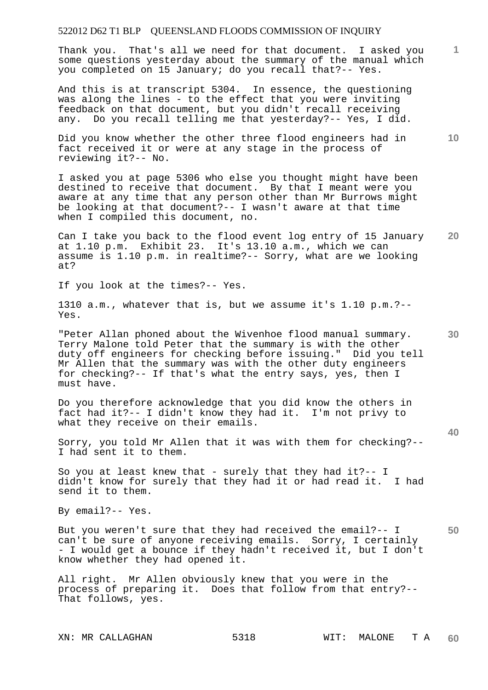Thank you. That's all we need for that document. I asked you some questions yesterday about the summary of the manual which you completed on 15 January; do you recall that?-- Yes.

And this is at transcript 5304. In essence, the questioning was along the lines - to the effect that you were inviting feedback on that document, but you didn't recall receiving any. Do you recall telling me that yesterday?-- Yes, I did.

Did you know whether the other three flood engineers had in fact received it or were at any stage in the process of reviewing it?-- No.

I asked you at page 5306 who else you thought might have been destined to receive that document. By that I meant were you aware at any time that any person other than Mr Burrows might be looking at that document?-- I wasn't aware at that time when I compiled this document, no.

**20**  Can I take you back to the flood event log entry of 15 January at 1.10 p.m. Exhibit 23. It's 13.10 a.m., which we can assume is 1.10 p.m. in realtime?-- Sorry, what are we looking at?

If you look at the times?-- Yes.

1310 a.m., whatever that is, but we assume it's 1.10 p.m.?-- Yes.

"Peter Allan phoned about the Wivenhoe flood manual summary. Terry Malone told Peter that the summary is with the other duty off engineers for checking before issuing." Did you tell Mr Allen that the summary was with the other duty engineers for checking?-- If that's what the entry says, yes, then I must have.

Do you therefore acknowledge that you did know the others in fact had it?-- I didn't know they had it. I'm not privy to what they receive on their emails.

Sorry, you told Mr Allen that it was with them for checking?-- I had sent it to them.

So you at least knew that - surely that they had it?-- I didn't know for surely that they had it or had read it. I had send it to them.

By email?-- Yes.

**50**  But you weren't sure that they had received the email?-- I can't be sure of anyone receiving emails. Sorry, I certainly - I would get a bounce if they hadn't received it, but I don't know whether they had opened it.

All right. Mr Allen obviously knew that you were in the process of preparing it. Does that follow from that entry?-- That follows, yes.

**10** 

**1**

**30**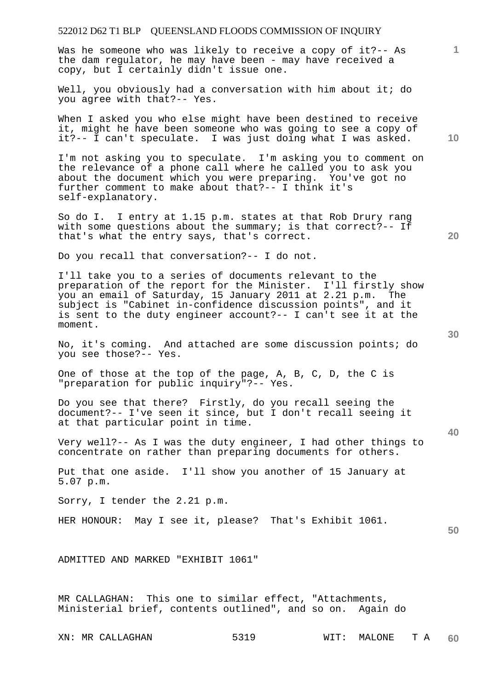Was he someone who was likely to receive a copy of it ?-- As the dam regulator, he may have been - may have received a copy, but I certainly didn't issue one.

Well, you obviously had a conversation with him about it; do you agree with that?-- Yes.

When I asked you who else might have been destined to receive it, might he have been someone who was going to see a copy of it?-- I can't speculate. I was just doing what I was asked.

I'm not asking you to speculate. I'm asking you to comment on the relevance of a phone call where he called you to ask you about the document which you were preparing. You've got no further comment to make about that?-- I think it's self-explanatory.

So do I. I entry at 1.15 p.m. states at that Rob Drury rang with some questions about the summary; is that correct?-- If that's what the entry says, that's correct.

Do you recall that conversation?-- I do not.

I'll take you to a series of documents relevant to the preparation of the report for the Minister. I'll firstly show you an email of Saturday, 15 January 2011 at 2.21 p.m. The subject is "Cabinet in-confidence discussion points", and it is sent to the duty engineer account?-- I can't see it at the moment.

No, it's coming. And attached are some discussion points; do you see those?-- Yes.

One of those at the top of the page, A, B, C, D, the C is "preparation for public inquiry"?-- Yes.

Do you see that there? Firstly, do you recall seeing the document?-- I've seen it since, but I don't recall seeing it at that particular point in time.

Very well?-- As I was the duty engineer, I had other things to concentrate on rather than preparing documents for others.

Put that one aside. I'll show you another of 15 January at 5.07 p.m.

Sorry, I tender the 2.21 p.m.

HER HONOUR: May I see it, please? That's Exhibit 1061.

**50** 

ADMITTED AND MARKED "EXHIBIT 1061"

MR CALLAGHAN: This one to similar effect, "Attachments, Ministerial brief, contents outlined", and so on. Again do

**30** 

**40** 

**20** 

**1**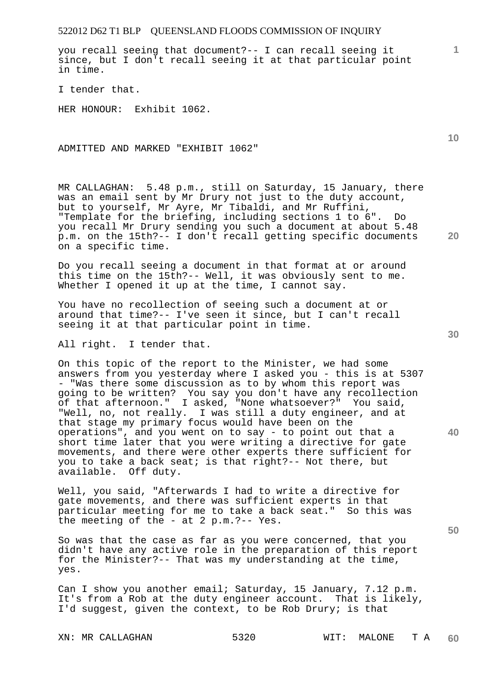you recall seeing that document?-- I can recall seeing it since, but I don't recall seeing it at that particular point in time.

I tender that.

HER HONOUR: Exhibit 1062.

ADMITTED AND MARKED "EXHIBIT 1062"

MR CALLAGHAN: 5.48 p.m., still on Saturday, 15 January, there was an email sent by Mr Drury not just to the duty account, but to yourself, Mr Ayre, Mr Tibaldi, and Mr Ruffini, "Template for the briefing, including sections 1 to 6". Do you recall Mr Drury sending you such a document at about 5.48 p.m. on the 15th?-- I don't recall getting specific documents on a specific time.

Do you recall seeing a document in that format at or around this time on the 15th?-- Well, it was obviously sent to me. Whether I opened it up at the time, I cannot say.

You have no recollection of seeing such a document at or around that time?-- I've seen it since, but I can't recall seeing it at that particular point in time.

All right. I tender that.

On this topic of the report to the Minister, we had some answers from you yesterday where I asked you - this is at 5307 - "Was there some discussion as to by whom this report was going to be written? You say you don't have any recollection of that afternoon." I asked, "None whatsoever?" You said, "Well, no, not really. I was still a duty engineer, and at that stage my primary focus would have been on the operations", and you went on to say - to point out that a short time later that you were writing a directive for gate movements, and there were other experts there sufficient for you to take a back seat; is that right?-- Not there, but available. Off duty.

Well, you said, "Afterwards I had to write a directive for gate movements, and there was sufficient experts in that particular meeting for me to take a back seat." So this was the meeting of the - at 2 p.m.?-- Yes.

So was that the case as far as you were concerned, that you didn't have any active role in the preparation of this report for the Minister?-- That was my understanding at the time, yes.

Can I show you another email; Saturday, 15 January, 7.12 p.m. It's from a Rob at the duty engineer account. That is likely, I'd suggest, given the context, to be Rob Drury; is that

**10** 

**1**

**20** 



**50**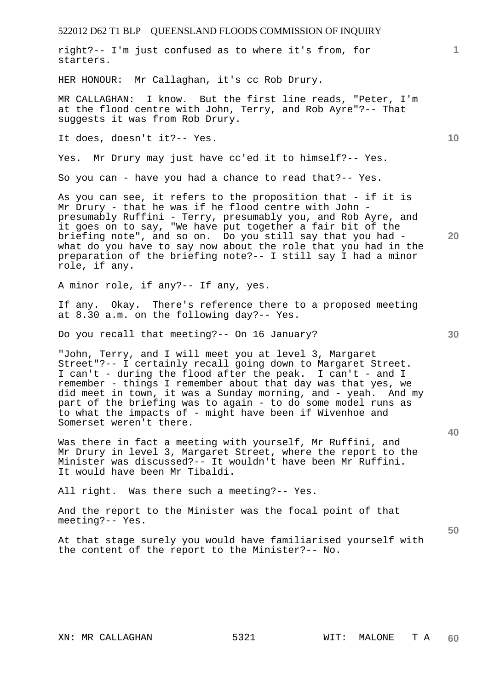| 522012 D62 T1 BLP QUEENSLAND FLOODS COMMISSION OF INQUIRY                                                                                                                                                                                                                                                                                                                                                                                                                    |                 |
|------------------------------------------------------------------------------------------------------------------------------------------------------------------------------------------------------------------------------------------------------------------------------------------------------------------------------------------------------------------------------------------------------------------------------------------------------------------------------|-----------------|
| right?-- I'm just confused as to where it's from, for<br>starters.                                                                                                                                                                                                                                                                                                                                                                                                           | $\mathbf{1}$    |
| HER HONOUR: Mr Callaghan, it's cc Rob Drury.                                                                                                                                                                                                                                                                                                                                                                                                                                 |                 |
| MR CALLAGHAN: I know. But the first line reads, "Peter, I'm<br>at the flood centre with John, Terry, and Rob Ayre"?-- That<br>suggests it was from Rob Drury.                                                                                                                                                                                                                                                                                                                |                 |
| It does, doesn't it ?-- Yes.                                                                                                                                                                                                                                                                                                                                                                                                                                                 | 10 <sup>°</sup> |
| Yes. Mr Drury may just have cc'ed it to himself?-- Yes.                                                                                                                                                                                                                                                                                                                                                                                                                      |                 |
| So you can - have you had a chance to read that?-- Yes.                                                                                                                                                                                                                                                                                                                                                                                                                      |                 |
| As you can see, it refers to the proposition that - if it is<br>Mr Drury - that he was if he flood centre with John -<br>presumably Ruffini - Terry, presumably you, and Rob Ayre, and<br>it goes on to say, "We have put together a fair bit of the<br>briefing note", and so on. Do you still say that you had -<br>what do you have to say now about the role that you had in the<br>preparation of the briefing note?-- I still say I had a minor<br>role, if any.       | 20              |
| A minor role, if any?-- If any, yes.                                                                                                                                                                                                                                                                                                                                                                                                                                         |                 |
| If any. Okay. There's reference there to a proposed meeting<br>at 8.30 a.m. on the following day?-- Yes.                                                                                                                                                                                                                                                                                                                                                                     |                 |
| Do you recall that meeting?-- On 16 January?                                                                                                                                                                                                                                                                                                                                                                                                                                 | 30              |
| "John, Terry, and I will meet you at level 3, Margaret<br>Street"?-- I certainly recall going down to Margaret Street.<br>I can't - during the flood after the peak. I can't - and I<br>remember - things I remember about that day was that yes, we<br>did meet in town, it was a Sunday morning, and - yeah. And my<br>part of the briefing was to again - to do some model runs as<br>to what the impacts of - might have been if Wivenhoe and<br>Somerset weren't there. | 40              |
| Was there in fact a meeting with yourself, Mr Ruffini, and<br>Mr Drury in level 3, Margaret Street, where the report to the<br>Minister was discussed?-- It wouldn't have been Mr Ruffini.<br>It would have been Mr Tibaldi.                                                                                                                                                                                                                                                 |                 |
| All right. Was there such a meeting?-- Yes.                                                                                                                                                                                                                                                                                                                                                                                                                                  |                 |
| And the report to the Minister was the focal point of that<br>meeting?-- Yes.                                                                                                                                                                                                                                                                                                                                                                                                | 50              |
| At that stage surely you would have familiarised yourself with<br>the content of the report to the Minister?-- No.                                                                                                                                                                                                                                                                                                                                                           |                 |
|                                                                                                                                                                                                                                                                                                                                                                                                                                                                              |                 |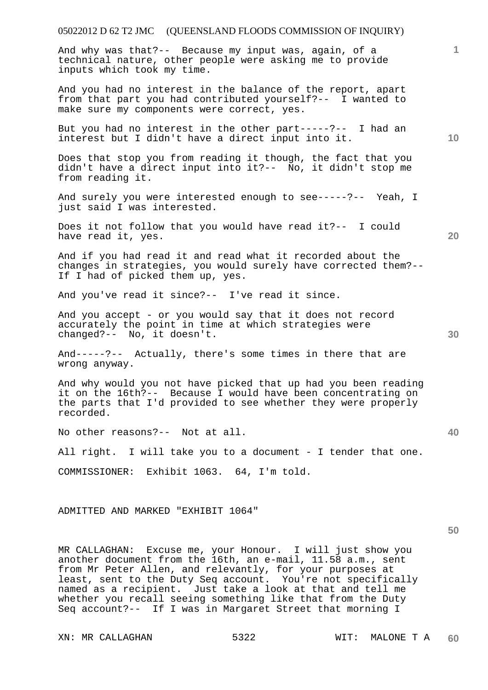| 05022012 D 62 T2 JMC (QUEENSLAND FLOODS COMMISSION OF INQUIRY)                                                                                                                                                                                                                                                                                                                      |                 |
|-------------------------------------------------------------------------------------------------------------------------------------------------------------------------------------------------------------------------------------------------------------------------------------------------------------------------------------------------------------------------------------|-----------------|
| And why was that?-- Because my input was, again, of a<br>technical nature, other people were asking me to provide<br>inputs which took my time.                                                                                                                                                                                                                                     | 1.              |
| And you had no interest in the balance of the report, apart<br>from that part you had contributed yourself?-- I wanted to<br>make sure my components were correct, yes.                                                                                                                                                                                                             |                 |
| But you had no interest in the other part-----?-- I had an<br>interest but I didn't have a direct input into it.                                                                                                                                                                                                                                                                    | 10 <sup>°</sup> |
| Does that stop you from reading it though, the fact that you<br>didn't have a direct input into it?-- No, it didn't stop me<br>from reading it.                                                                                                                                                                                                                                     |                 |
| And surely you were interested enough to see-----?-- Yeah, I<br>just said I was interested.                                                                                                                                                                                                                                                                                         |                 |
| Does it not follow that you would have read it ?-- I could<br>have read it, yes.                                                                                                                                                                                                                                                                                                    | 20              |
| And if you had read it and read what it recorded about the<br>changes in strategies, you would surely have corrected them?--<br>If I had of picked them up, yes.                                                                                                                                                                                                                    |                 |
| And you've read it since?-- I've read it since.                                                                                                                                                                                                                                                                                                                                     |                 |
| And you accept - or you would say that it does not record<br>accurately the point in time at which strategies were<br>changed?-- No, it doesn't.                                                                                                                                                                                                                                    | 30              |
| And-----?-- Actually, there's some times in there that are<br>wrong anyway.                                                                                                                                                                                                                                                                                                         |                 |
| And why would you not have picked that up had you been reading<br>it on the 16th?-- Because I would have been concentrating on<br>the parts that I'd provided to see whether they were properly<br>recorded.                                                                                                                                                                        |                 |
| No other reasons?-- Not at all.                                                                                                                                                                                                                                                                                                                                                     | 40              |
| All right. I will take you to a document - I tender that one.                                                                                                                                                                                                                                                                                                                       |                 |
| COMMISSIONER: Exhibit 1063. 64, I'm told.                                                                                                                                                                                                                                                                                                                                           |                 |
| ADMITTED AND MARKED "EXHIBIT 1064"                                                                                                                                                                                                                                                                                                                                                  |                 |
| MR CALLAGHAN: Excuse me, your Honour. I will just show you<br>another document from the 16th, an e-mail, 11.58 a.m., sent<br>from Mr Peter Allen, and relevantly, for your purposes at<br>least, sent to the Duty Seq account. You're not specifically<br>named as a recipient. Just take a look at that and tell me<br>whether you recall seeing something like that from the Duty | 50              |

Seq account?-- If I was in Margaret Street that morning I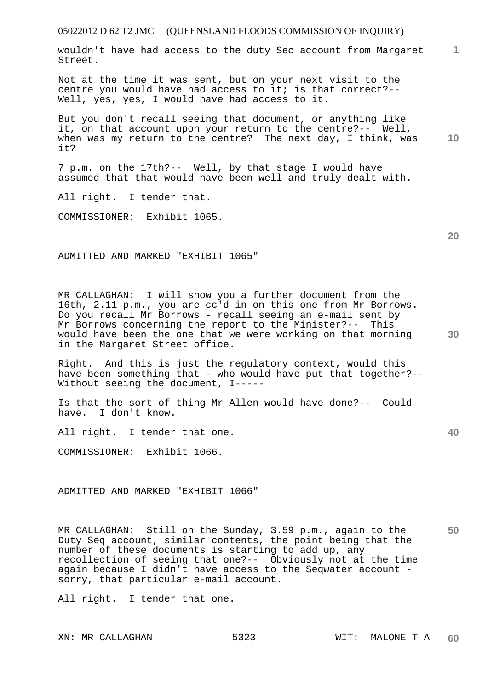**1** wouldn't have had access to the duty Sec account from Margaret Street.

Not at the time it was sent, but on your next visit to the centre you would have had access to it; is that correct?-- Well, yes, yes, I would have had access to it.

**10**  But you don't recall seeing that document, or anything like it, on that account upon your return to the centre?-- Well, when was my return to the centre? The next day, I think, was it?

7 p.m. on the 17th?-- Well, by that stage I would have assumed that that would have been well and truly dealt with.

All right. I tender that.

COMMISSIONER: Exhibit 1065.

ADMITTED AND MARKED "EXHIBIT 1065"

MR CALLAGHAN: I will show you a further document from the 16th, 2.11 p.m., you are cc'd in on this one from Mr Borrows. Do you recall Mr Borrows - recall seeing an e-mail sent by Mr Borrows concerning the report to the Minister?-- This would have been the one that we were working on that morning in the Margaret Street office.

Right. And this is just the regulatory context, would this have been something that - who would have put that together?-- Without seeing the document, I-----

Is that the sort of thing Mr Allen would have done?-- Could have. I don't know.

All right. I tender that one.

COMMISSIONER: Exhibit 1066.

ADMITTED AND MARKED "EXHIBIT 1066"

**50**  MR CALLAGHAN: Still on the Sunday, 3.59 p.m., again to the Duty Seq account, similar contents, the point being that the number of these documents is starting to add up, any recollection of seeing that one?-- Obviously not at the time again because I didn't have access to the Seqwater account sorry, that particular e-mail account.

All right. I tender that one.

**20**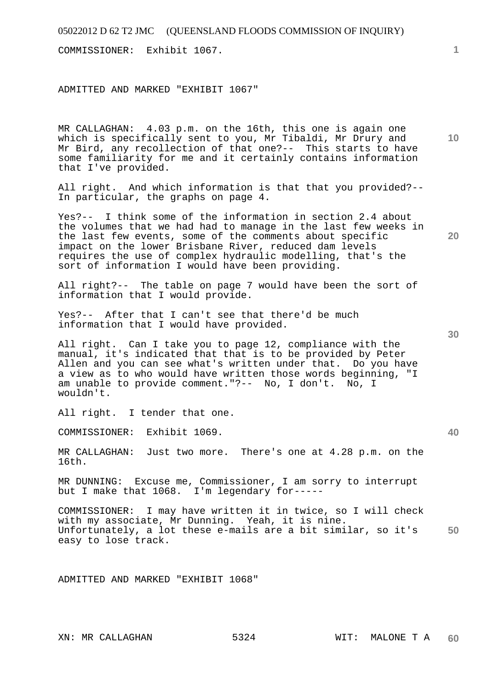COMMISSIONER: Exhibit 1067.

ADMITTED AND MARKED "EXHIBIT 1067"

MR CALLAGHAN: 4.03 p.m. on the 16th, this one is again one which is specifically sent to you, Mr Tibaldi, Mr Drury and Mr Bird, any recollection of that one?-- This starts to have some familiarity for me and it certainly contains information that I've provided.

All right. And which information is that that you provided?-- In particular, the graphs on page 4.

Yes?-- I think some of the information in section 2.4 about the volumes that we had had to manage in the last few weeks in the last few events, some of the comments about specific impact on the lower Brisbane River, reduced dam levels requires the use of complex hydraulic modelling, that's the sort of information I would have been providing.

All right?-- The table on page 7 would have been the sort of information that I would provide.

Yes?-- After that I can't see that there'd be much information that I would have provided.

All right. Can I take you to page 12, compliance with the manual, it's indicated that that is to be provided by Peter Allen and you can see what's written under that. Do you have a view as to who would have written those words beginning, "I am unable to provide comment."?-- No, I don't. No, I wouldn't.

All right. I tender that one.

COMMISSIONER: Exhibit 1069.

MR CALLAGHAN: Just two more. There's one at 4.28 p.m. on the 16th.

MR DUNNING: Excuse me, Commissioner, I am sorry to interrupt but I make that 1068. I'm legendary for-----

**50**  COMMISSIONER: I may have written it in twice, so I will check with my associate, Mr Dunning. Yeah, it is nine. Unfortunately, a lot these e-mails are a bit similar, so it's easy to lose track.

ADMITTED AND MARKED "EXHIBIT 1068"

**30** 

**1**

**10** 

**20**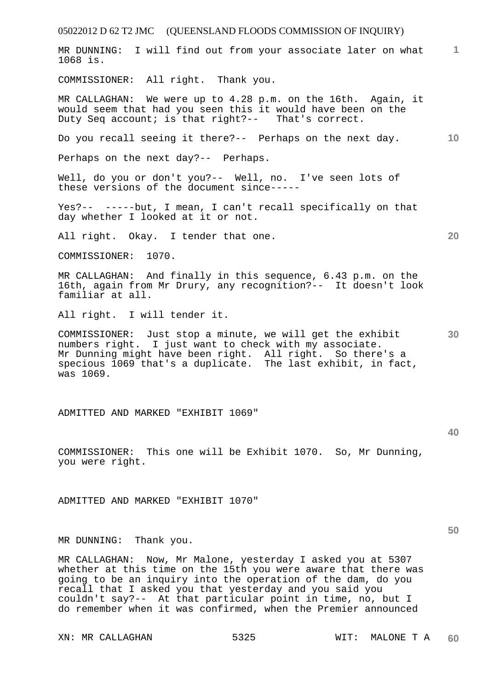05022012 D 62 T2 JMC (QUEENSLAND FLOODS COMMISSION OF INQUIRY) **1** MR DUNNING: I will find out from your associate later on what **10 20 30 40**  1068 is. COMMISSIONER: All right. Thank you. MR CALLAGHAN: We were up to 4.28 p.m. on the 16th. Again, it would seem that had you seen this it would have been on the Duty Seq account; is that right?-- That's correct. Do you recall seeing it there?-- Perhaps on the next day. Perhaps on the next day?-- Perhaps. Well, do you or don't you?-- Well, no. I've seen lots of these versions of the document since----- Yes?-- -----but, I mean, I can't recall specifically on that day whether I looked at it or not. All right. Okay. I tender that one. COMMISSIONER: 1070. MR CALLAGHAN: And finally in this sequence, 6.43 p.m. on the 16th, again from Mr Drury, any recognition?-- It doesn't look familiar at all. All right. I will tender it. COMMISSIONER: Just stop a minute, we will get the exhibit numbers right. I just want to check with my associate. Mr Dunning might have been right. All right. So there's a specious 1069 that's a duplicate. The last exhibit, in fact, was 1069. ADMITTED AND MARKED "EXHIBIT 1069" COMMISSIONER: This one will be Exhibit 1070. So, Mr Dunning, you were right. ADMITTED AND MARKED "EXHIBIT 1070"

MR DUNNING: Thank you.

MR CALLAGHAN: Now, Mr Malone, yesterday I asked you at 5307 whether at this time on the 15th you were aware that there was going to be an inquiry into the operation of the dam, do you recall that I asked you that yesterday and you said you couldn't say?-- At that particular point in time, no, but I do remember when it was confirmed, when the Premier announced

XN: MR CALLAGHAN 5325 WIT: MALONE T A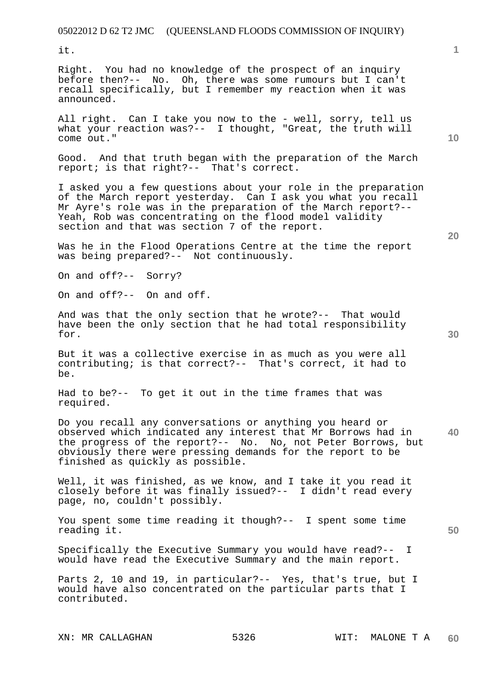it.

Right. You had no knowledge of the prospect of an inquiry before then?-- No. Oh, there was some rumours but I can't recall specifically, but I remember my reaction when it was announced.

All right. Can I take you now to the - well, sorry, tell us what your reaction was?-- I thought, "Great, the truth will come out."

Good. And that truth began with the preparation of the March report; is that right?-- That's correct.

I asked you a few questions about your role in the preparation of the March report yesterday. Can I ask you what you recall Mr Ayre's role was in the preparation of the March report?-- Yeah, Rob was concentrating on the flood model validity section and that was section 7 of the report.

Was he in the Flood Operations Centre at the time the report was being prepared?-- Not continuously.

On and off?-- Sorry?

On and off?-- On and off.

And was that the only section that he wrote?-- That would have been the only section that he had total responsibility for.

But it was a collective exercise in as much as you were all contributing; is that correct?-- That's correct, it had to be.

Had to be?-- To get it out in the time frames that was required.

**40**  Do you recall any conversations or anything you heard or observed which indicated any interest that Mr Borrows had in the progress of the report?-- No. No, not Peter Borrows, but obviously there were pressing demands for the report to be finished as quickly as possible.

Well, it was finished, as we know, and I take it you read it closely before it was finally issued?-- I didn't read every page, no, couldn't possibly.

You spent some time reading it though?-- I spent some time reading it.

Specifically the Executive Summary you would have read?-- I would have read the Executive Summary and the main report.

Parts 2, 10 and 19, in particular?-- Yes, that's true, but I would have also concentrated on the particular parts that I contributed.

XN: MR CALLAGHAN 5326 WIT: MALONE T A

**1**

**30** 

**50**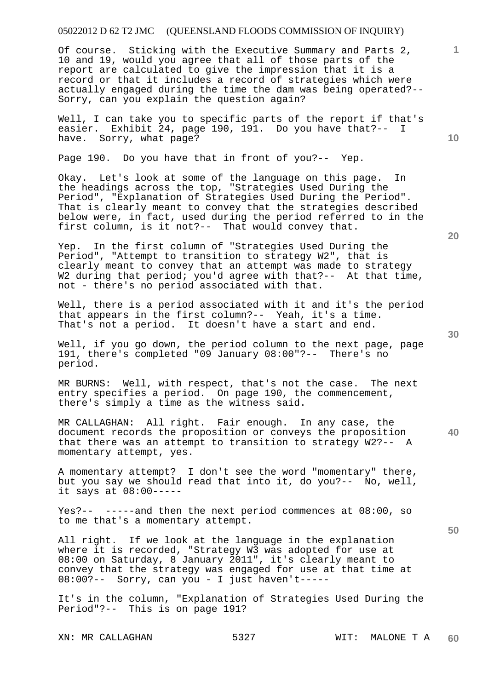Of course. Sticking with the Executive Summary and Parts 2, 10 and 19, would you agree that all of those parts of the report are calculated to give the impression that it is a record or that it includes a record of strategies which were actually engaged during the time the dam was being operated?-- Sorry, can you explain the question again?

Well, I can take you to specific parts of the report if that's easier. Exhibit 24, page 190, 191. Do you have that?-- I have. Sorry, what page?

Page 190. Do you have that in front of you?-- Yep.

Okay. Let's look at some of the language on this page. In the headings across the top, "Strategies Used During the Period", "Explanation of Strategies Used During the Period". That is clearly meant to convey that the strategies described below were, in fact, used during the period referred to in the first column, is it not?-- That would convey that.

Yep. In the first column of "Strategies Used During the Period", "Attempt to transition to strategy W2", that is clearly meant to convey that an attempt was made to strategy W2 during that period; you'd agree with that?-- At that time, not - there's no period associated with that.

Well, there is a period associated with it and it's the period that appears in the first column?-- Yeah, it's a time. That's not a period. It doesn't have a start and end.

Well, if you go down, the period column to the next page, page 191, there's completed "09 January 08:00"?-- There's no period.

MR BURNS: Well, with respect, that's not the case. The next entry specifies a period. On page 190, the commencement, there's simply a time as the witness said.

**40**  MR CALLAGHAN: All right. Fair enough. In any case, the document records the proposition or conveys the proposition that there was an attempt to transition to strategy W2?-- A momentary attempt, yes.

A momentary attempt? I don't see the word "momentary" there, but you say we should read that into it, do you?-- No, well, it says at 08:00-----

Yes?-- -----and then the next period commences at 08:00, so to me that's a momentary attempt.

All right. If we look at the language in the explanation where it is recorded, "Strategy W3 was adopted for use at 08:00 on Saturday, 8 January 2011", it's clearly meant to convey that the strategy was engaged for use at that time at 08:00?-- Sorry, can you - I just haven't-----

It's in the column, "Explanation of Strategies Used During the Period"?-- This is on page 191?

**20** 

**50** 

**10**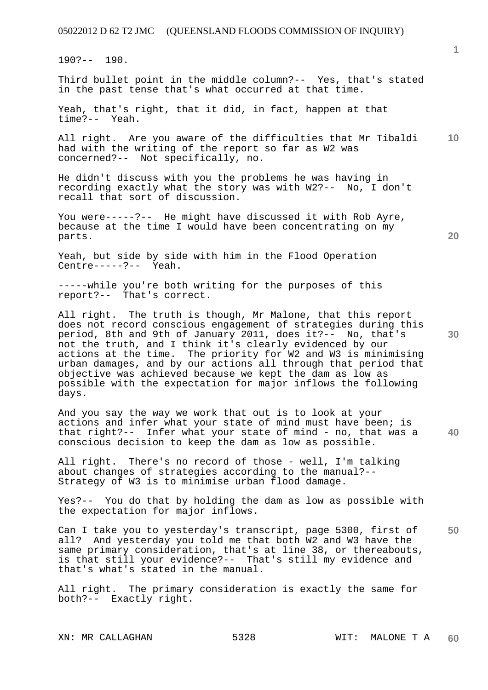190?-- 190.

Third bullet point in the middle column?-- Yes, that's stated in the past tense that's what occurred at that time.

Yeah, that's right, that it did, in fact, happen at that time?-- Yeah.

**10**  All right. Are you aware of the difficulties that Mr Tibaldi had with the writing of the report so far as W2 was concerned?-- Not specifically, no.

He didn't discuss with you the problems he was having in recording exactly what the story was with W2?-- No, I don't recall that sort of discussion.

You were-----?-- He might have discussed it with Rob Ayre, because at the time I would have been concentrating on my parts.

Yeah, but side by side with him in the Flood Operation Centre-----?-- Yeah.

-----while you're both writing for the purposes of this report?-- That's correct.

All right. The truth is though, Mr Malone, that this report does not record conscious engagement of strategies during this period, 8th and 9th of January 2011, does it?-- No, that's not the truth, and I think it's clearly evidenced by our actions at the time. The priority for W2 and W3 is minimising urban damages, and by our actions all through that period that objective was achieved because we kept the dam as low as possible with the expectation for major inflows the following days.

**40**  And you say the way we work that out is to look at your actions and infer what your state of mind must have been; is that right?-- Infer what your state of mind - no, that was a conscious decision to keep the dam as low as possible.

All right. There's no record of those - well, I'm talking about changes of strategies according to the manual?-- Strategy of W3 is to minimise urban flood damage.

Yes?-- You do that by holding the dam as low as possible with the expectation for major inflows.

**50**  Can I take you to yesterday's transcript, page 5300, first of all? And yesterday you told me that both W2 and W3 have the same primary consideration, that's at line 38, or thereabouts, is that still your evidence?-- That's still my evidence and that's what's stated in the manual.

All right. The primary consideration is exactly the same for both?-- Exactly right.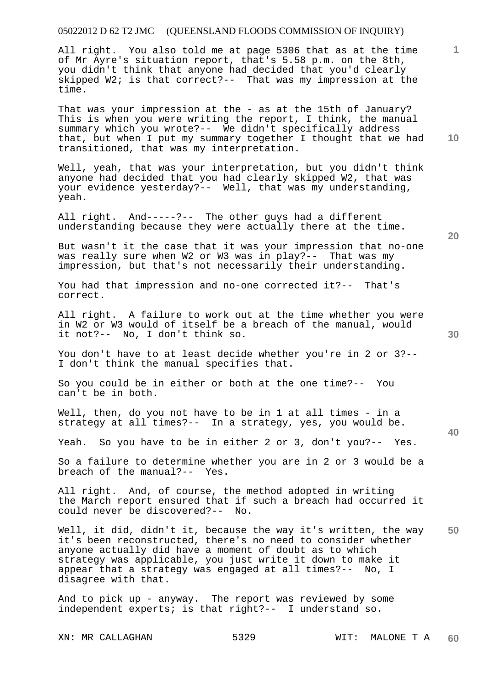All right. You also told me at page 5306 that as at the time of Mr Ayre's situation report, that's 5.58 p.m. on the 8th, you didn't think that anyone had decided that you'd clearly skipped W2; is that correct?-- That was my impression at the time.

That was your impression at the - as at the 15th of January? This is when you were writing the report, I think, the manual summary which you wrote?-- We didn't specifically address that, but when I put my summary together I thought that we had transitioned, that was my interpretation.

Well, yeah, that was your interpretation, but you didn't think anyone had decided that you had clearly skipped W2, that was your evidence yesterday?-- Well, that was my understanding, yeah.

All right. And-----?-- The other guys had a different understanding because they were actually there at the time.

But wasn't it the case that it was your impression that no-one was really sure when W2 or W3 was in play?-- That was my impression, but that's not necessarily their understanding.

You had that impression and no-one corrected it?-- That's correct.

All right. A failure to work out at the time whether you were in W2 or W3 would of itself be a breach of the manual, would it not?-- No, I don't think so.

You don't have to at least decide whether you're in 2 or 3?-- I don't think the manual specifies that.

So you could be in either or both at the one time?-- You can't be in both.

Well, then, do you not have to be in 1 at all times - in a strategy at all times?-- In a strategy, yes, you would be.

Yeah. So you have to be in either 2 or 3, don't you?-- Yes.

So a failure to determine whether you are in 2 or 3 would be a breach of the manual?-- Yes.

All right. And, of course, the method adopted in writing the March report ensured that if such a breach had occurred it could never be discovered?-- No.

**50**  Well, it did, didn't it, because the way it's written, the way it's been reconstructed, there's no need to consider whether anyone actually did have a moment of doubt as to which strategy was applicable, you just write it down to make it appear that a strategy was engaged at all times?-- No, I disagree with that.

And to pick up - anyway. The report was reviewed by some independent experts; is that right?-- I understand so.

XN: MR CALLAGHAN 5329 WIT: MALONE T A

**10** 

**20** 

**1**

**40**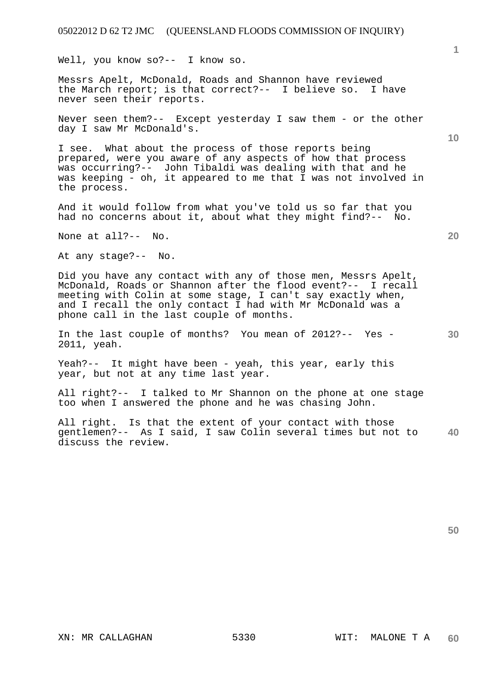Well, you know so?-- I know so.

Messrs Apelt, McDonald, Roads and Shannon have reviewed the March report; is that correct?-- I believe so. I have never seen their reports.

Never seen them?-- Except yesterday I saw them - or the other day I saw Mr McDonald's.

I see. What about the process of those reports being prepared, were you aware of any aspects of how that process was occurring?-- John Tibaldi was dealing with that and he was keeping - oh, it appeared to me that I was not involved in the process.

And it would follow from what you've told us so far that you had no concerns about it, about what they might find?-- No.

None at all?-- No.

At any stage?-- No.

Did you have any contact with any of those men, Messrs Apelt, McDonald, Roads or Shannon after the flood event?-- I recall meeting with Colin at some stage, I can't say exactly when, and I recall the only contact I had with Mr McDonald was a phone call in the last couple of months.

**30**  In the last couple of months? You mean of 2012?-- Yes - 2011, yeah.

Yeah?-- It might have been - yeah, this year, early this year, but not at any time last year.

All right?-- I talked to Mr Shannon on the phone at one stage too when I answered the phone and he was chasing John.

**40**  All right. Is that the extent of your contact with those gentlemen?-- As I said, I saw Colin several times but not to discuss the review.

**50** 

**10**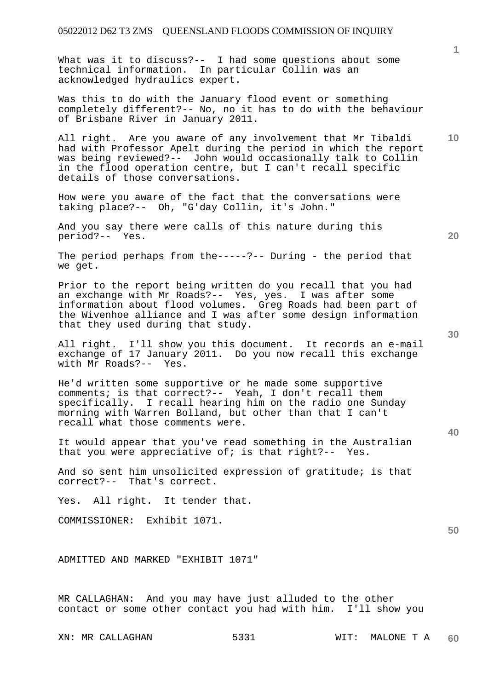What was it to discuss?-- I had some questions about some technical information. In particular Collin was an acknowledged hydraulics expert.

Was this to do with the January flood event or something completely different?-- No, no it has to do with the behaviour of Brisbane River in January 2011.

All right. Are you aware of any involvement that Mr Tibaldi had with Professor Apelt during the period in which the report was being reviewed?-- John would occasionally talk to Collin in the flood operation centre, but I can't recall specific details of those conversations.

How were you aware of the fact that the conversations were taking place?-- Oh, "G'day Collin, it's John."

And you say there were calls of this nature during this period?-- Yes.

The period perhaps from the-----?-- During - the period that we get.

Prior to the report being written do you recall that you had an exchange with Mr Roads?-- Yes, yes. I was after some information about flood volumes. Greg Roads had been part of the Wivenhoe alliance and I was after some design information that they used during that study.

All right. I'll show you this document. It records an e-mail exchange of 17 January 2011. Do you now recall this exchange with Mr Roads?-- Yes.

He'd written some supportive or he made some supportive comments; is that correct?-- Yeah, I don't recall them specifically. I recall hearing him on the radio one Sunday morning with Warren Bolland, but other than that I can't recall what those comments were.

It would appear that you've read something in the Australian that you were appreciative of; is that right?-- Yes.

And so sent him unsolicited expression of gratitude; is that correct?-- That's correct.

Yes. All right. It tender that.

COMMISSIONER: Exhibit 1071.

ADMITTED AND MARKED "EXHIBIT 1071"

MR CALLAGHAN: And you may have just alluded to the other contact or some other contact you had with him. I'll show you **20** 

**10** 

**50**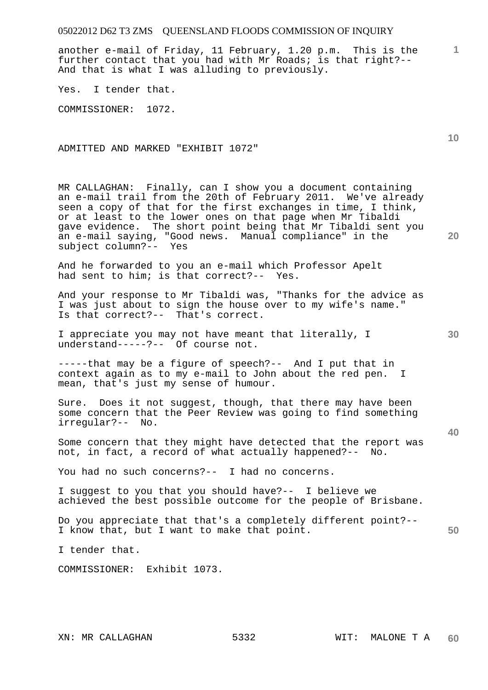another e-mail of Friday, 11 February, 1.20 p.m. This is the further contact that you had with Mr Roads; is that right?-- And that is what I was alluding to previously.

Yes. I tender that.

COMMISSIONER: 1072.

ADMITTED AND MARKED "EXHIBIT 1072"

MR CALLAGHAN: Finally, can I show you a document containing an e-mail trail from the 20th of February 2011. We've already seen a copy of that for the first exchanges in time, I think, or at least to the lower ones on that page when Mr Tibaldi gave evidence. The short point being that Mr Tibaldi sent you an e-mail saying, "Good news. Manual compliance" in the subject column?-- Yes

And he forwarded to you an e-mail which Professor Apelt had sent to him; is that correct?-- Yes.

And your response to Mr Tibaldi was, "Thanks for the advice as I was just about to sign the house over to my wife's name." Is that correct?-- That's correct.

I appreciate you may not have meant that literally, I understand-----?-- Of course not.

-----that may be a figure of speech?-- And I put that in context again as to my e-mail to John about the red pen. I mean, that's just my sense of humour.

Sure. Does it not suggest, though, that there may have been some concern that the Peer Review was going to find something irregular?-- No.

Some concern that they might have detected that the report was not, in fact, a record of what actually happened?-- No.

You had no such concerns?-- I had no concerns.

I suggest to you that you should have?-- I believe we achieved the best possible outcome for the people of Brisbane.

**50**  Do you appreciate that that's a completely different point?-- I know that, but I want to make that point.

I tender that.

COMMISSIONER: Exhibit 1073.

**1**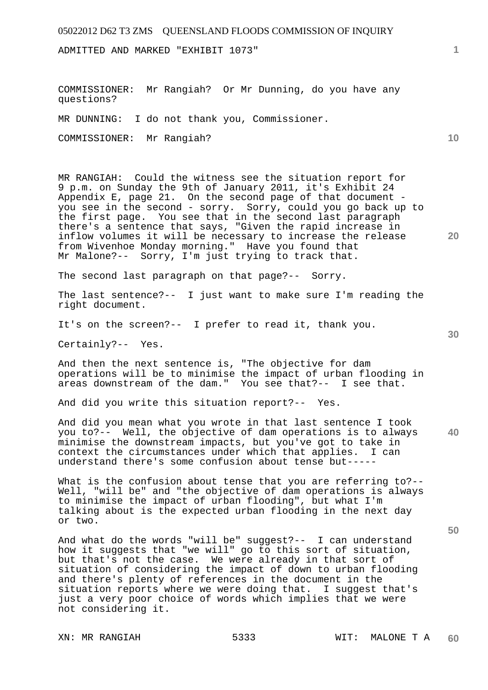ADMITTED AND MARKED "EXHIBIT 1073"

COMMISSIONER: Mr Rangiah? Or Mr Dunning, do you have any questions?

MR DUNNING: I do not thank you, Commissioner.

COMMISSIONER: Mr Rangiah?

MR RANGIAH: Could the witness see the situation report for 9 p.m. on Sunday the 9th of January 2011, it's Exhibit 24 Appendix E, page 21. On the second page of that document you see in the second - sorry. Sorry, could you go back up to the first page. You see that in the second last paragraph there's a sentence that says, "Given the rapid increase in inflow volumes it will be necessary to increase the release from Wivenhoe Monday morning." Have you found that Mr Malone?-- Sorry, I'm just trying to track that.

The second last paragraph on that page?-- Sorry.

The last sentence?-- I just want to make sure I'm reading the right document.

It's on the screen?-- I prefer to read it, thank you.

Certainly?-- Yes.

And then the next sentence is, "The objective for dam operations will be to minimise the impact of urban flooding in areas downstream of the dam." You see that?-- I see that.

And did you write this situation report?-- Yes.

**40**  And did you mean what you wrote in that last sentence I took you to?-- Well, the objective of dam operations is to always minimise the downstream impacts, but you've got to take in context the circumstances under which that applies. I can understand there's some confusion about tense but-----

What is the confusion about tense that you are referring to?--Well, "will be" and "the objective of dam operations is always to minimise the impact of urban flooding", but what I'm talking about is the expected urban flooding in the next day or two.

And what do the words "will be" suggest?-- I can understand how it suggests that "we will" go to this sort of situation, but that's not the case. We were already in that sort of situation of considering the impact of down to urban flooding and there's plenty of references in the document in the situation reports where we were doing that. I suggest that's just a very poor choice of words which implies that we were not considering it.

**1**

**10** 

**30** 

**50**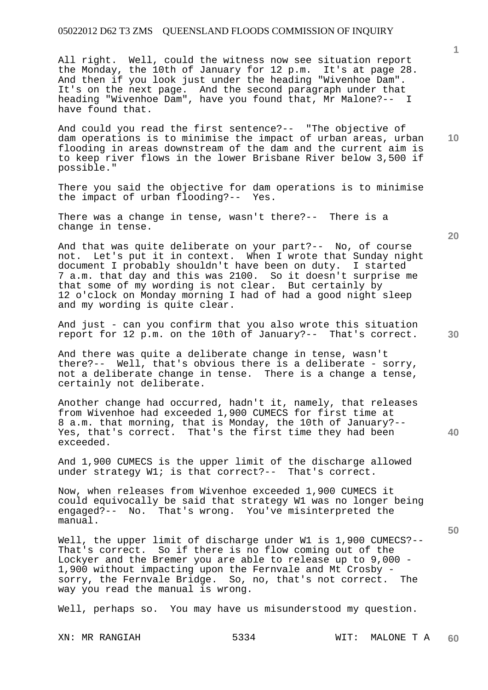All right. Well, could the witness now see situation report the Monday, the 10th of January for 12 p.m. It's at page 28. And then if you look just under the heading "Wivenhoe Dam". It's on the next page. And the second paragraph under that heading "Wivenhoe Dam", have you found that, Mr Malone?-- I have found that.

And could you read the first sentence?-- "The objective of dam operations is to minimise the impact of urban areas, urban flooding in areas downstream of the dam and the current aim is to keep river flows in the lower Brisbane River below 3,500 if possible."

There you said the objective for dam operations is to minimise the impact of urban flooding?-- Yes.

There was a change in tense, wasn't there?-- There is a change in tense.

And that was quite deliberate on your part?-- No, of course not. Let's put it in context. When I wrote that Sunday night document I probably shouldn't have been on duty. I started 7 a.m. that day and this was 2100. So it doesn't surprise me that some of my wording is not clear. But certainly by 12 o'clock on Monday morning I had of had a good night sleep and my wording is quite clear.

And just - can you confirm that you also wrote this situation report for 12 p.m. on the 10th of January?-- That's correct.

And there was quite a deliberate change in tense, wasn't there?-- Well, that's obvious there is a deliberate - sorry, not a deliberate change in tense. There is a change a tense, certainly not deliberate.

Another change had occurred, hadn't it, namely, that releases from Wivenhoe had exceeded 1,900 CUMECS for first time at 8 a.m. that morning, that is Monday, the 10th of January?-- Yes, that's correct. That's the first time they had been exceeded.

And 1,900 CUMECS is the upper limit of the discharge allowed under strategy W1; is that correct?-- That's correct.

Now, when releases from Wivenhoe exceeded 1,900 CUMECS it could equivocally be said that strategy W1 was no longer being engaged?-- No. That's wrong. You've misinterpreted the manual.

Well, the upper limit of discharge under W1 is 1,900 CUMECS?-- That's correct. So if there is no flow coming out of the Lockyer and the Bremer you are able to release up to 9,000 - 1,900 without impacting upon the Fernvale and Mt Crosby sorry, the Fernvale Bridge. So, no, that's not correct. The way you read the manual is wrong.

Well, perhaps so. You may have us misunderstood my question.

**20** 

**40** 

**50** 

**10**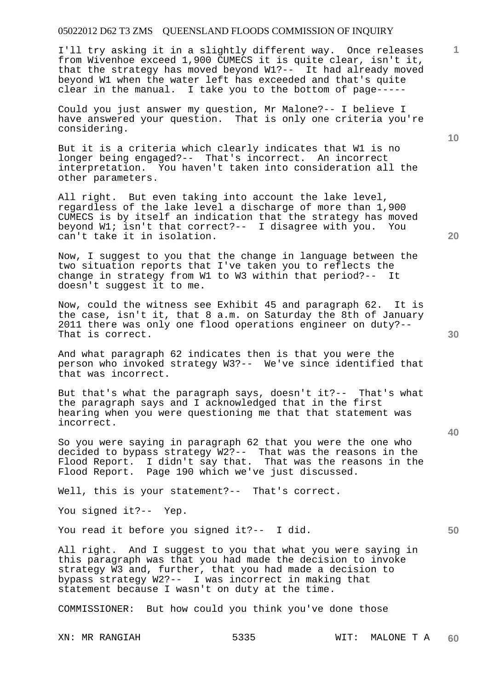I'll try asking it in a slightly different way. Once releases from Wivenhoe exceed 1,900 CUMECS it is quite clear, isn't it, that the strategy has moved beyond W1?-- It had already moved beyond W1 when the water left has exceeded and that's quite clear in the manual. I take you to the bottom of page-----

Could you just answer my question, Mr Malone?-- I believe I have answered your question. That is only one criteria you're considering.

But it is a criteria which clearly indicates that W1 is no longer being engaged?-- That's incorrect. An incorrect interpretation. You haven't taken into consideration all the other parameters.

All right. But even taking into account the lake level, regardless of the lake level a discharge of more than 1,900 CUMECS is by itself an indication that the strategy has moved beyond W1; isn't that correct?-- I disagree with you. You can't take it in isolation.

Now, I suggest to you that the change in language between the two situation reports that I've taken you to reflects the change in strategy from W1 to W3 within that period?-- It doesn't suggest it to me.

Now, could the witness see Exhibit 45 and paragraph 62. It is the case, isn't it, that 8 a.m. on Saturday the 8th of January 2011 there was only one flood operations engineer on duty?-- That is correct.

And what paragraph 62 indicates then is that you were the person who invoked strategy W3?-- We've since identified that that was incorrect.

But that's what the paragraph says, doesn't it?-- That's what the paragraph says and I acknowledged that in the first hearing when you were questioning me that that statement was incorrect.

So you were saying in paragraph 62 that you were the one who decided to bypass strategy W2?-- That was the reasons in the Flood Report. I didn't say that. That was the reasons in the Flood Report. Page 190 which we've just discussed.

Well, this is your statement?-- That's correct.

You signed it?-- Yep.

You read it before you signed it ?-- I did.

All right. And I suggest to you that what you were saying in this paragraph was that you had made the decision to invoke strategy W3 and, further, that you had made a decision to bypass strategy W2?-- I was incorrect in making that statement because I wasn't on duty at the time.

COMMISSIONER: But how could you think you've done those

**20** 

**1**

**10** 

**40**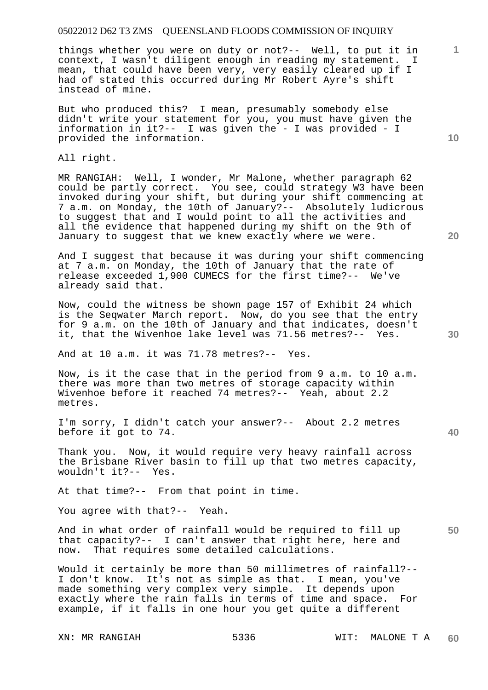things whether you were on duty or not?-- Well, to put it in context, I wasn't diligent enough in reading my statement. I mean, that could have been very, very easily cleared up if I had of stated this occurred during Mr Robert Ayre's shift instead of mine.

But who produced this? I mean, presumably somebody else didn't write your statement for you, you must have given the information in it?-- I was given the - I was provided - I provided the information.

All right.

MR RANGIAH: Well, I wonder, Mr Malone, whether paragraph 62 could be partly correct. You see, could strategy W3 have been invoked during your shift, but during your shift commencing at 7 a.m. on Monday, the 10th of January?-- Absolutely ludicrous to suggest that and I would point to all the activities and all the evidence that happened during my shift on the 9th of January to suggest that we knew exactly where we were.

And I suggest that because it was during your shift commencing at 7 a.m. on Monday, the 10th of January that the rate of release exceeded 1,900 CUMECS for the first time?-- We've already said that.

Now, could the witness be shown page 157 of Exhibit 24 which is the Seqwater March report. Now, do you see that the entry for 9 a.m. on the 10th of January and that indicates, doesn't it, that the Wivenhoe lake level was 71.56 metres?-- Yes.

And at 10 a.m. it was 71.78 metres?-- Yes.

Now, is it the case that in the period from 9 a.m. to 10 a.m. there was more than two metres of storage capacity within Wivenhoe before it reached 74 metres?-- Yeah, about 2.2 metres.

I'm sorry, I didn't catch your answer?-- About 2.2 metres before it got to 74.

Thank you. Now, it would require very heavy rainfall across the Brisbane River basin to fill up that two metres capacity, wouldn't it?-- Yes.

At that time?-- From that point in time.

You agree with that?-- Yeah.

And in what order of rainfall would be required to fill up that capacity?-- I can't answer that right here, here and now. That requires some detailed calculations.

Would it certainly be more than 50 millimetres of rainfall?-- I don't know. It's not as simple as that. I mean, you've made something very complex very simple. It depends upon exactly where the rain falls in terms of time and space. For example, if it falls in one hour you get quite a different

**10** 

**1**

**20** 

**40**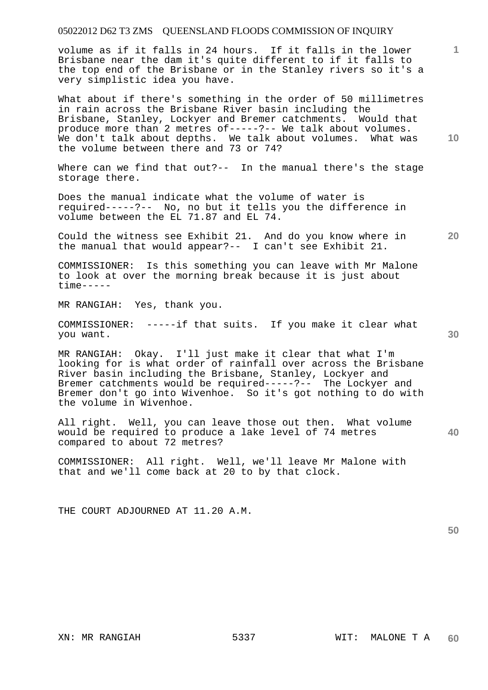volume as if it falls in 24 hours. If it falls in the lower Brisbane near the dam it's quite different to if it falls to the top end of the Brisbane or in the Stanley rivers so it's a very simplistic idea you have.

What about if there's something in the order of 50 millimetres in rain across the Brisbane River basin including the Brisbane, Stanley, Lockyer and Bremer catchments. Would that produce more than 2 metres of-----?-- We talk about volumes. We don't talk about depths. We talk about volumes. What was the volume between there and 73 or 74?

Where can we find that out?-- In the manual there's the stage storage there.

Does the manual indicate what the volume of water is required-----?-- No, no but it tells you the difference in volume between the EL 71.87 and EL 74.

Could the witness see Exhibit 21. And do you know where in the manual that would appear?-- I can't see Exhibit 21.

COMMISSIONER: Is this something you can leave with Mr Malone to look at over the morning break because it is just about time-----

MR RANGIAH: Yes, thank you.

COMMISSIONER: -----if that suits. If you make it clear what you want.

MR RANGIAH: Okay. I'll just make it clear that what I'm looking for is what order of rainfall over across the Brisbane River basin including the Brisbane, Stanley, Lockyer and Bremer catchments would be required-----?-- The Lockyer and Bremer don't go into Wivenhoe. So it's got nothing to do with the volume in Wivenhoe.

All right. Well, you can leave those out then. What volume would be required to produce a lake level of 74 metres compared to about 72 metres?

COMMISSIONER: All right. Well, we'll leave Mr Malone with that and we'll come back at 20 to by that clock.

THE COURT ADJOURNED AT 11.20 A.M.

**50** 

**40** 

**10** 

**1**

**30**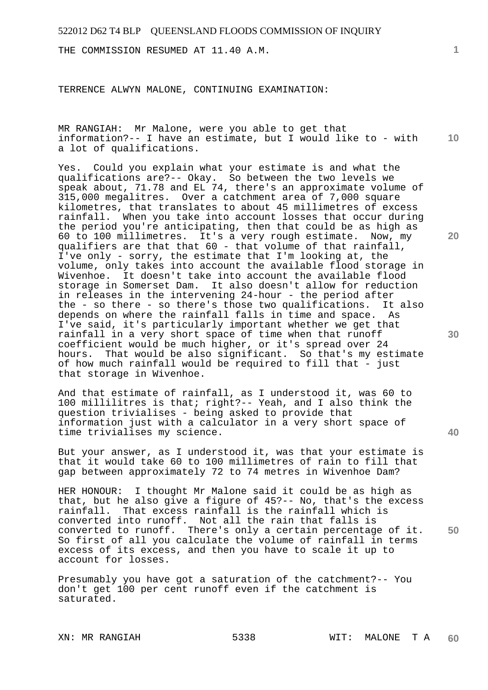THE COMMISSION RESUMED AT 11.40 A.M.

TERRENCE ALWYN MALONE, CONTINUING EXAMINATION:

**10**  MR RANGIAH: Mr Malone, were you able to get that information?-- I have an estimate, but I would like to - with a lot of qualifications.

Yes. Could you explain what your estimate is and what the qualifications are?-- Okay. So between the two levels we speak about, 71.78 and EL 74, there's an approximate volume of 315,000 megalitres. Over a catchment area of 7,000 square kilometres, that translates to about 45 millimetres of excess rainfall. When you take into account losses that occur during the period you're anticipating, then that could be as high as 60 to 100 millimetres. It's a very rough estimate. Now, my qualifiers are that that 60 - that volume of that rainfall, I've only - sorry, the estimate that I'm looking at, the volume, only takes into account the available flood storage in Wivenhoe. It doesn't take into account the available flood storage in Somerset Dam. It also doesn't allow for reduction in releases in the intervening 24-hour - the period after the - so there - so there's those two qualifications. It also depends on where the rainfall falls in time and space. As I've said, it's particularly important whether we get that rainfall in a very short space of time when that runoff coefficient would be much higher, or it's spread over 24 hours. That would be also significant. So that's my estimate of how much rainfall would be required to fill that - just that storage in Wivenhoe.

And that estimate of rainfall, as I understood it, was 60 to 100 millilitres is that; right?-- Yeah, and I also think the question trivialises - being asked to provide that information just with a calculator in a very short space of time trivialises my science.

But your answer, as I understood it, was that your estimate is that it would take 60 to 100 millimetres of rain to fill that gap between approximately 72 to 74 metres in Wivenhoe Dam?

**50**  HER HONOUR: I thought Mr Malone said it could be as high as that, but he also give a figure of 45?-- No, that's the excess rainfall. That excess rainfall is the rainfall which is That excess rainfall is the rainfall which is converted into runoff. Not all the rain that falls is converted to runoff. There's only a certain percentage of it. So first of all you calculate the volume of rainfall in terms excess of its excess, and then you have to scale it up to account for losses.

Presumably you have got a saturation of the catchment?-- You don't get 100 per cent runoff even if the catchment is saturated.

**1**

**30** 

**40**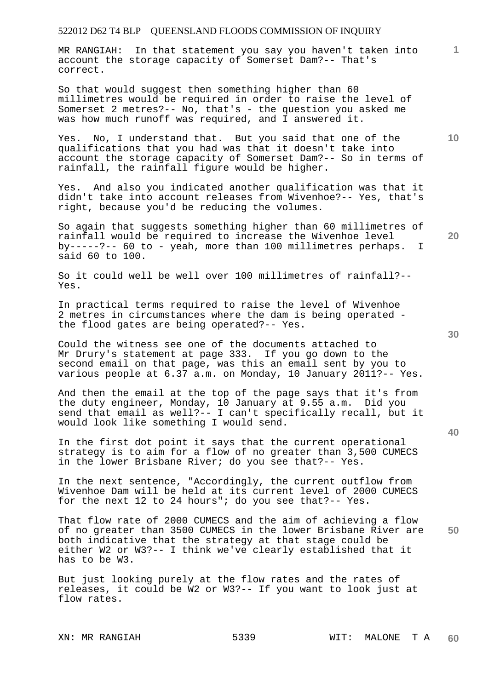MR RANGIAH: In that statement you say you haven't taken into account the storage capacity of Somerset Dam?-- That's correct.

So that would suggest then something higher than 60 millimetres would be required in order to raise the level of Somerset 2 metres?-- No, that's - the question you asked me was how much runoff was required, and I answered it.

Yes. No, I understand that. But you said that one of the qualifications that you had was that it doesn't take into account the storage capacity of Somerset Dam?-- So in terms of rainfall, the rainfall figure would be higher.

Yes. And also you indicated another qualification was that it didn't take into account releases from Wivenhoe?-- Yes, that's right, because you'd be reducing the volumes.

So again that suggests something higher than 60 millimetres of rainfall would be required to increase the Wivenhoe level by-----?-- 60 to - yeah, more than 100 millimetres perhaps. I said 60 to 100.

So it could well be well over 100 millimetres of rainfall?-- Yes.

In practical terms required to raise the level of Wivenhoe 2 metres in circumstances where the dam is being operated the flood gates are being operated?-- Yes.

Could the witness see one of the documents attached to Mr Drury's statement at page 333. If you go down to the second email on that page, was this an email sent by you to various people at 6.37 a.m. on Monday, 10 January 2011?-- Yes.

And then the email at the top of the page says that it's from the duty engineer, Monday, 10 January at 9.55 a.m. Did you send that email as well?-- I can't specifically recall, but it would look like something I would send.

In the first dot point it says that the current operational strategy is to aim for a flow of no greater than 3,500 CUMECS in the lower Brisbane River; do you see that?-- Yes.

In the next sentence, "Accordingly, the current outflow from Wivenhoe Dam will be held at its current level of 2000 CUMECS for the next 12 to 24 hours"; do you see that?-- Yes.

**50**  That flow rate of 2000 CUMECS and the aim of achieving a flow of no greater than 3500 CUMECS in the lower Brisbane River are both indicative that the strategy at that stage could be either W2 or W3?-- I think we've clearly established that it has to be W3.

But just looking purely at the flow rates and the rates of releases, it could be W2 or W3?-- If you want to look just at flow rates.

**30** 

**20** 

**40** 

**10**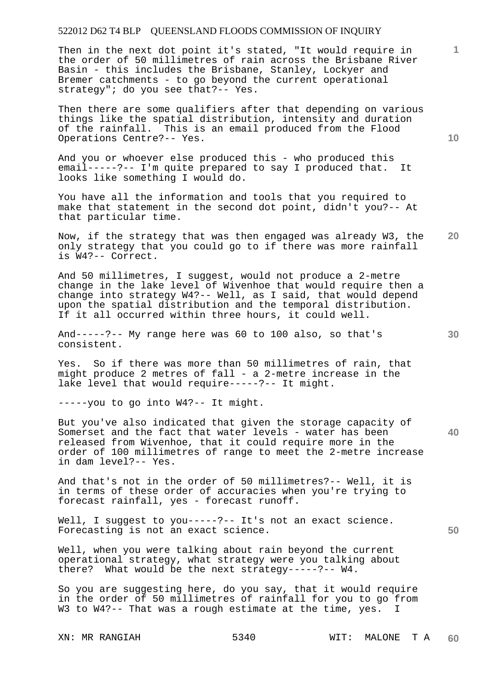Then in the next dot point it's stated, "It would require in the order of 50 millimetres of rain across the Brisbane River Basin - this includes the Brisbane, Stanley, Lockyer and Bremer catchments - to go beyond the current operational strategy"; do you see that?-- Yes.

Then there are some qualifiers after that depending on various things like the spatial distribution, intensity and duration of the rainfall. This is an email produced from the Flood Operations Centre?-- Yes.

And you or whoever else produced this - who produced this email-----?-- I'm quite prepared to say I produced that. It looks like something I would do.

You have all the information and tools that you required to make that statement in the second dot point, didn't you?-- At that particular time.

**20**  Now, if the strategy that was then engaged was already W3, the only strategy that you could go to if there was more rainfall is W4?-- Correct.

And 50 millimetres, I suggest, would not produce a 2-metre change in the lake level of Wivenhoe that would require then a change into strategy W4?-- Well, as I said, that would depend upon the spatial distribution and the temporal distribution. If it all occurred within three hours, it could well.

And-----?-- My range here was 60 to 100 also, so that's consistent.

Yes. So if there was more than 50 millimetres of rain, that might produce 2 metres of fall - a 2-metre increase in the lake level that would require-----?-- It might.

-----you to go into W4?-- It might.

**40**  But you've also indicated that given the storage capacity of Somerset and the fact that water levels - water has been released from Wivenhoe, that it could require more in the order of 100 millimetres of range to meet the 2-metre increase in dam level?-- Yes.

And that's not in the order of 50 millimetres?-- Well, it is in terms of these order of accuracies when you're trying to forecast rainfall, yes - forecast runoff.

Well, I suggest to you ----- ?-- It's not an exact science. Forecasting is not an exact science.

Well, when you were talking about rain beyond the current operational strategy, what strategy were you talking about there? What would be the next strategy-----?-- W4.

So you are suggesting here, do you say, that it would require in the order of 50 millimetres of rainfall for you to go from W3 to W4?-- That was a rough estimate at the time, yes. I

**10** 

**1**

**30**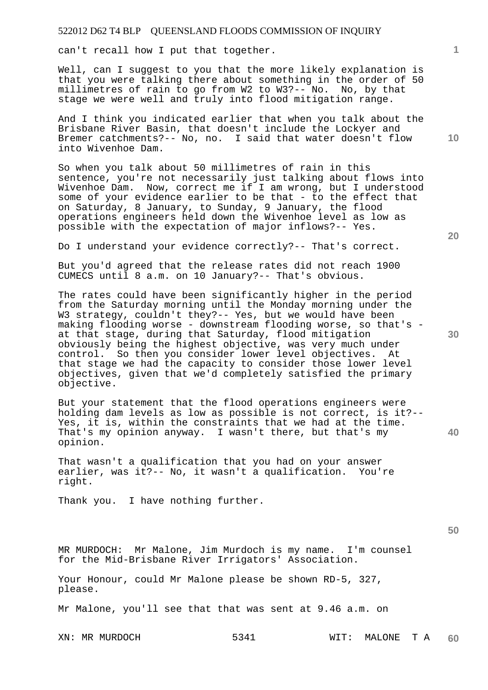can't recall how I put that together.

Well, can I suggest to you that the more likely explanation is that you were talking there about something in the order of 50 millimetres of rain to go from W2 to W3?-- No. No, by that stage we were well and truly into flood mitigation range.

And I think you indicated earlier that when you talk about the Brisbane River Basin, that doesn't include the Lockyer and Bremer catchments?-- No, no. I said that water doesn't flow into Wivenhoe Dam.

So when you talk about 50 millimetres of rain in this sentence, you're not necessarily just talking about flows into Wivenhoe Dam. Now, correct me if I am wrong, but I understood some of your evidence earlier to be that - to the effect that on Saturday, 8 January, to Sunday, 9 January, the flood operations engineers held down the Wivenhoe level as low as possible with the expectation of major inflows?-- Yes.

Do I understand your evidence correctly?-- That's correct.

But you'd agreed that the release rates did not reach 1900 CUMECS until 8 a.m. on 10 January?-- That's obvious.

The rates could have been significantly higher in the period from the Saturday morning until the Monday morning under the W3 strategy, couldn't they?-- Yes, but we would have been making flooding worse - downstream flooding worse, so that's at that stage, during that Saturday, flood mitigation obviously being the highest objective, was very much under control. So then you consider lower level objectives. At that stage we had the capacity to consider those lower level objectives, given that we'd completely satisfied the primary objective.

But your statement that the flood operations engineers were holding dam levels as low as possible is not correct, is it?-- Yes, it is, within the constraints that we had at the time. That's my opinion anyway. I wasn't there, but that's my opinion.

That wasn't a qualification that you had on your answer earlier, was it?-- No, it wasn't a qualification. You're right.

Thank you. I have nothing further.

**50** 

**40** 

MR MURDOCH: Mr Malone, Jim Murdoch is my name. I'm counsel for the Mid-Brisbane River Irrigators' Association.

Your Honour, could Mr Malone please be shown RD-5, 327, please.

Mr Malone, you'll see that that was sent at 9.46 a.m. on

**20** 

**10**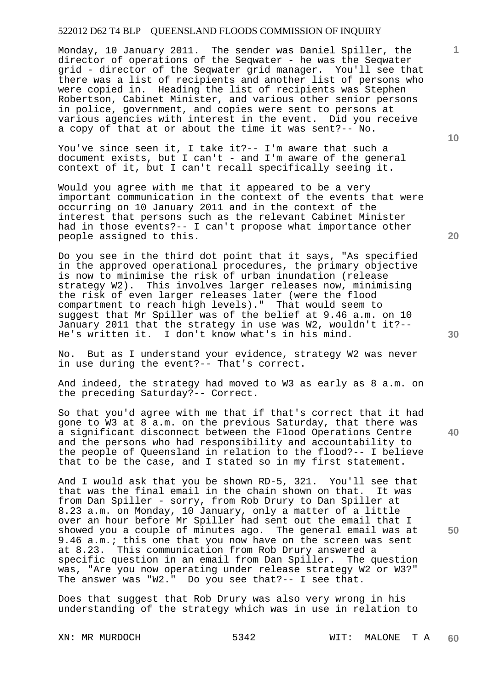Monday, 10 January 2011. The sender was Daniel Spiller, the director of operations of the Seqwater - he was the Seqwater grid - director of the Seqwater grid manager. You'll see that there was a list of recipients and another list of persons who were copied in. Heading the list of recipients was Stephen Robertson, Cabinet Minister, and various other senior persons in police, government, and copies were sent to persons at various agencies with interest in the event. Did you receive a copy of that at or about the time it was sent?-- No.

You've since seen it, I take it?-- I'm aware that such a document exists, but I can't - and I'm aware of the general context of it, but I can't recall specifically seeing it.

Would you agree with me that it appeared to be a very important communication in the context of the events that were occurring on 10 January 2011 and in the context of the interest that persons such as the relevant Cabinet Minister had in those events?-- I can't propose what importance other people assigned to this.

Do you see in the third dot point that it says, "As specified in the approved operational procedures, the primary objective is now to minimise the risk of urban inundation (release strategy W2). This involves larger releases now, minimising the risk of even larger releases later (were the flood compartment to reach high levels)." That would seem to suggest that Mr Spiller was of the belief at 9.46 a.m. on 10 January 2011 that the strategy in use was W2, wouldn't it?-- He's written it. I don't know what's in his mind.

No. But as I understand your evidence, strategy W2 was never in use during the event?-- That's correct.

And indeed, the strategy had moved to W3 as early as 8 a.m. on the preceding Saturday?-- Correct.

So that you'd agree with me that if that's correct that it had gone to W3 at 8 a.m. on the previous Saturday, that there was a significant disconnect between the Flood Operations Centre and the persons who had responsibility and accountability to the people of Queensland in relation to the flood?-- I believe that to be the case, and I stated so in my first statement.

And I would ask that you be shown RD-5, 321. You'll see that that was the final email in the chain shown on that. It was from Dan Spiller - sorry, from Rob Drury to Dan Spiller at 8.23 a.m. on Monday, 10 January, only a matter of a little over an hour before Mr Spiller had sent out the email that I showed you a couple of minutes ago. The general email was at 9.46 a.m.; this one that you now have on the screen was sent at 8.23. This communication from Rob Drury answered a specific question in an email from Dan Spiller. The question was, "Are you now operating under release strategy W2 or W3?" The answer was "W2." Do you see that?-- I see that.

Does that suggest that Rob Drury was also very wrong in his understanding of the strategy which was in use in relation to

**10** 

**1**

**20** 

**50**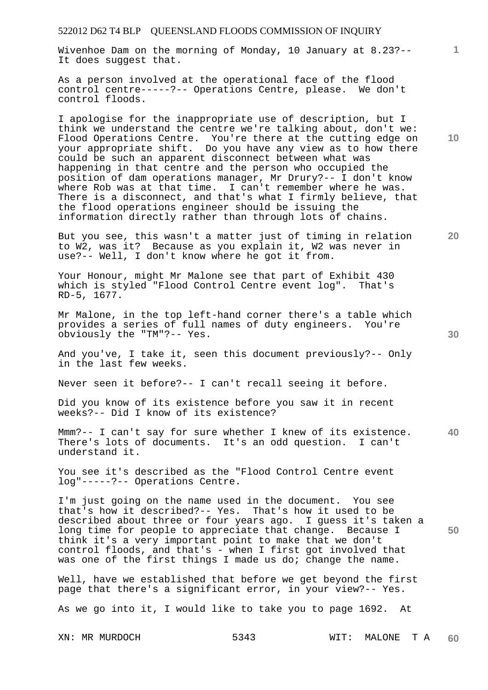Wivenhoe Dam on the morning of Monday, 10 January at 8.23?-- It does suggest that.

As a person involved at the operational face of the flood control centre-----?-- Operations Centre, please. We don't control floods.

I apologise for the inappropriate use of description, but I think we understand the centre we're talking about, don't we: Flood Operations Centre. You're there at the cutting edge on your appropriate shift. Do you have any view as to how there could be such an apparent disconnect between what was happening in that centre and the person who occupied the position of dam operations manager, Mr Drury?-- I don't know where Rob was at that time. I can't remember where he was. There is a disconnect, and that's what I firmly believe, that the flood operations engineer should be issuing the information directly rather than through lots of chains.

But you see, this wasn't a matter just of timing in relation to W2, was it? Because as you explain it, W2 was never in use?-- Well, I don't know where he got it from.

Your Honour, might Mr Malone see that part of Exhibit 430 which is styled "Flood Control Centre event log". That's RD-5, 1677.

Mr Malone, in the top left-hand corner there's a table which provides a series of full names of duty engineers. You're obviously the "TM"?-- Yes.

And you've, I take it, seen this document previously?-- Only in the last few weeks.

Never seen it before?-- I can't recall seeing it before.

Did you know of its existence before you saw it in recent weeks?-- Did I know of its existence?

**40**  Mmm?-- I can't say for sure whether I knew of its existence. There's lots of documents. It's an odd question. I can't understand it.

You see it's described as the "Flood Control Centre event log"-----?-- Operations Centre.

I'm just going on the name used in the document. You see that's how it described?-- Yes. That's how it used to be described about three or four years ago. I guess it's taken a long time for people to appreciate that change. Because I think it's a very important point to make that we don't control floods, and that's - when I first got involved that was one of the first things I made us do; change the name.

Well, have we established that before we get beyond the first page that there's a significant error, in your view?-- Yes.

As we go into it, I would like to take you to page 1692. At

**10** 

**1**

**20**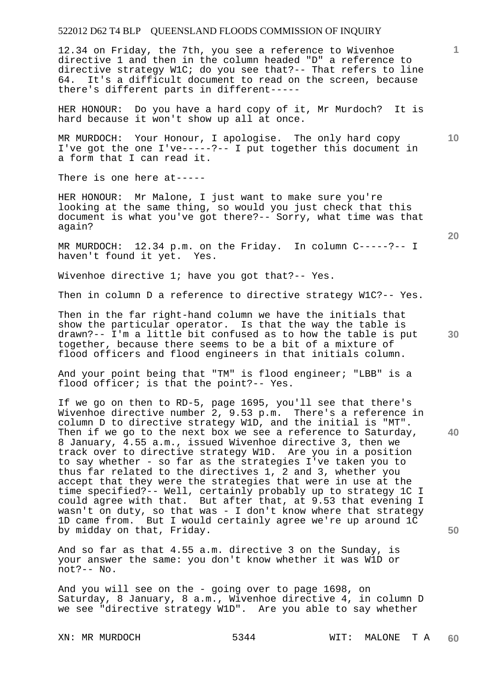12.34 on Friday, the 7th, you see a reference to Wivenhoe directive 1 and then in the column headed "D" a reference to directive strategy W1C; do you see that?-- That refers to line 64. It's a difficult document to read on the screen, because there's different parts in different-----

HER HONOUR: Do you have a hard copy of it, Mr Murdoch? It is hard because it won't show up all at once.

MR MURDOCH: Your Honour, I apologise. The only hard copy I've got the one I've-----?-- I put together this document in a form that I can read it.

There is one here at-----

HER HONOUR: Mr Malone, I just want to make sure you're looking at the same thing, so would you just check that this document is what you've got there?-- Sorry, what time was that again?

MR MURDOCH:  $12.34$  p.m. on the Friday. In column  $C---?--1$  haven't found it yet. Yes. haven't found it yet.

Wivenhoe directive 1; have you got that?-- Yes.

Then in column D a reference to directive strategy W1C?-- Yes.

Then in the far right-hand column we have the initials that show the particular operator. Is that the way the table is drawn?-- I'm a little bit confused as to how the table is put together, because there seems to be a bit of a mixture of flood officers and flood engineers in that initials column.

And your point being that "TM" is flood engineer; "LBB" is a flood officer; is that the point?-- Yes.

If we go on then to RD-5, page 1695, you'll see that there's Wivenhoe directive number 2, 9.53 p.m. There's a reference in column D to directive strategy W1D, and the initial is "MT". Then if we go to the next box we see a reference to Saturday, 8 January, 4.55 a.m., issued Wivenhoe directive 3, then we track over to directive strategy W1D. Are you in a position to say whether - so far as the strategies I've taken you to thus far related to the directives 1, 2 and 3, whether you accept that they were the strategies that were in use at the time specified?-- Well, certainly probably up to strategy 1C I could agree with that. But after that, at 9.53 that evening I wasn't on duty, so that was - I don't know where that strategy 1D came from. But I would certainly agree we're up around 1C by midday on that, Friday.

And so far as that 4.55 a.m. directive 3 on the Sunday, is your answer the same: you don't know whether it was W1D or not?-- No.

And you will see on the - going over to page 1698, on Saturday, 8 January, 8 a.m., Wivenhoe directive 4, in column D we see "directive strategy W1D". Are you able to say whether

**20** 

**40** 

**50** 

**10**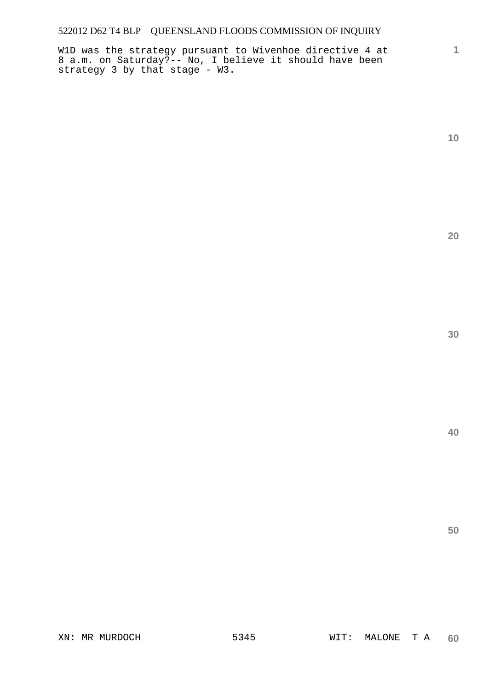W1D was the strategy pursuant to Wivenhoe directive 4 at 8 a.m. on Saturday?-- No, I believe it should have been strategy 3 by that stage - W3.

**10** 

**1**

**20**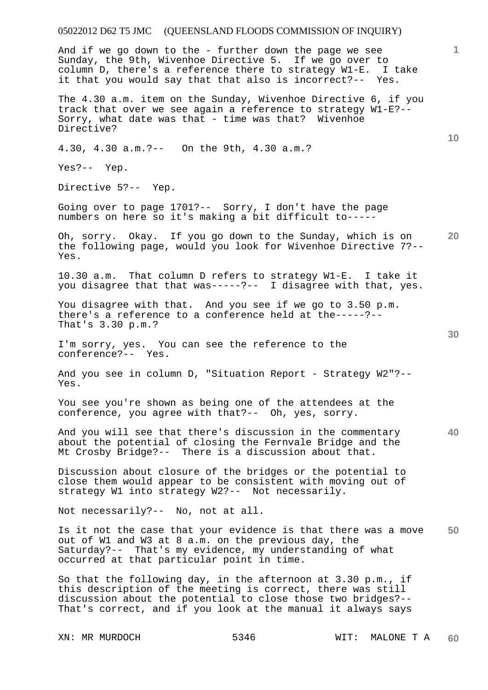## 05022012 D62 T5 JMC (QUEENSLAND FLOODS COMMISSION OF INQUIRY) **1 10 20 30 40 50**  And if we go down to the - further down the page we see Sunday, the 9th, Wivenhoe Directive 5. If we go over to column D, there's a reference there to strategy W1-E. I take it that you would say that that also is incorrect?-- Yes. The 4.30 a.m. item on the Sunday, Wivenhoe Directive 6, if you track that over we see again a reference to strategy W1-E?-- Sorry, what date was that - time was that? Wivenhoe Directive? 4.30, 4.30 a.m.?-- On the 9th, 4.30 a.m.? Yes?-- Yep. Directive 5?-- Yep. Going over to page 1701?-- Sorry, I don't have the page numbers on here so it's making a bit difficult to----- Oh, sorry. Okay. If you go down to the Sunday, which is on the following page, would you look for Wivenhoe Directive 7?-- Yes. 10.30 a.m. That column D refers to strategy W1-E. I take it you disagree that that was-----?-- I disagree with that, yes. You disagree with that. And you see if we go to 3.50 p.m. there's a reference to a conference held at the-----?-- That's 3.30 p.m.? I'm sorry, yes. You can see the reference to the conference?-- Yes. And you see in column D, "Situation Report - Strategy W2"?-- Yes. You see you're shown as being one of the attendees at the conference, you agree with that?-- Oh, yes, sorry. And you will see that there's discussion in the commentary about the potential of closing the Fernvale Bridge and the Mt Crosby Bridge?-- There is a discussion about that. Discussion about closure of the bridges or the potential to close them would appear to be consistent with moving out of strategy W1 into strategy W2?-- Not necessarily. Not necessarily?-- No, not at all. Is it not the case that your evidence is that there was a move out of W1 and W3 at 8 a.m. on the previous day, the Saturday?-- That's my evidence, my understanding of what occurred at that particular point in time. So that the following day, in the afternoon at 3.30 p.m., if

this description of the meeting is correct, there was still discussion about the potential to close those two bridges?-- That's correct, and if you look at the manual it always says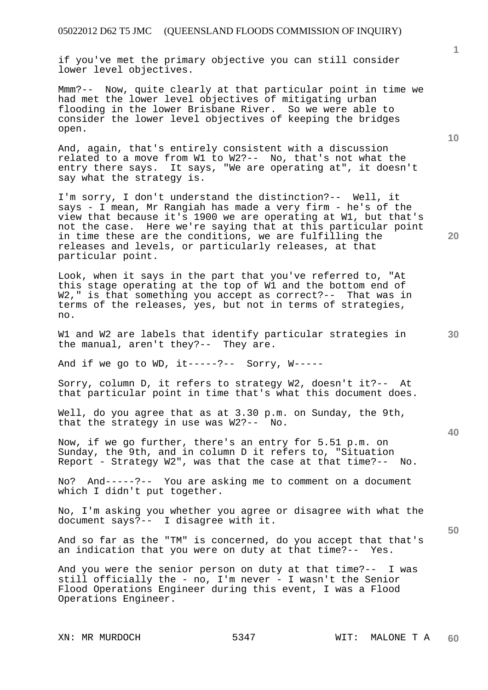if you've met the primary objective you can still consider lower level objectives.

Mmm?-- Now, quite clearly at that particular point in time we had met the lower level objectives of mitigating urban flooding in the lower Brisbane River. So we were able to consider the lower level objectives of keeping the bridges open.

And, again, that's entirely consistent with a discussion related to a move from W1 to W2?-- No, that's not what the entry there says. It says, "We are operating at", it doesn't say what the strategy is.

I'm sorry, I don't understand the distinction?-- Well, it says - I mean, Mr Rangiah has made a very firm - he's of the view that because it's 1900 we are operating at W1, but that's not the case. Here we're saying that at this particular point in time these are the conditions, we are fulfilling the releases and levels, or particularly releases, at that particular point.

Look, when it says in the part that you've referred to, "At this stage operating at the top of W1 and the bottom end of W2," is that something you accept as correct?-- That was in terms of the releases, yes, but not in terms of strategies, no.

W1 and W2 are labels that identify particular strategies in the manual, aren't they?-- They are.

And if we go to  $WD$ , it-----?-- Sorry,  $W$ -----

Sorry, column D, it refers to strategy W2, doesn't it?-- At that particular point in time that's what this document does.

Well, do you agree that as at 3.30 p.m. on Sunday, the 9th, that the strategy in use was W2?-- No.

Now, if we go further, there's an entry for 5.51 p.m. on Sunday, the 9th, and in column D it refers to, "Situation Report - Strategy W2", was that the case at that time?-- No.

No? And-----?-- You are asking me to comment on a document which I didn't put together.

No, I'm asking you whether you agree or disagree with what the document says?-- I disagree with it.

And so far as the "TM" is concerned, do you accept that that's an indication that you were on duty at that time?-- Yes.

And you were the senior person on duty at that time?-- I was still officially the - no, I'm never - I wasn't the Senior Flood Operations Engineer during this event, I was a Flood Operations Engineer.

**10** 

**40**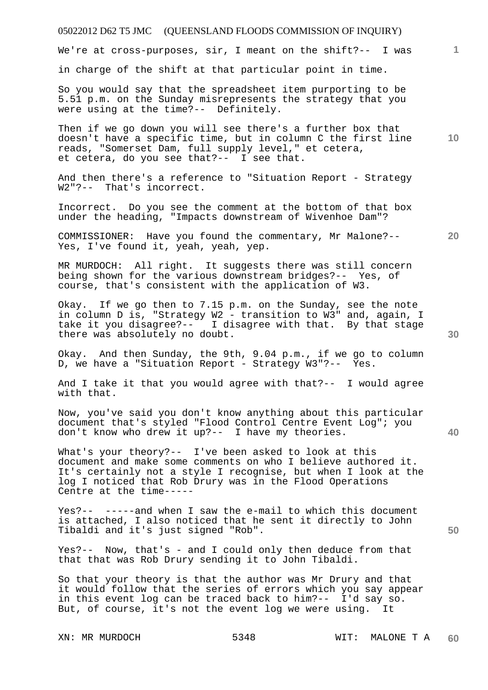We're at cross-purposes, sir, I meant on the shift?-- I was

in charge of the shift at that particular point in time.

So you would say that the spreadsheet item purporting to be 5.51 p.m. on the Sunday misrepresents the strategy that you were using at the time?-- Definitely.

Then if we go down you will see there's a further box that doesn't have a specific time, but in column C the first line reads, "Somerset Dam, full supply level," et cetera, et cetera, do you see that?-- I see that.

And then there's a reference to "Situation Report - Strategy W2"?-- That's incorrect.

Incorrect. Do you see the comment at the bottom of that box under the heading, "Impacts downstream of Wivenhoe Dam"?

COMMISSIONER: Have you found the commentary, Mr Malone?-- Yes, I've found it, yeah, yeah, yep.

MR MURDOCH: All right. It suggests there was still concern being shown for the various downstream bridges?-- Yes, of course, that's consistent with the application of W3.

Okay. If we go then to 7.15 p.m. on the Sunday, see the note in column D is, "Strategy W2 - transition to W3" and, again, I take it you disagree?-- I disagree with that. By that stage there was absolutely no doubt.

Okay. And then Sunday, the 9th, 9.04 p.m., if we go to column D, we have a "Situation Report - Strategy W3"?-- Yes.

And I take it that you would agree with that?-- I would agree with that.

Now, you've said you don't know anything about this particular document that's styled "Flood Control Centre Event Log"; you don't know who drew it up?-- I have my theories.

What's your theory?-- I've been asked to look at this document and make some comments on who I believe authored it. It's certainly not a style I recognise, but when I look at the log I noticed that Rob Drury was in the Flood Operations Centre at the time-----

Yes?-- -----and when I saw the e-mail to which this document is attached, I also noticed that he sent it directly to John Tibaldi and it's just signed "Rob".

Yes?-- Now, that's - and I could only then deduce from that that that was Rob Drury sending it to John Tibaldi.

So that your theory is that the author was Mr Drury and that it would follow that the series of errors which you say appear in this event log can be traced back to him?-- I'd say so. But, of course, it's not the event log we were using. It

**20** 

**1**

**10** 

**40**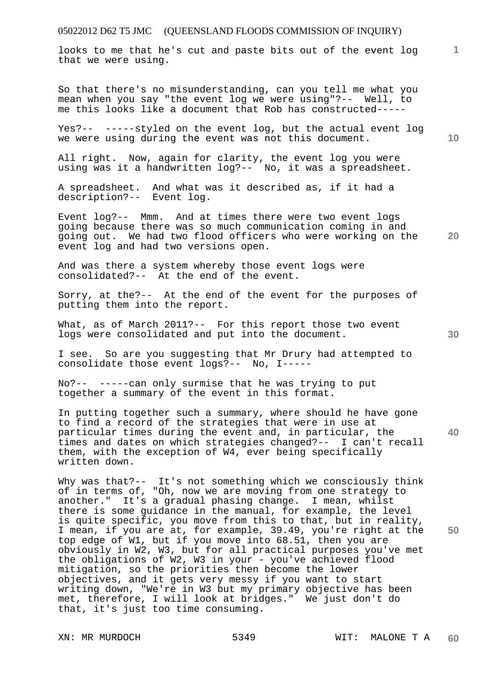looks to me that he's cut and paste bits out of the event log that we were using.

So that there's no misunderstanding, can you tell me what you mean when you say "the event log we were using"?-- Well, to me this looks like a document that Rob has constructed-----

Yes?-- -----styled on the event log, but the actual event log we were using during the event was not this document.

All right. Now, again for clarity, the event log you were using was it a handwritten log?-- No, it was a spreadsheet.

A spreadsheet. And what was it described as, if it had a description?-- Event log.

**20**  Event log?-- Mmm. And at times there were two event logs going because there was so much communication coming in and going out. We had two flood officers who were working on the event log and had two versions open.

And was there a system whereby those event logs were consolidated?-- At the end of the event.

Sorry, at the?-- At the end of the event for the purposes of putting them into the report.

What, as of March 2011?-- For this report those two event logs were consolidated and put into the document.

I see. So are you suggesting that Mr Drury had attempted to consolidate those event logs?-- No, I-----

No?-- -----can only surmise that he was trying to put together a summary of the event in this format.

In putting together such a summary, where should he have gone to find a record of the strategies that were in use at particular times during the event and, in particular, the times and dates on which strategies changed?-- I can't recall them, with the exception of W4, ever being specifically written down.

Why was that?-- It's not something which we consciously think of in terms of, "Oh, now we are moving from one strategy to another." It's a gradual phasing change. I mean, whilst there is some guidance in the manual, for example, the level is quite specific, you move from this to that, but in reality, I mean, if you are at, for example, 39.49, you're right at the top edge of W1, but if you move into 68.51, then you are obviously in W2, W3, but for all practical purposes you've met the obligations of W2, W3 in your - you've achieved flood mitigation, so the priorities then become the lower objectives, and it gets very messy if you want to start writing down, "We're in W3 but my primary objective has been met, therefore, I will look at bridges." We just don't do that, it's just too time consuming.

**10** 

**1**

**30** 

**40**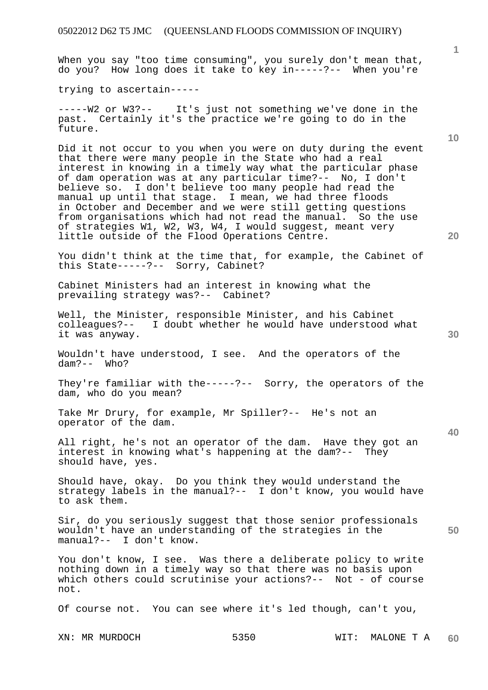When you say "too time consuming", you surely don't mean that, do you? How long does it take to key in-----?-- When you're

trying to ascertain-----

-----W2 or W3?-- It's just not something we've done in the past. Certainly it's the practice we're going to do in the future.

Did it not occur to you when you were on duty during the event that there were many people in the State who had a real interest in knowing in a timely way what the particular phase of dam operation was at any particular time?-- No, I don't believe so. I don't believe too many people had read the manual up until that stage. I mean, we had three floods in October and December and we were still getting questions from organisations which had not read the manual. So the use of strategies W1, W2, W3, W4, I would suggest, meant very little outside of the Flood Operations Centre.

You didn't think at the time that, for example, the Cabinet of this State-----?-- Sorry, Cabinet?

Cabinet Ministers had an interest in knowing what the prevailing strategy was?-- Cabinet?

Well, the Minister, responsible Minister, and his Cabinet colleagues?-- I doubt whether he would have understood what it was anyway.

Wouldn't have understood, I see. And the operators of the dam?-- Who?

They're familiar with the-----?-- Sorry, the operators of the dam, who do you mean?

Take Mr Drury, for example, Mr Spiller?-- He's not an operator of the dam.

All right, he's not an operator of the dam. Have they got an interest in knowing what's happening at the dam?-- They should have, yes.

Should have, okay. Do you think they would understand the strategy labels in the manual?-- I don't know, you would have to ask them.

Sir, do you seriously suggest that those senior professionals wouldn't have an understanding of the strategies in the manual?-- I don't know.

You don't know, I see. Was there a deliberate policy to write nothing down in a timely way so that there was no basis upon which others could scrutinise your actions?-- Not - of course not.

Of course not. You can see where it's led though, can't you,

**1**

**40**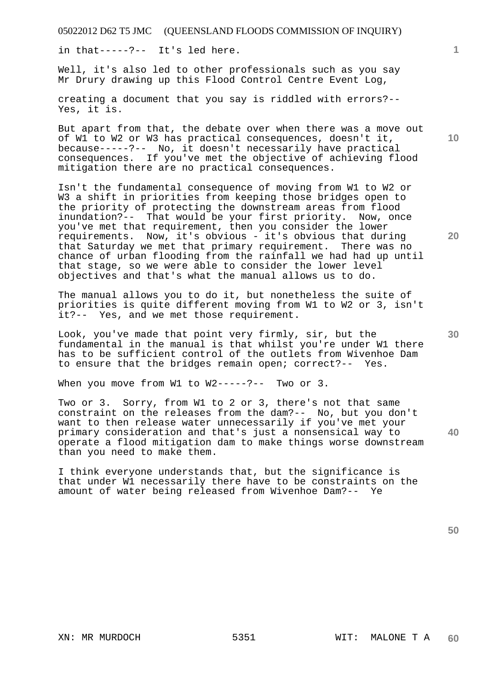in that-----?-- It's led here.

Well, it's also led to other professionals such as you say Mr Drury drawing up this Flood Control Centre Event Log,

creating a document that you say is riddled with errors?-- Yes, it is.

But apart from that, the debate over when there was a move out of W1 to W2 or W3 has practical consequences, doesn't it, because-----?-- No, it doesn't necessarily have practical consequences. If you've met the objective of achieving flood mitigation there are no practical consequences.

Isn't the fundamental consequence of moving from W1 to W2 or W3 a shift in priorities from keeping those bridges open to the priority of protecting the downstream areas from flood inundation?-- That would be your first priority. Now, once you've met that requirement, then you consider the lower requirements. Now, it's obvious - it's obvious that during that Saturday we met that primary requirement. There was no chance of urban flooding from the rainfall we had had up until that stage, so we were able to consider the lower level objectives and that's what the manual allows us to do.

The manual allows you to do it, but nonetheless the suite of priorities is quite different moving from W1 to W2 or 3, isn't it?-- Yes, and we met those requirement.

Look, you've made that point very firmly, sir, but the fundamental in the manual is that whilst you're under W1 there has to be sufficient control of the outlets from Wivenhoe Dam to ensure that the bridges remain open; correct?-- Yes.

When you move from W1 to W2-----?-- Two or 3.

Two or 3. Sorry, from W1 to 2 or 3, there's not that same constraint on the releases from the dam?-- No, but you don't want to then release water unnecessarily if you've met your primary consideration and that's just a nonsensical way to operate a flood mitigation dam to make things worse downstream than you need to make them.

I think everyone understands that, but the significance is that under W1 necessarily there have to be constraints on the amount of water being released from Wivenhoe Dam?-- Ye

**50** 

**10** 

**1**

**30** 

**40**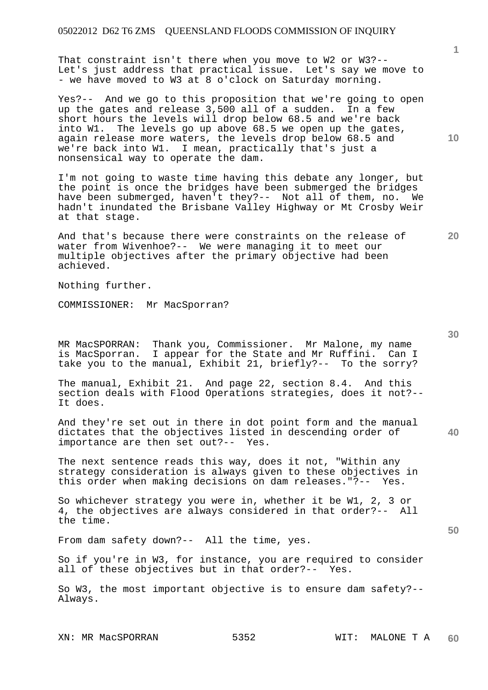That constraint isn't there when you move to W2 or W3?-- Let's just address that practical issue. Let's say we move to - we have moved to W3 at 8 o'clock on Saturday morning.

Yes?-- And we go to this proposition that we're going to open up the gates and release 3,500 all of a sudden. In a few short hours the levels will drop below 68.5 and we're back into W1. The levels go up above 68.5 we open up the gates, again release more waters, the levels drop below 68.5 and we're back into W1. I mean, practically that's just a nonsensical way to operate the dam.

I'm not going to waste time having this debate any longer, but the point is once the bridges have been submerged the bridges have been submerged, haven't they?-- Not all of them, no. We hadn't inundated the Brisbane Valley Highway or Mt Crosby Weir at that stage.

And that's because there were constraints on the release of water from Wivenhoe?-- We were managing it to meet our multiple objectives after the primary objective had been achieved.

Nothing further.

COMMISSIONER: Mr MacSporran?

MR MacSPORRAN: Thank you, Commissioner. Mr Malone, my name is MacSporran. I appear for the State and Mr Ruffini. Can I take you to the manual, Exhibit 21, briefly?-- To the sorry?

The manual, Exhibit 21. And page 22, section 8.4. And this section deals with Flood Operations strategies, does it not?-- It does.

And they're set out in there in dot point form and the manual dictates that the objectives listed in descending order of importance are then set out?-- Yes.

The next sentence reads this way, does it not, "Within any strategy consideration is always given to these objectives in this order when making decisions on dam releases."?-- Yes.

So whichever strategy you were in, whether it be W1, 2, 3 or 4, the objectives are always considered in that order?-- All the time.

From dam safety down?-- All the time, yes.

So if you're in W3, for instance, you are required to consider all of these objectives but in that order?-- Yes.

So W3, the most important objective is to ensure dam safety?-- Always.

**20** 

**10** 

**30** 

**40**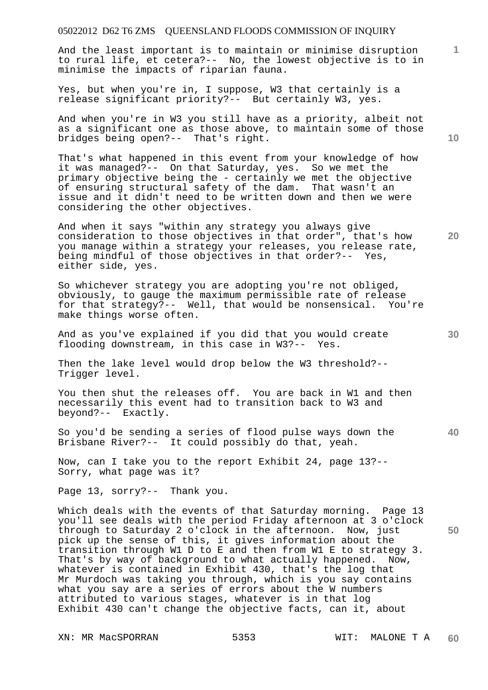And the least important is to maintain or minimise disruption to rural life, et cetera?-- No, the lowest objective is to in minimise the impacts of riparian fauna.

Yes, but when you're in, I suppose, W3 that certainly is a release significant priority?-- But certainly W3, yes.

And when you're in W3 you still have as a priority, albeit not as a significant one as those above, to maintain some of those bridges being open?-- That's right.

That's what happened in this event from your knowledge of how it was managed?-- On that Saturday, yes. So we met the primary objective being the - certainly we met the objective of ensuring structural safety of the dam. That wasn't an issue and it didn't need to be written down and then we were considering the other objectives.

And when it says "within any strategy you always give consideration to those objectives in that order", that's how you manage within a strategy your releases, you release rate, being mindful of those objectives in that order?-- Yes, either side, yes.

So whichever strategy you are adopting you're not obliged, obviously, to gauge the maximum permissible rate of release for that strategy?-- Well, that would be nonsensical. You're make things worse often.

And as you've explained if you did that you would create flooding downstream, in this case in W3?-- Yes.

Then the lake level would drop below the W3 threshold?-- Trigger level.

You then shut the releases off. You are back in W1 and then necessarily this event had to transition back to W3 and beyond?-- Exactly.

So you'd be sending a series of flood pulse ways down the Brisbane River?-- It could possibly do that, yeah.

Now, can I take you to the report Exhibit 24, page 13?-- Sorry, what page was it?

Page 13, sorry?-- Thank you.

Which deals with the events of that Saturday morning. Page 13 you'll see deals with the period Friday afternoon at 3 o'clock through to Saturday 2 o'clock in the afternoon. Now, just pick up the sense of this, it gives information about the transition through W1 D to E and then from W1 E to strategy 3. That's by way of background to what actually happened. Now, whatever is contained in Exhibit 430, that's the log that Mr Murdoch was taking you through, which is you say contains what you say are a series of errors about the W numbers attributed to various stages, whatever is in that log Exhibit 430 can't change the objective facts, can it, about

**10** 

**1**

**30** 

**20** 

**50**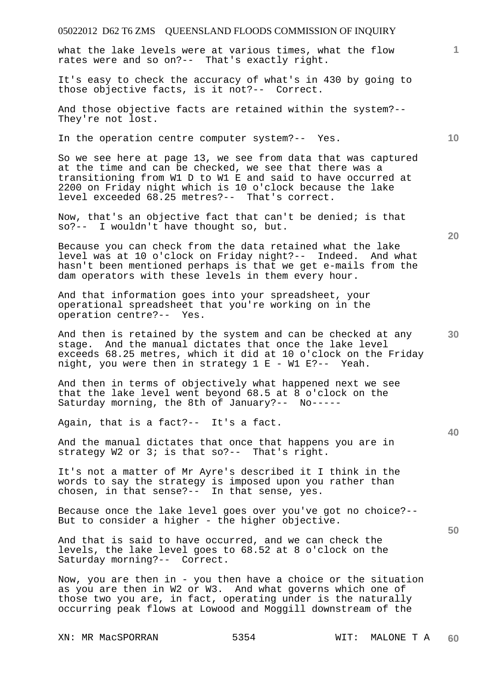# 05022012 D62 T6 ZMS QUEENSLAND FLOODS COMMISSION OF INQUIRY XN: MR MacSPORRAN 5354 WIT: MALONE T A **1 10 20 30 40 50 60**  what the lake levels were at various times, what the flow rates were and so on?-- That's exactly right. It's easy to check the accuracy of what's in 430 by going to those objective facts, is it not?-- Correct. And those objective facts are retained within the system?-- They're not lost. In the operation centre computer system?-- Yes. So we see here at page 13, we see from data that was captured at the time and can be checked, we see that there was a transitioning from W1 D to W1 E and said to have occurred at 2200 on Friday night which is 10 o'clock because the lake level exceeded 68.25 metres?-- That's correct. Now, that's an objective fact that can't be denied; is that so?-- I wouldn't have thought so, but. Because you can check from the data retained what the lake level was at 10 o'clock on Friday night?-- Indeed. And what hasn't been mentioned perhaps is that we get e-mails from the dam operators with these levels in them every hour. And that information goes into your spreadsheet, your operational spreadsheet that you're working on in the operation centre?-- Yes. And then is retained by the system and can be checked at any stage. And the manual dictates that once the lake level exceeds 68.25 metres, which it did at 10 o'clock on the Friday night, you were then in strategy 1 E - W1 E?-- Yeah. And then in terms of objectively what happened next we see that the lake level went beyond 68.5 at 8 o'clock on the Saturday morning, the 8th of January?-- No----- Again, that is a fact?-- It's a fact. And the manual dictates that once that happens you are in strategy W2 or 3; is that so?-- That's right. It's not a matter of Mr Ayre's described it I think in the words to say the strategy is imposed upon you rather than chosen, in that sense?-- In that sense, yes. Because once the lake level goes over you've got no choice?-- But to consider a higher - the higher objective. And that is said to have occurred, and we can check the levels, the lake level goes to 68.52 at 8 o'clock on the Saturday morning?-- Correct. Now, you are then in - you then have a choice or the situation as you are then in W2 or W3. And what governs which one of those two you are, in fact, operating under is the naturally occurring peak flows at Lowood and Moggill downstream of the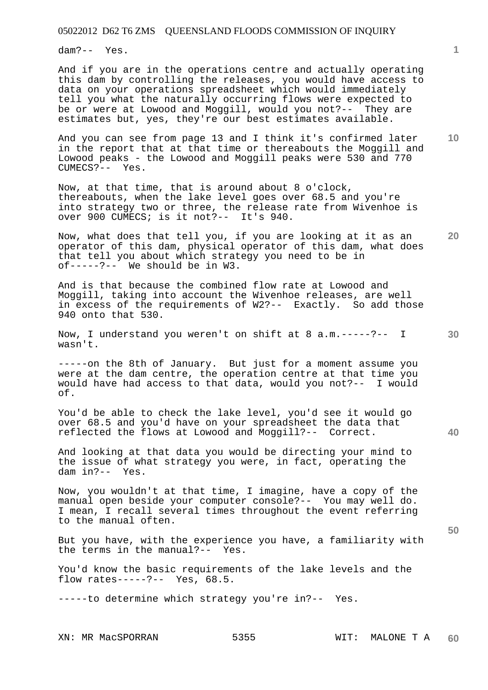dam?-- Yes.

And if you are in the operations centre and actually operating this dam by controlling the releases, you would have access to data on your operations spreadsheet which would immediately tell you what the naturally occurring flows were expected to be or were at Lowood and Moggill, would you not?-- They are estimates but, yes, they're our best estimates available.

**10**  And you can see from page 13 and I think it's confirmed later in the report that at that time or thereabouts the Moggill and Lowood peaks - the Lowood and Moggill peaks were 530 and 770 CUMECS?-- Yes.

Now, at that time, that is around about 8 o'clock, thereabouts, when the lake level goes over 68.5 and you're into strategy two or three, the release rate from Wivenhoe is over 900 CUMECS; is it not?-- It's 940.

Now, what does that tell you, if you are looking at it as an operator of this dam, physical operator of this dam, what does that tell you about which strategy you need to be in of-----?-- We should be in W3.

And is that because the combined flow rate at Lowood and Moggill, taking into account the Wivenhoe releases, are well in excess of the requirements of W2?-- Exactly. So add those 940 onto that 530.

**30**  Now, I understand you weren't on shift at 8 a.m.-----?-- I wasn't.

-----on the 8th of January. But just for a moment assume you were at the dam centre, the operation centre at that time you would have had access to that data, would you not?-- I would of.

You'd be able to check the lake level, you'd see it would go over 68.5 and you'd have on your spreadsheet the data that reflected the flows at Lowood and Moggill?-- Correct.

And looking at that data you would be directing your mind to the issue of what strategy you were, in fact, operating the dam in?-- Yes.

Now, you wouldn't at that time, I imagine, have a copy of the manual open beside your computer console?-- You may well do. I mean, I recall several times throughout the event referring to the manual often.

But you have, with the experience you have, a familiarity with the terms in the manual?-- Yes.

You'd know the basic requirements of the lake levels and the flow rates-----?-- Yes, 68.5.

-----to determine which strategy you're in?-- Yes.

**1**

**20** 

**40**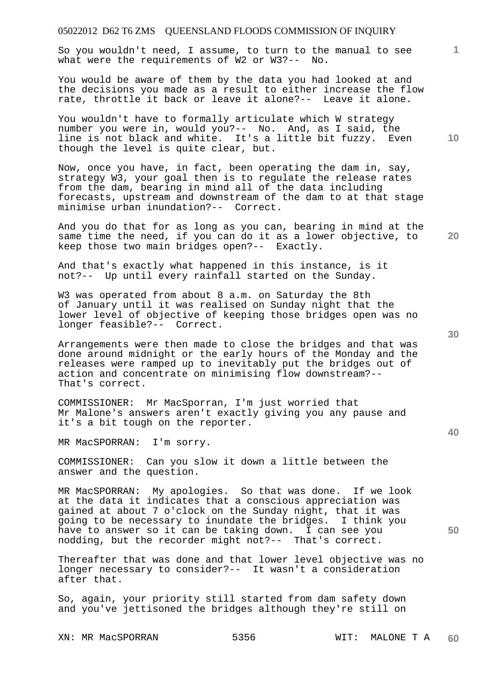So you wouldn't need, I assume, to turn to the manual to see what were the requirements of W2 or W3?-- No.

You would be aware of them by the data you had looked at and the decisions you made as a result to either increase the flow rate, throttle it back or leave it alone?-- Leave it alone.

You wouldn't have to formally articulate which W strategy number you were in, would you?-- No. And, as I said, the line is not black and white. It's a little bit fuzzy. Even though the level is quite clear, but.

Now, once you have, in fact, been operating the dam in, say, strategy W3, your goal then is to regulate the release rates from the dam, bearing in mind all of the data including forecasts, upstream and downstream of the dam to at that stage minimise urban inundation?-- Correct.

And you do that for as long as you can, bearing in mind at the same time the need, if you can do it as a lower objective, to keep those two main bridges open?-- Exactly.

And that's exactly what happened in this instance, is it not?-- Up until every rainfall started on the Sunday.

W3 was operated from about 8 a.m. on Saturday the 8th of January until it was realised on Sunday night that the lower level of objective of keeping those bridges open was no longer feasible?-- Correct.

Arrangements were then made to close the bridges and that was done around midnight or the early hours of the Monday and the releases were ramped up to inevitably put the bridges out of action and concentrate on minimising flow downstream?-- That's correct.

COMMISSIONER: Mr MacSporran, I'm just worried that Mr Malone's answers aren't exactly giving you any pause and it's a bit tough on the reporter.

MR MacSPORRAN: I'm sorry.

COMMISSIONER: Can you slow it down a little between the answer and the question.

MR MacSPORRAN: My apologies. So that was done. If we look at the data it indicates that a conscious appreciation was gained at about 7 o'clock on the Sunday night, that it was going to be necessary to inundate the bridges. I think you have to answer so it can be taking down. I can see you nodding, but the recorder might not?-- That's correct.

Thereafter that was done and that lower level objective was no longer necessary to consider?-- It wasn't a consideration after that.

So, again, your priority still started from dam safety down and you've jettisoned the bridges although they're still on

XN: MR MacSPORRAN 5356 WIT: MALONE T A

**60** 

**30** 

**40** 

**50** 

**10** 

**20**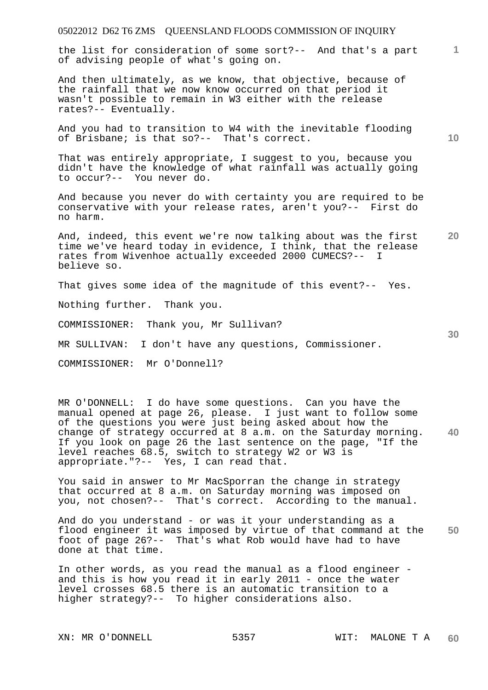**1** the list for consideration of some sort?-- And that's a part of advising people of what's going on.

And then ultimately, as we know, that objective, because of the rainfall that we now know occurred on that period it wasn't possible to remain in W3 either with the release rates?-- Eventually.

And you had to transition to W4 with the inevitable flooding of Brisbane; is that so?-- That's correct.

That was entirely appropriate, I suggest to you, because you didn't have the knowledge of what rainfall was actually going to occur?-- You never do.

And because you never do with certainty you are required to be conservative with your release rates, aren't you?-- First do no harm.

**20**  And, indeed, this event we're now talking about was the first time we've heard today in evidence, I think, that the release rates from Wivenhoe actually exceeded 2000 CUMECS?-- I believe so.

That gives some idea of the magnitude of this event?-- Yes.

Nothing further. Thank you.

COMMISSIONER: Thank you, Mr Sullivan?

MR SULLIVAN: I don't have any questions, Commissioner.

COMMISSIONER: Mr O'Donnell?

**40**  MR O'DONNELL: I do have some questions. Can you have the manual opened at page 26, please. I just want to follow some of the questions you were just being asked about how the change of strategy occurred at 8 a.m. on the Saturday morning. If you look on page 26 the last sentence on the page, "If the level reaches 68.5, switch to strategy W2 or W3 is appropriate."?-- Yes, I can read that.

You said in answer to Mr MacSporran the change in strategy that occurred at 8 a.m. on Saturday morning was imposed on you, not chosen?-- That's correct. According to the manual.

**50**  And do you understand - or was it your understanding as a flood engineer it was imposed by virtue of that command at the foot of page 26?-- That's what Rob would have had to have done at that time.

In other words, as you read the manual as a flood engineer and this is how you read it in early 2011 - once the water level crosses 68.5 there is an automatic transition to a higher strategy?-- To higher considerations also.

**10**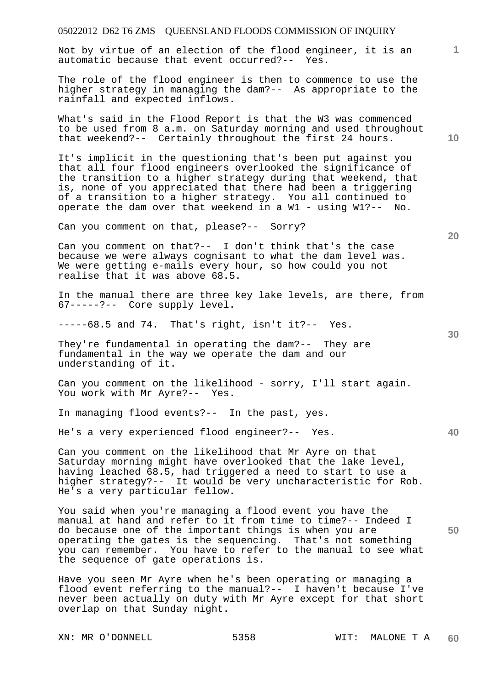| 05022012 D62 T6 ZMS  QUEENSLAND FLOODS COMMISSION OF INQUIRY                                                                                                                                                                                                                                                                                                                                     |    |
|--------------------------------------------------------------------------------------------------------------------------------------------------------------------------------------------------------------------------------------------------------------------------------------------------------------------------------------------------------------------------------------------------|----|
| Not by virtue of an election of the flood engineer, it is an<br>automatic because that event occurred?-- Yes.                                                                                                                                                                                                                                                                                    | 1. |
| The role of the flood engineer is then to commence to use the<br>higher strategy in managing the dam?-- As appropriate to the<br>rainfall and expected inflows.                                                                                                                                                                                                                                  |    |
| What's said in the Flood Report is that the W3 was commenced<br>to be used from 8 a.m. on Saturday morning and used throughout<br>that weekend?-- Certainly throughout the first 24 hours.                                                                                                                                                                                                       | 10 |
| It's implicit in the questioning that's been put against you<br>that all four flood engineers overlooked the significance of<br>the transition to a higher strategy during that weekend, that<br>is, none of you appreciated that there had been a triggering<br>of a transition to a higher strategy. You all continued to<br>operate the dam over that weekend in a $W1 - $ using $W1$ ?-- No. |    |
| Can you comment on that, please?-- Sorry?                                                                                                                                                                                                                                                                                                                                                        | 20 |
| Can you comment on that?-- I don't think that's the case<br>because we were always cognisant to what the dam level was.<br>We were getting e-mails every hour, so how could you not<br>realise that it was above 68.5.                                                                                                                                                                           |    |
| In the manual there are three key lake levels, are there, from<br>67-----?-- Core supply level.                                                                                                                                                                                                                                                                                                  |    |
| -----68.5 and 74. That's right, isn't it ?-- Yes.                                                                                                                                                                                                                                                                                                                                                | 30 |
| They're fundamental in operating the dam?-- They are<br>fundamental in the way we operate the dam and our<br>understanding of it.                                                                                                                                                                                                                                                                |    |
| Can you comment on the likelihood - sorry, I'll start again.<br>You work with Mr Ayre?-- Yes.                                                                                                                                                                                                                                                                                                    |    |
| In managing flood events?-- In the past, yes.                                                                                                                                                                                                                                                                                                                                                    |    |
| He's a very experienced flood engineer?-- Yes.                                                                                                                                                                                                                                                                                                                                                   | 40 |
| Can you comment on the likelihood that Mr Ayre on that<br>Saturday morning might have overlooked that the lake level,<br>having leached 68.5, had triggered a need to start to use a<br>higher strategy?-- It would be very uncharacteristic for Rob.<br>He's a very particular fellow.                                                                                                          |    |
| You said when you're managing a flood event you have the<br>manual at hand and refer to it from time to time?-- Indeed I<br>do because one of the important things is when you are<br>operating the gates is the sequencing. That's not something<br>you can remember. You have to refer to the manual to see what<br>the sequence of gate operations is.                                        | 50 |

Have you seen Mr Ayre when he's been operating or managing a flood event referring to the manual?-- I haven't because I've never been actually on duty with Mr Ayre except for that short overlap on that Sunday night.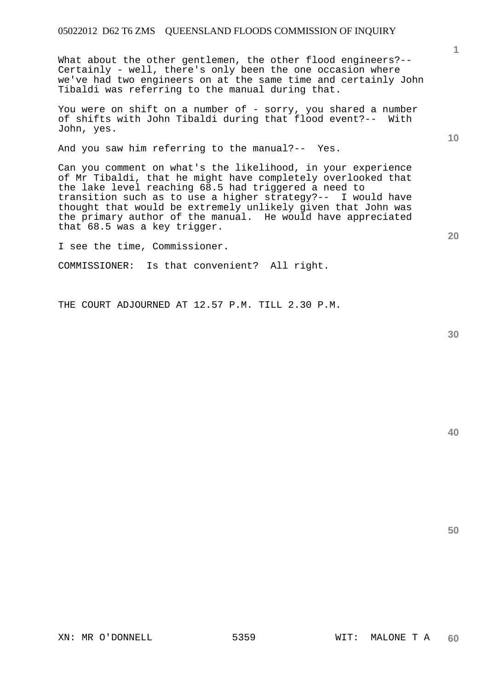What about the other gentlemen, the other flood engineers?-- Certainly - well, there's only been the one occasion where we've had two engineers on at the same time and certainly John Tibaldi was referring to the manual during that.

You were on shift on a number of - sorry, you shared a number of shifts with John Tibaldi during that flood event?-- With John, yes.

And you saw him referring to the manual?-- Yes.

Can you comment on what's the likelihood, in your experience of Mr Tibaldi, that he might have completely overlooked that the lake level reaching 68.5 had triggered a need to transition such as to use a higher strategy?-- I would have thought that would be extremely unlikely given that John was the primary author of the manual. He would have appreciated that 68.5 was a key trigger.

I see the time, Commissioner.

COMMISSIONER: Is that convenient? All right.

THE COURT ADJOURNED AT 12.57 P.M. TILL 2.30 P.M.

**40** 

**50** 

**1**

**10**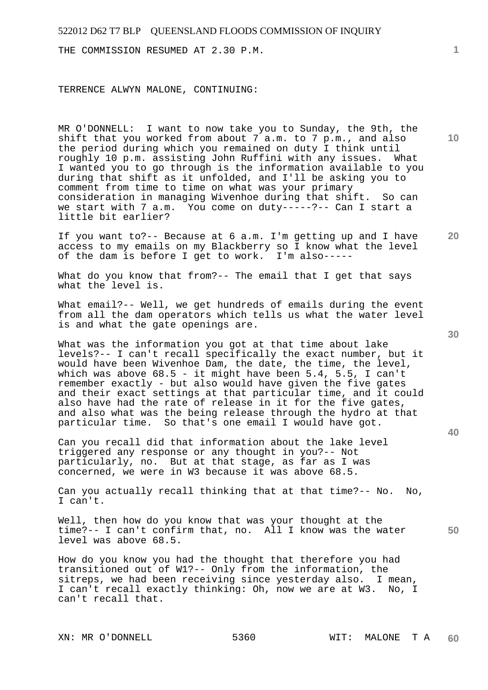THE COMMISSION RESUMED AT 2.30 P.M.

TERRENCE ALWYN MALONE, CONTINUING:

MR O'DONNELL: I want to now take you to Sunday, the 9th, the shift that you worked from about 7 a.m. to 7 p.m., and also the period during which you remained on duty I think until roughly 10 p.m. assisting John Ruffini with any issues. What I wanted you to go through is the information available to you during that shift as it unfolded, and I'll be asking you to comment from time to time on what was your primary consideration in managing Wivenhoe during that shift. So can we start with 7 a.m. You come on duty-----?-- Can I start a little bit earlier?

**20**  If you want to?-- Because at 6 a.m. I'm getting up and I have access to my emails on my Blackberry so I know what the level<br>of the dam is before I get to work. I'm also----of the dam is before I get to work.

What do you know that from?-- The email that I get that says what the level is.

What email?-- Well, we get hundreds of emails during the event from all the dam operators which tells us what the water level is and what the gate openings are.

What was the information you got at that time about lake levels?-- I can't recall specifically the exact number, but it would have been Wivenhoe Dam, the date, the time, the level, which was above 68.5 - it might have been 5.4, 5.5, I can't remember exactly - but also would have given the five gates and their exact settings at that particular time, and it could also have had the rate of release in it for the five gates, and also what was the being release through the hydro at that particular time. So that's one email I would have got.

Can you recall did that information about the lake level triggered any response or any thought in you?-- Not particularly, no. But at that stage, as far as I was concerned, we were in W3 because it was above 68.5.

Can you actually recall thinking that at that time?-- No. No, I can't.

**50**  Well, then how do you know that was your thought at the time?-- I can't confirm that, no. All I know was the water level was above 68.5.

How do you know you had the thought that therefore you had transitioned out of W1?-- Only from the information, the sitreps, we had been receiving since yesterday also. I mean, I can't recall exactly thinking: Oh, now we are at W3. No, I can't recall that.

**10** 

**1**

**30**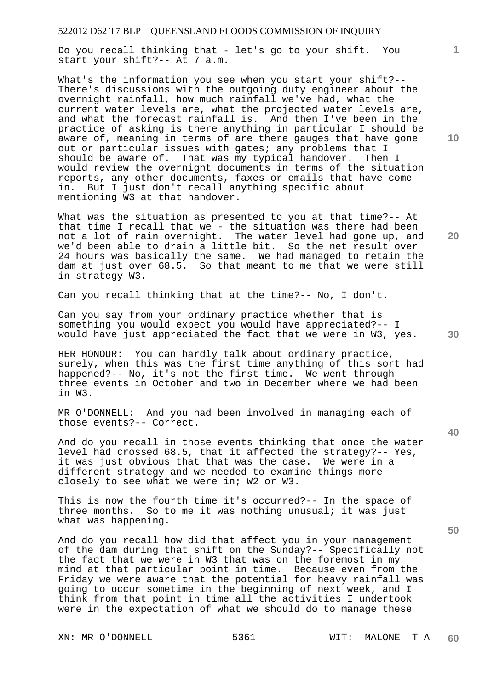Do you recall thinking that - let's go to your shift. You start your shift?-- At 7 a.m.

What's the information you see when you start your shift?-- There's discussions with the outgoing duty engineer about the overnight rainfall, how much rainfall we've had, what the current water levels are, what the projected water levels are, and what the forecast rainfall is. And then I've been in the practice of asking is there anything in particular I should be aware of, meaning in terms of are there gauges that have gone out or particular issues with gates; any problems that I should be aware of. That was my typical handover. Then That was my typical handover. Then I would review the overnight documents in terms of the situation reports, any other documents, faxes or emails that have come in. But I just don't recall anything specific about mentioning W3 at that handover.

What was the situation as presented to you at that time?-- At that time I recall that we - the situation was there had been not a lot of rain overnight. The water level had gone up, and we'd been able to drain a little bit. So the net result over 24 hours was basically the same. We had managed to retain the dam at just over 68.5. So that meant to me that we were still in strategy W3.

Can you recall thinking that at the time?-- No, I don't.

Can you say from your ordinary practice whether that is something you would expect you would have appreciated?-- I would have just appreciated the fact that we were in W3, yes.

HER HONOUR: You can hardly talk about ordinary practice, surely, when this was the first time anything of this sort had happened?-- No, it's not the first time. We went through three events in October and two in December where we had been in W3.

MR O'DONNELL: And you had been involved in managing each of those events?-- Correct.

And do you recall in those events thinking that once the water level had crossed 68.5, that it affected the strategy?-- Yes, it was just obvious that that was the case. We were in a different strategy and we needed to examine things more closely to see what we were in; W2 or W3.

This is now the fourth time it's occurred?-- In the space of three months. So to me it was nothing unusual; it was just what was happening.

And do you recall how did that affect you in your management of the dam during that shift on the Sunday?-- Specifically not the fact that we were in W3 that was on the foremost in my mind at that particular point in time. Because even from the Friday we were aware that the potential for heavy rainfall was going to occur sometime in the beginning of next week, and I think from that point in time all the activities I undertook were in the expectation of what we should do to manage these

**10** 

**1**

**30** 

**20**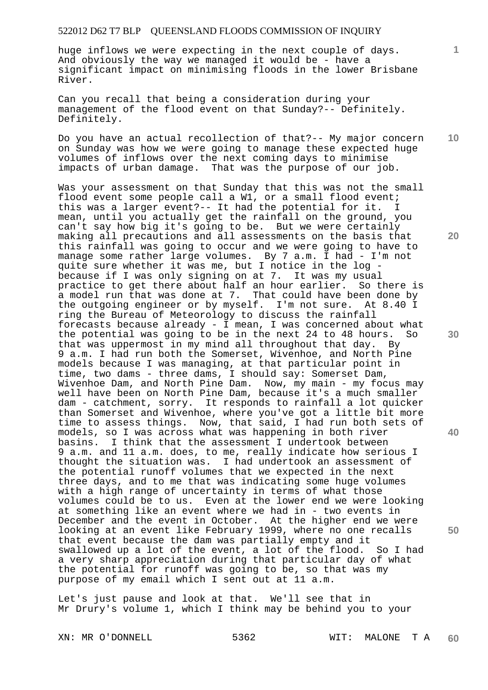huge inflows we were expecting in the next couple of days. And obviously the way we managed it would be - have a significant impact on minimising floods in the lower Brisbane River.

Can you recall that being a consideration during your management of the flood event on that Sunday?-- Definitely. Definitely.

**10**  Do you have an actual recollection of that?-- My major concern on Sunday was how we were going to manage these expected huge volumes of inflows over the next coming days to minimise impacts of urban damage. That was the purpose of our job.

Was your assessment on that Sunday that this was not the small flood event some people call a W1, or a small flood event; this was a larger event?-- It had the potential for it. I mean, until you actually get the rainfall on the ground, you can't say how big it's going to be. But we were certainly making all precautions and all assessments on the basis that this rainfall was going to occur and we were going to have to manage some rather large volumes. By 7 a.m. I had - I'm not quite sure whether it was me, but I notice in the log because if I was only signing on at 7. It was my usual practice to get there about half an hour earlier. So there is a model run that was done at 7. That could have been done by the outgoing engineer or by myself. I'm not sure. At 8.40 I ring the Bureau of Meteorology to discuss the rainfall forecasts because already - I mean, I was concerned about what the potential was going to be in the next 24 to 48 hours. So that was uppermost in my mind all throughout that day. By 9 a.m. I had run both the Somerset, Wivenhoe, and North Pine models because I was managing, at that particular point in time, two dams - three dams, I should say: Somerset Dam, Wivenhoe Dam, and North Pine Dam. Now, my main - my focus may well have been on North Pine Dam, because it's a much smaller dam - catchment, sorry. It responds to rainfall a lot quicker than Somerset and Wivenhoe, where you've got a little bit more time to assess things. Now, that said, I had run both sets of models, so I was across what was happening in both river basins. I think that the assessment I undertook between 9 a.m. and 11 a.m. does, to me, really indicate how serious I thought the situation was. I had undertook an assessment of the potential runoff volumes that we expected in the next three days, and to me that was indicating some huge volumes with a high range of uncertainty in terms of what those volumes could be to us. Even at the lower end we were looking at something like an event where we had in - two events in December and the event in October. At the higher end we were looking at an event like February 1999, where no one recalls that event because the dam was partially empty and it<br>swallowed up a lot of the event, a lot of the flood. So I had swallowed up a lot of the event, a lot of the flood. a very sharp appreciation during that particular day of what the potential for runoff was going to be, so that was my purpose of my email which I sent out at 11 a.m.

Let's just pause and look at that. We'll see that in Mr Drury's volume 1, which I think may be behind you to your

**1**

**20** 

**30** 

**40**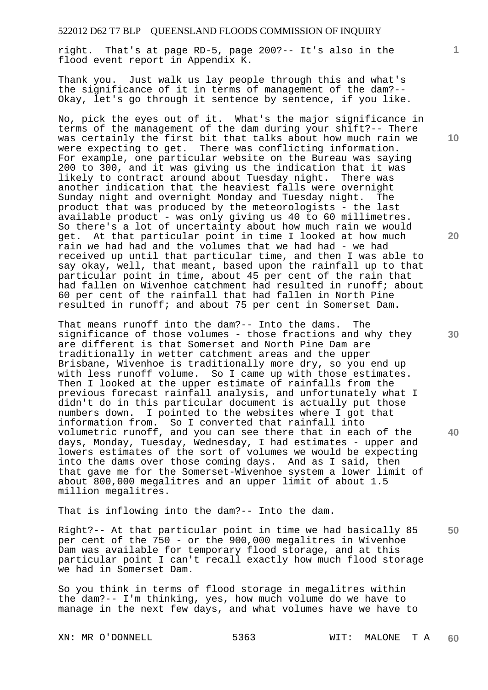right. That's at page RD-5, page 200?-- It's also in the flood event report in Appendix K.

Thank you. Just walk us lay people through this and what's the significance of it in terms of management of the dam?-- Okay, let's go through it sentence by sentence, if you like.

No, pick the eyes out of it. What's the major significance in terms of the management of the dam during your shift?-- There was certainly the first bit that talks about how much rain we were expecting to get. There was conflicting information. For example, one particular website on the Bureau was saying 200 to 300, and it was giving us the indication that it was likely to contract around about Tuesday night. There was another indication that the heaviest falls were overnight Sunday night and overnight Monday and Tuesday night. The product that was produced by the meteorologists - the last available product - was only giving us 40 to 60 millimetres. So there's a lot of uncertainty about how much rain we would get. At that particular point in time I looked at how much rain we had had and the volumes that we had had - we had received up until that particular time, and then I was able to say okay, well, that meant, based upon the rainfall up to that particular point in time, about 45 per cent of the rain that had fallen on Wivenhoe catchment had resulted in runoff; about 60 per cent of the rainfall that had fallen in North Pine resulted in runoff; and about 75 per cent in Somerset Dam.

That means runoff into the dam?-- Into the dams. The significance of those volumes - those fractions and why they are different is that Somerset and North Pine Dam are traditionally in wetter catchment areas and the upper Brisbane, Wivenhoe is traditionally more dry, so you end up with less runoff volume. So I came up with those estimates. Then I looked at the upper estimate of rainfalls from the previous forecast rainfall analysis, and unfortunately what I didn't do in this particular document is actually put those numbers down. I pointed to the websites where I got that information from. So I converted that rainfall into volumetric runoff, and you can see there that in each of the days, Monday, Tuesday, Wednesday, I had estimates - upper and lowers estimates of the sort of volumes we would be expecting into the dams over those coming days. And as I said, then that gave me for the Somerset-Wivenhoe system a lower limit of about 800,000 megalitres and an upper limit of about 1.5 million megalitres.

That is inflowing into the dam?-- Into the dam.

**50**  Right?-- At that particular point in time we had basically 85 per cent of the 750 - or the 900,000 megalitres in Wivenhoe Dam was available for temporary flood storage, and at this particular point I can't recall exactly how much flood storage we had in Somerset Dam.

So you think in terms of flood storage in megalitres within the dam?-- I'm thinking, yes, how much volume do we have to manage in the next few days, and what volumes have we have to

**10** 

**1**

**20**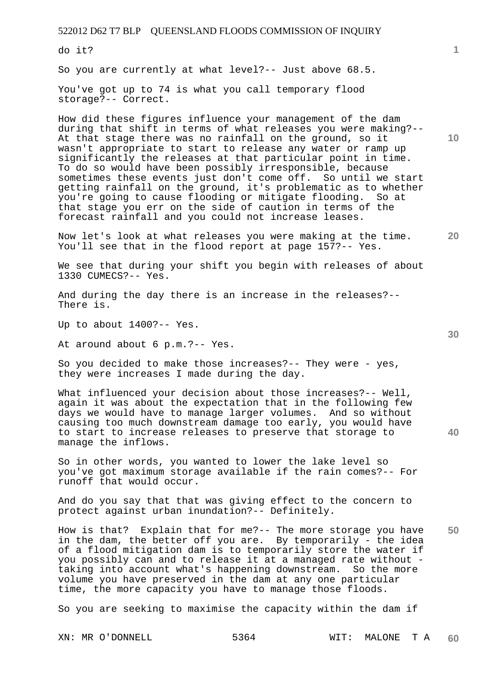do it?

So you are currently at what level?-- Just above 68.5.

You've got up to 74 is what you call temporary flood storage?-- Correct.

How did these figures influence your management of the dam during that shift in terms of what releases you were making?-- At that stage there was no rainfall on the ground, so it wasn't appropriate to start to release any water or ramp up significantly the releases at that particular point in time. To do so would have been possibly irresponsible, because sometimes these events just don't come off. So until we start getting rainfall on the ground, it's problematic as to whether you're going to cause flooding or mitigate flooding. So at that stage you err on the side of caution in terms of the forecast rainfall and you could not increase leases.

Now let's look at what releases you were making at the time. You'll see that in the flood report at page 157?-- Yes.

We see that during your shift you begin with releases of about 1330 CUMECS?-- Yes.

And during the day there is an increase in the releases?-- There is.

Up to about 1400?-- Yes.

At around about 6 p.m.?-- Yes.

So you decided to make those increases?-- They were - yes, they were increases I made during the day.

What influenced your decision about those increases?-- Well, again it was about the expectation that in the following few days we would have to manage larger volumes. And so without causing too much downstream damage too early, you would have to start to increase releases to preserve that storage to manage the inflows.

So in other words, you wanted to lower the lake level so you've got maximum storage available if the rain comes?-- For runoff that would occur.

And do you say that that was giving effect to the concern to protect against urban inundation?-- Definitely.

**50**  How is that? Explain that for me?-- The more storage you have in the dam, the better off you are. By temporarily - the idea of a flood mitigation dam is to temporarily store the water if you possibly can and to release it at a managed rate without taking into account what's happening downstream. So the more volume you have preserved in the dam at any one particular time, the more capacity you have to manage those floods.

So you are seeking to maximise the capacity within the dam if

XN: MR O'DONNELL 5364 WIT: MALONE T A **60** 

**30** 

**10** 

**20**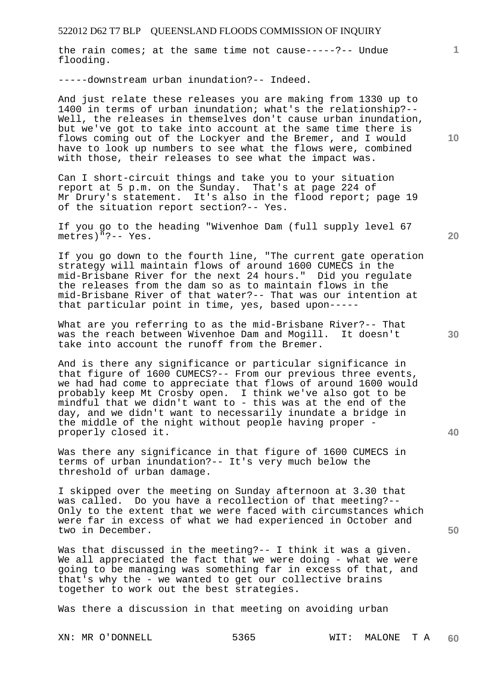the rain comes; at the same time not cause-----?-- Undue flooding.

-----downstream urban inundation?-- Indeed.

And just relate these releases you are making from 1330 up to 1400 in terms of urban inundation; what's the relationship?-- Well, the releases in themselves don't cause urban inundation, but we've got to take into account at the same time there is flows coming out of the Lockyer and the Bremer, and I would have to look up numbers to see what the flows were, combined with those, their releases to see what the impact was.

Can I short-circuit things and take you to your situation report at 5 p.m. on the Sunday. That's at page 224 of Mr Drury's statement. It's also in the flood report; page 19 of the situation report section?-- Yes.

If you go to the heading "Wivenhoe Dam (full supply level 67 metres)"?-- Yes.

If you go down to the fourth line, "The current gate operation strategy will maintain flows of around 1600 CUMECS in the mid-Brisbane River for the next 24 hours." Did you regulate the releases from the dam so as to maintain flows in the mid-Brisbane River of that water?-- That was our intention at that particular point in time, yes, based upon-----

What are you referring to as the mid-Brisbane River?-- That was the reach between Wivenhoe Dam and Mogill. It doesn't take into account the runoff from the Bremer.

And is there any significance or particular significance in that figure of 1600 CUMECS?-- From our previous three events, we had had come to appreciate that flows of around 1600 would probably keep Mt Crosby open. I think we've also got to be mindful that we didn't want to - this was at the end of the day, and we didn't want to necessarily inundate a bridge in the middle of the night without people having proper properly closed it.

Was there any significance in that figure of 1600 CUMECS in terms of urban inundation?-- It's very much below the threshold of urban damage.

I skipped over the meeting on Sunday afternoon at 3.30 that was called. Do you have a recollection of that meeting?-- Only to the extent that we were faced with circumstances which were far in excess of what we had experienced in October and two in December.

Was that discussed in the meeting?-- I think it was a given. We all appreciated the fact that we were doing - what we were going to be managing was something far in excess of that, and that's why the - we wanted to get our collective brains together to work out the best strategies.

Was there a discussion in that meeting on avoiding urban

**10** 

**1**

**20** 

**40**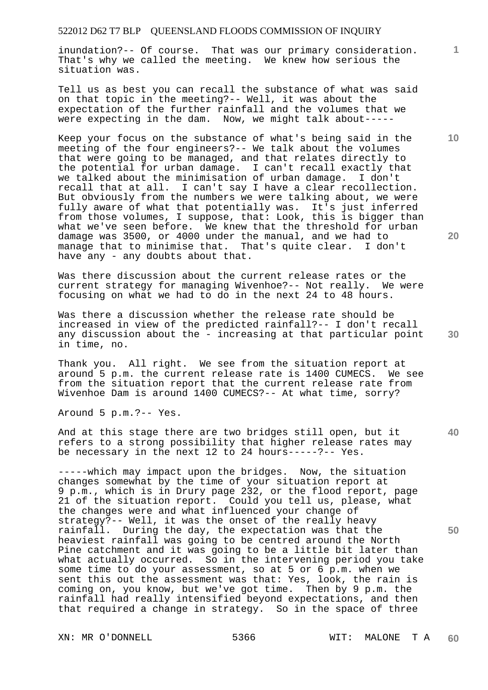inundation?-- Of course. That was our primary consideration. That's why we called the meeting. We knew how serious the situation was.

Tell us as best you can recall the substance of what was said on that topic in the meeting?-- Well, it was about the expectation of the further rainfall and the volumes that we were expecting in the dam. Now, we might talk about-----

Keep your focus on the substance of what's being said in the meeting of the four engineers?-- We talk about the volumes that were going to be managed, and that relates directly to the potential for urban damage. I can't recall exactly that we talked about the minimisation of urban damage. I don't recall that at all. I can't say I have a clear recollection. But obviously from the numbers we were talking about, we were fully aware of what that potentially was. It's just inferred from those volumes, I suppose, that: Look, this is bigger than what we've seen before. We knew that the threshold for urban damage was 3500, or 4000 under the manual, and we had to manage that to minimise that. That's quite clear. I don't manage that to minimise that. That's quite clear. have any - any doubts about that.

Was there discussion about the current release rates or the current strategy for managing Wivenhoe?-- Not really. We were focusing on what we had to do in the next 24 to 48 hours.

Was there a discussion whether the release rate should be increased in view of the predicted rainfall?-- I don't recall any discussion about the - increasing at that particular point in time, no.

Thank you. All right. We see from the situation report at around 5 p.m. the current release rate is 1400 CUMECS. We see from the situation report that the current release rate from Wivenhoe Dam is around 1400 CUMECS?-- At what time, sorry?

Around 5 p.m.?-- Yes.

And at this stage there are two bridges still open, but it refers to a strong possibility that higher release rates may be necessary in the next 12 to 24 hours-----?-- Yes.

-----which may impact upon the bridges. Now, the situation changes somewhat by the time of your situation report at 9 p.m., which is in Drury page 232, or the flood report, page 21 of the situation report. Could you tell us, please, what the changes were and what influenced your change of strategy?-- Well, it was the onset of the really heavy rainfall. During the day, the expectation was that the heaviest rainfall was going to be centred around the North Pine catchment and it was going to be a little bit later than what actually occurred. So in the intervening period you take some time to do your assessment, so at 5 or 6 p.m. when we sent this out the assessment was that: Yes, look, the rain is coming on, you know, but we've got time. Then by 9 p.m. the rainfall had really intensified beyond expectations, and then that required a change in strategy. So in the space of three

**10** 

**1**

**20** 

**40**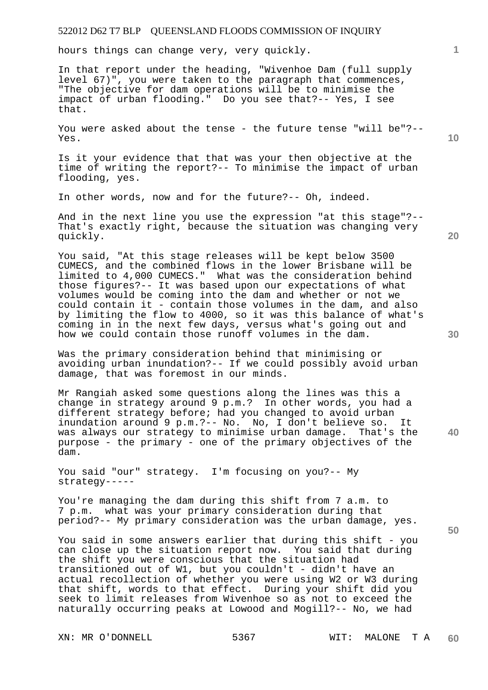hours things can change very, very quickly.

In that report under the heading, "Wivenhoe Dam (full supply level 67)", you were taken to the paragraph that commences, "The objective for dam operations will be to minimise the impact of urban flooding." Do you see that?-- Yes, I see that.

You were asked about the tense - the future tense "will be"?-- Yes.

Is it your evidence that that was your then objective at the time of writing the report?-- To minimise the impact of urban flooding, yes.

In other words, now and for the future?-- Oh, indeed.

And in the next line you use the expression "at this stage"?-- That's exactly right, because the situation was changing very quickly.

You said, "At this stage releases will be kept below 3500 CUMECS, and the combined flows in the lower Brisbane will be limited to 4,000 CUMECS." What was the consideration behind those figures?-- It was based upon our expectations of what volumes would be coming into the dam and whether or not we could contain it - contain those volumes in the dam, and also by limiting the flow to 4000, so it was this balance of what's coming in in the next few days, versus what's going out and how we could contain those runoff volumes in the dam.

Was the primary consideration behind that minimising or avoiding urban inundation?-- If we could possibly avoid urban damage, that was foremost in our minds.

Mr Rangiah asked some questions along the lines was this a change in strategy around 9 p.m.? In other words, you had a different strategy before; had you changed to avoid urban inundation around 9 p.m.?-- No. No, I don't believe so. It was always our strategy to minimise urban damage. That's the purpose - the primary - one of the primary objectives of the dam.

You said "our" strategy. I'm focusing on you?-- My strategy-----

You're managing the dam during this shift from 7 a.m. to 7 p.m. what was your primary consideration during that period?-- My primary consideration was the urban damage, yes.

You said in some answers earlier that during this shift - you can close up the situation report now. You said that during the shift you were conscious that the situation had transitioned out of W1, but you couldn't - didn't have an actual recollection of whether you were using W2 or W3 during that shift, words to that effect. During your shift did you seek to limit releases from Wivenhoe so as not to exceed the naturally occurring peaks at Lowood and Mogill?-- No, we had

**30** 

**20** 

**40** 

**50** 

**10**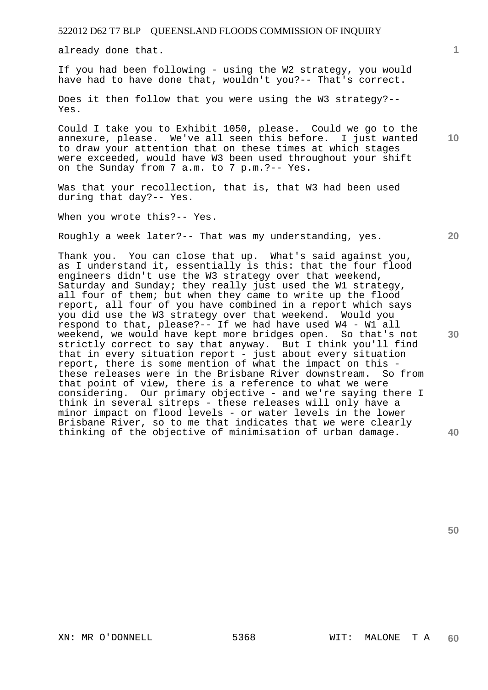already done that.

If you had been following - using the W2 strategy, you would have had to have done that, wouldn't you?-- That's correct.

Does it then follow that you were using the W3 strategy?-- Yes.

Could I take you to Exhibit 1050, please. Could we go to the annexure, please. We've all seen this before. I just wanted to draw your attention that on these times at which stages were exceeded, would have W3 been used throughout your shift on the Sunday from 7 a.m. to 7 p.m.?-- Yes.

Was that your recollection, that is, that W3 had been used during that day?-- Yes.

When you wrote this?-- Yes.

Roughly a week later?-- That was my understanding, yes.

Thank you. You can close that up. What's said against you, as I understand it, essentially is this: that the four flood engineers didn't use the W3 strategy over that weekend, Saturday and Sunday; they really just used the W1 strategy, all four of them; but when they came to write up the flood report, all four of you have combined in a report which says you did use the W3 strategy over that weekend. Would you respond to that, please?-- If we had have used W4 - W1 all weekend, we would have kept more bridges open. So that's not strictly correct to say that anyway. But I think you'll find that in every situation report - just about every situation report, there is some mention of what the impact on this these releases were in the Brisbane River downstream. So from that point of view, there is a reference to what we were considering. Our primary objective - and we're saying there I think in several sitreps - these releases will only have a minor impact on flood levels - or water levels in the lower Brisbane River, so to me that indicates that we were clearly thinking of the objective of minimisation of urban damage.

**20** 

**1**

**10** 

**30**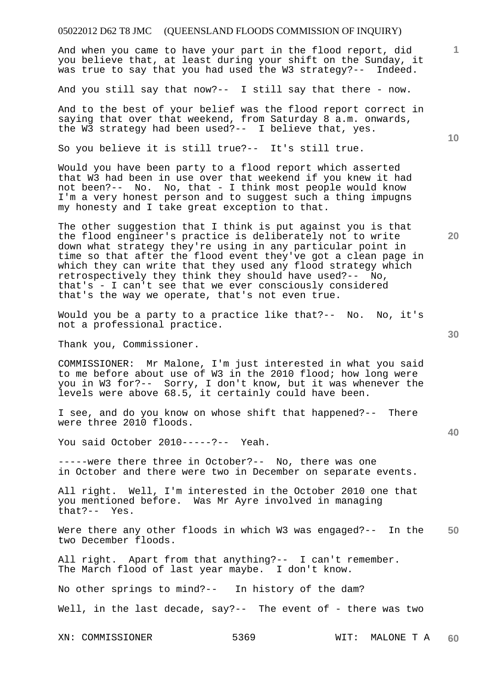And when you came to have your part in the flood report, did you believe that, at least during your shift on the Sunday, it was true to say that you had used the W3 strategy?-- Indeed.

And you still say that now?-- I still say that there - now.

And to the best of your belief was the flood report correct in saying that over that weekend, from Saturday 8 a.m. onwards, the W3 strategy had been used?-- I believe that, yes.

So you believe it is still true?-- It's still true.

Would you have been party to a flood report which asserted that W3 had been in use over that weekend if you knew it had not been?-- No. No, that - I think most people would know I'm a very honest person and to suggest such a thing impugns my honesty and I take great exception to that.

The other suggestion that I think is put against you is that the flood engineer's practice is deliberately not to write down what strategy they're using in any particular point in time so that after the flood event they've got a clean page in which they can write that they used any flood strategy which retrospectively they think they should have used?-- No, that's - I can't see that we ever consciously considered that's the way we operate, that's not even true.

Would you be a party to a practice like that?-- No. No, it's not a professional practice.

Thank you, Commissioner.

COMMISSIONER: Mr Malone, I'm just interested in what you said to me before about use of W3 in the 2010 flood; how long were you in W3 for?-- Sorry, I don't know, but it was whenever the levels were above 68.5, it certainly could have been.

I see, and do you know on whose shift that happened?-- There were three 2010 floods.

You said October 2010-----?-- Yeah.

-----were there three in October?-- No, there was one in October and there were two in December on separate events.

All right. Well, I'm interested in the October 2010 one that you mentioned before. Was Mr Ayre involved in managing that?-- Yes.

**50**  Were there any other floods in which W3 was engaged?-- In the two December floods.

All right. Apart from that anything?-- I can't remember. The March flood of last year maybe. I don't know.

No other springs to mind?-- In history of the dam?

Well, in the last decade, say?-- The event of - there was two

XN: COMMISSIONER 5369 WIT: MALONE T A **60** 

**30** 

**20** 

**40** 

**10**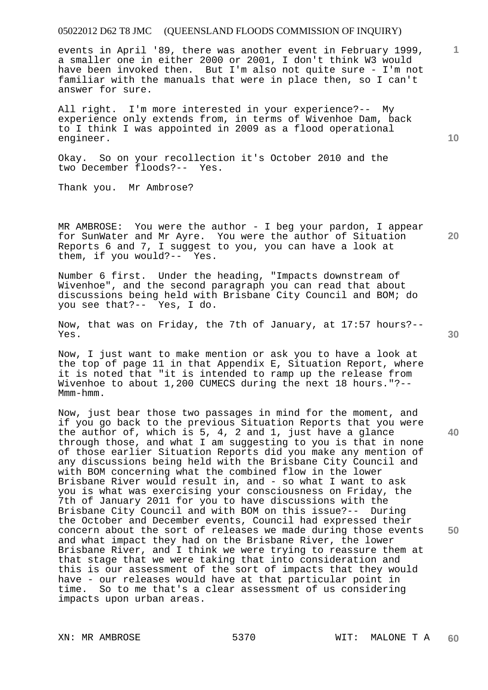events in April '89, there was another event in February 1999, a smaller one in either 2000 or 2001, I don't think W3 would have been invoked then. But I'm also not quite sure - I'm not familiar with the manuals that were in place then, so I can't answer for sure.

All right. I'm more interested in your experience?-- My experience only extends from, in terms of Wivenhoe Dam, back to I think I was appointed in 2009 as a flood operational engineer.

Okay. So on your recollection it's October 2010 and the two December floods?-- Yes.

Thank you. Mr Ambrose?

MR AMBROSE: You were the author - I beg your pardon, I appear for SunWater and Mr Ayre. You were the author of Situation Reports 6 and 7, I suggest to you, you can have a look at them, if you would?-- Yes. them, if you would? $--$ 

Number 6 first. Under the heading, "Impacts downstream of Wivenhoe", and the second paragraph you can read that about discussions being held with Brisbane City Council and BOM; do you see that?-- Yes, I do.

Now, that was on Friday, the 7th of January, at 17:57 hours?-- Yes.

Now, I just want to make mention or ask you to have a look at the top of page 11 in that Appendix E, Situation Report, where it is noted that "it is intended to ramp up the release from Wivenhoe to about 1,200 CUMECS during the next 18 hours."?-- Mmm-hmm.

Now, just bear those two passages in mind for the moment, and if you go back to the previous Situation Reports that you were the author of, which is 5, 4, 2 and 1, just have a glance through those, and what I am suggesting to you is that in none of those earlier Situation Reports did you make any mention of any discussions being held with the Brisbane City Council and with BOM concerning what the combined flow in the lower Brisbane River would result in, and - so what I want to ask you is what was exercising your consciousness on Friday, the 7th of January 2011 for you to have discussions with the Brisbane City Council and with BOM on this issue?-- During the October and December events, Council had expressed their concern about the sort of releases we made during those events and what impact they had on the Brisbane River, the lower Brisbane River, and I think we were trying to reassure them at that stage that we were taking that into consideration and this is our assessment of the sort of impacts that they would have - our releases would have at that particular point in time. So to me that's a clear assessment of us considering impacts upon urban areas.

**10** 

**1**

**30** 

**40** 

**50**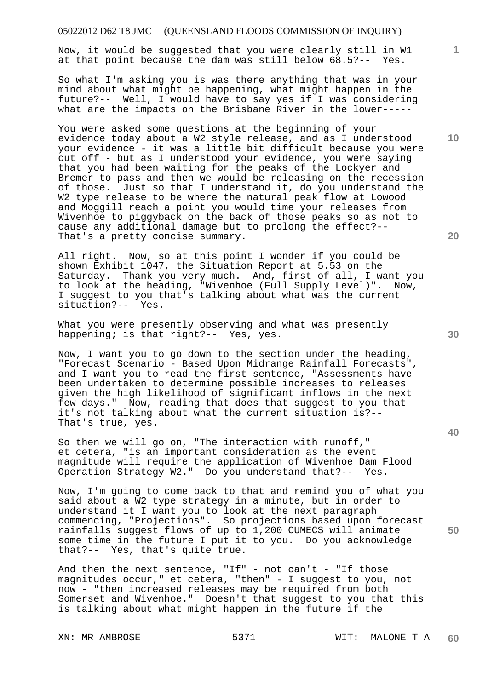Now, it would be suggested that you were clearly still in W1 at that point because the dam was still below 68.5?-- Yes.

So what I'm asking you is was there anything that was in your mind about what might be happening, what might happen in the future?-- Well, I would have to say yes if I was considering what are the impacts on the Brisbane River in the lower-----

You were asked some questions at the beginning of your evidence today about a W2 style release, and as I understood your evidence - it was a little bit difficult because you were cut off - but as I understood your evidence, you were saying that you had been waiting for the peaks of the Lockyer and Bremer to pass and then we would be releasing on the recession of those. Just so that I understand it, do you understand the W2 type release to be where the natural peak flow at Lowood and Moggill reach a point you would time your releases from Wivenhoe to piggyback on the back of those peaks so as not to cause any additional damage but to prolong the effect?-- That's a pretty concise summary.

All right. Now, so at this point I wonder if you could be shown Exhibit 1047, the Situation Report at 5.53 on the Saturday. Thank you very much. And, first of all, I want you to look at the heading, "Wivenhoe (Full Supply Level)". Now, I suggest to you that's talking about what was the current situation?-- Yes.

What you were presently observing and what was presently happening; is that right?-- Yes, yes.

Now, I want you to go down to the section under the heading, "Forecast Scenario - Based Upon Midrange Rainfall Forecasts", and I want you to read the first sentence, "Assessments have been undertaken to determine possible increases to releases given the high likelihood of significant inflows in the next few days." Now, reading that does that suggest to you that it's not talking about what the current situation is?-- That's true, yes.

So then we will go on, "The interaction with runoff," et cetera, "is an important consideration as the event magnitude will require the application of Wivenhoe Dam Flood Operation Strategy W2." Do you understand that?-- Yes.

Now, I'm going to come back to that and remind you of what you said about a W2 type strategy in a minute, but in order to understand it I want you to look at the next paragraph commencing, "Projections". So projections based upon forecast rainfalls suggest flows of up to 1,200 CUMECS will animate some time in the future I put it to you. Do you acknowledge that?-- Yes, that's quite true.

And then the next sentence, "If" - not can't - "If those magnitudes occur," et cetera, "then" - I suggest to you, not now - "then increased releases may be required from both Somerset and Wivenhoe." Doesn't that suggest to you that this is talking about what might happen in the future if the

**20** 

**50** 

**30** 

**10**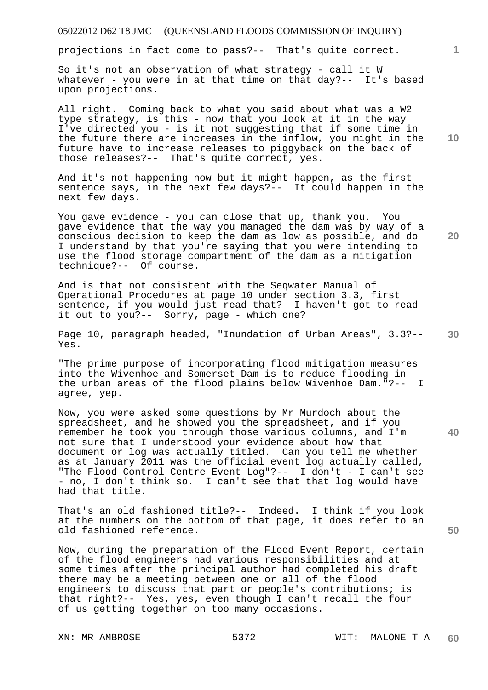projections in fact come to pass?-- That's quite correct.

So it's not an observation of what strategy - call it W whatever - you were in at that time on that day?-- It's based upon projections.

All right. Coming back to what you said about what was a W2 type strategy, is this - now that you look at it in the way I've directed you - is it not suggesting that if some time in the future there are increases in the inflow, you might in the future have to increase releases to piggyback on the back of those releases?-- That's quite correct, yes.

And it's not happening now but it might happen, as the first sentence says, in the next few days?-- It could happen in the next few days.

You gave evidence - you can close that up, thank you. You gave evidence that the way you managed the dam was by way of a conscious decision to keep the dam as low as possible, and do I understand by that you're saying that you were intending to use the flood storage compartment of the dam as a mitigation technique?-- Of course.

And is that not consistent with the Seqwater Manual of Operational Procedures at page 10 under section 3.3, first sentence, if you would just read that? I haven't got to read it out to you?-- Sorry, page - which one?

**30**  Page 10, paragraph headed, "Inundation of Urban Areas", 3.3?-- Yes.

"The prime purpose of incorporating flood mitigation measures into the Wivenhoe and Somerset Dam is to reduce flooding in the urban areas of the flood plains below Wivenhoe Dam."?-- I agree, yep.

Now, you were asked some questions by Mr Murdoch about the spreadsheet, and he showed you the spreadsheet, and if you remember he took you through those various columns, and I'm not sure that I understood your evidence about how that document or log was actually titled. Can you tell me whether as at January 2011 was the official event log actually called, "The Flood Control Centre Event Log"?-- I don't - I can't see - no, I don't think so. I can't see that that log would have had that title.

That's an old fashioned title?-- Indeed. I think if you look at the numbers on the bottom of that page, it does refer to an old fashioned reference.

Now, during the preparation of the Flood Event Report, certain of the flood engineers had various responsibilities and at some times after the principal author had completed his draft there may be a meeting between one or all of the flood engineers to discuss that part or people's contributions; is that right?-- Yes, yes, even though I can't recall the four of us getting together on too many occasions.

**10** 

**1**

**20**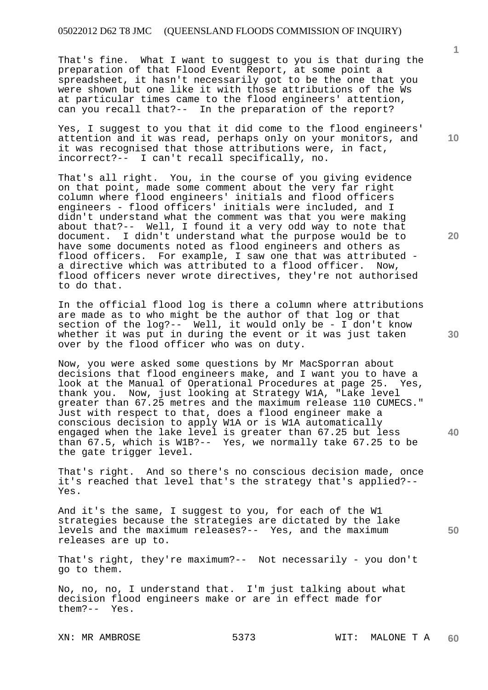That's fine. What I want to suggest to you is that during the preparation of that Flood Event Report, at some point a spreadsheet, it hasn't necessarily got to be the one that you were shown but one like it with those attributions of the Ws at particular times came to the flood engineers' attention, can you recall that?-- In the preparation of the report?

Yes, I suggest to you that it did come to the flood engineers' attention and it was read, perhaps only on your monitors, and it was recognised that those attributions were, in fact, incorrect?-- I can't recall specifically, no.

That's all right. You, in the course of you giving evidence on that point, made some comment about the very far right column where flood engineers' initials and flood officers engineers - flood officers' initials were included, and I didn't understand what the comment was that you were making about that?-- Well, I found it a very odd way to note that document. I didn't understand what the purpose would be to have some documents noted as flood engineers and others as flood officers. For example, I saw one that was attributed a directive which was attributed to a flood officer. Now, flood officers never wrote directives, they're not authorised to do that.

In the official flood log is there a column where attributions are made as to who might be the author of that log or that section of the log?-- Well, it would only be - I don't know whether it was put in during the event or it was just taken over by the flood officer who was on duty.

Now, you were asked some questions by Mr MacSporran about decisions that flood engineers make, and I want you to have a look at the Manual of Operational Procedures at page 25. Yes, thank you. Now, just looking at Strategy W1A, "Lake level greater than 67.25 metres and the maximum release 110 CUMECS." Just with respect to that, does a flood engineer make a conscious decision to apply W1A or is W1A automatically engaged when the lake level is greater than 67.25 but less than 67.5, which is W1B?-- Yes, we normally take 67.25 to be the gate trigger level.

That's right. And so there's no conscious decision made, once it's reached that level that's the strategy that's applied?-- Yes.

And it's the same, I suggest to you, for each of the W1 strategies because the strategies are dictated by the lake levels and the maximum releases?-- Yes, and the maximum releases are up to.

That's right, they're maximum?-- Not necessarily - you don't go to them.

No, no, no, I understand that. I'm just talking about what decision flood engineers make or are in effect made for them?-- Yes.

**10** 

**1**

**30**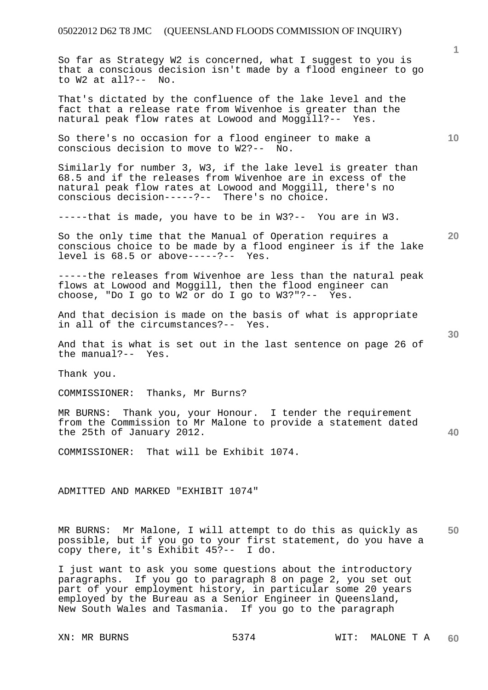So far as Strategy W2 is concerned, what I suggest to you is that a conscious decision isn't made by a flood engineer to go to W2 at all?-- No.

That's dictated by the confluence of the lake level and the fact that a release rate from Wivenhoe is greater than the natural peak flow rates at Lowood and Moggill?-- Yes.

So there's no occasion for a flood engineer to make a conscious decision to move to W2?-- No.

Similarly for number 3, W3, if the lake level is greater than 68.5 and if the releases from Wivenhoe are in excess of the natural peak flow rates at Lowood and Moggill, there's no conscious decision-----?-- There's no choice.

-----that is made, you have to be in W3?-- You are in W3.

So the only time that the Manual of Operation requires a conscious choice to be made by a flood engineer is if the lake<br>level is  $68.5$  or above-----?-- Yes. level is  $68.5$  or above-----?--

-----the releases from Wivenhoe are less than the natural peak flows at Lowood and Moggill, then the flood engineer can choose, "Do I go to W2 or do I go to W3?"?-- Yes.

And that decision is made on the basis of what is appropriate in all of the circumstances?-- Yes.

And that is what is set out in the last sentence on page 26 of the manual?-- Yes.

Thank you.

COMMISSIONER: Thanks, Mr Burns?

MR BURNS: Thank you, your Honour. I tender the requirement from the Commission to Mr Malone to provide a statement dated the 25th of January 2012.

COMMISSIONER: That will be Exhibit 1074.

ADMITTED AND MARKED "EXHIBIT 1074"

**50**  MR BURNS: Mr Malone, I will attempt to do this as quickly as possible, but if you go to your first statement, do you have a copy there, it's Exhibit 45?-- I do.

I just want to ask you some questions about the introductory paragraphs. If you go to paragraph 8 on page 2, you set out part of your employment history, in particular some 20 years employed by the Bureau as a Senior Engineer in Queensland, New South Wales and Tasmania. If you go to the paragraph

**10** 

**1**

**30** 

**40**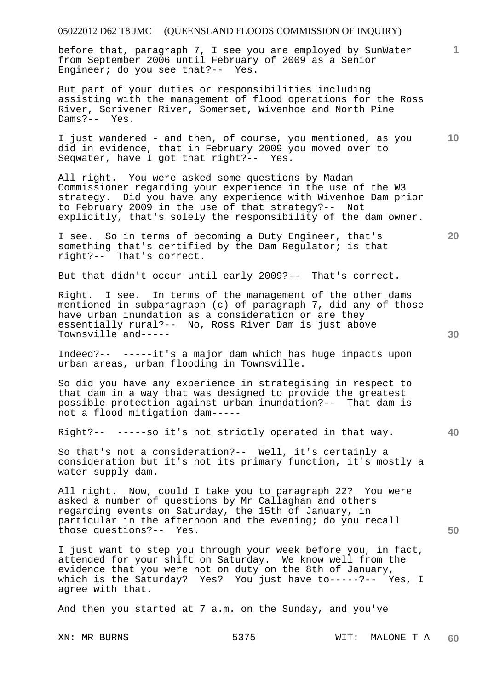before that, paragraph 7, I see you are employed by SunWater from September 2006 until February of 2009 as a Senior Engineer; do you see that?-- Yes.

But part of your duties or responsibilities including assisting with the management of flood operations for the Ross River, Scrivener River, Somerset, Wivenhoe and North Pine Dams?-- Yes.

**10**  I just wandered - and then, of course, you mentioned, as you did in evidence, that in February 2009 you moved over to Seqwater, have I got that right?-- Yes.

All right. You were asked some questions by Madam Commissioner regarding your experience in the use of the W3 strategy. Did you have any experience with Wivenhoe Dam prior to February 2009 in the use of that strategy?-- Not explicitly, that's solely the responsibility of the dam owner.

I see. So in terms of becoming a Duty Engineer, that's something that's certified by the Dam Regulator; is that right?-- That's correct.

But that didn't occur until early 2009?-- That's correct.

Right. I see. In terms of the management of the other dams mentioned in subparagraph (c) of paragraph 7, did any of those have urban inundation as a consideration or are they essentially rural?-- No, Ross River Dam is just above Townsville and-----

Indeed?-- -----it's a major dam which has huge impacts upon urban areas, urban flooding in Townsville.

So did you have any experience in strategising in respect to that dam in a way that was designed to provide the greatest possible protection against urban inundation?-- That dam is not a flood mitigation dam-----

Right?-- -----so it's not strictly operated in that way.

So that's not a consideration?-- Well, it's certainly a consideration but it's not its primary function, it's mostly a water supply dam.

All right. Now, could I take you to paragraph 22? You were asked a number of questions by Mr Callaghan and others regarding events on Saturday, the 15th of January, in particular in the afternoon and the evening; do you recall those questions?-- Yes.

I just want to step you through your week before you, in fact, attended for your shift on Saturday. We know well from the evidence that you were not on duty on the 8th of January, which is the Saturday? Yes? You just have to-----?-- Yes, I agree with that.

And then you started at 7 a.m. on the Sunday, and you've

**1**

**20** 

**40** 

**50**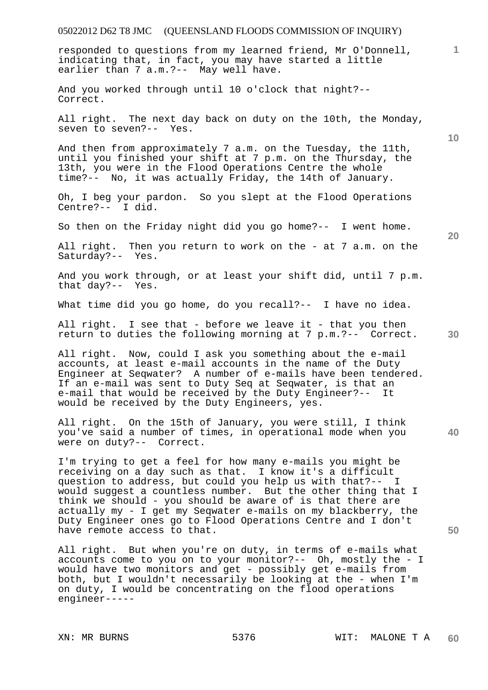# 05022012 D62 T8 JMC (QUEENSLAND FLOODS COMMISSION OF INQUIRY) **1 10 20 30 40 50**  responded to questions from my learned friend, Mr O'Donnell, indicating that, in fact, you may have started a little earlier than 7 a.m.?-- May well have. And you worked through until 10 o'clock that night?-- Correct. All right. The next day back on duty on the 10th, the Monday, seven to seven?-- Yes. And then from approximately 7 a.m. on the Tuesday, the 11th, until you finished your shift at 7 p.m. on the Thursday, the 13th, you were in the Flood Operations Centre the whole time?-- No, it was actually Friday, the 14th of January. Oh, I beg your pardon. So you slept at the Flood Operations Centre?-- I did. So then on the Friday night did you go home?-- I went home. All right. Then you return to work on the - at 7 a.m. on the Saturday?-- Yes. And you work through, or at least your shift did, until 7 p.m. that day?-- Yes. What time did you go home, do you recall?-- I have no idea. All right. I see that - before we leave it - that you then return to duties the following morning at 7 p.m.?-- Correct. All right. Now, could I ask you something about the e-mail accounts, at least e-mail accounts in the name of the Duty Engineer at Seqwater? A number of e-mails have been tendered. If an e-mail was sent to Duty Seq at Seqwater, is that an e-mail that would be received by the Duty Engineer?-- It would be received by the Duty Engineers, yes. All right. On the 15th of January, you were still, I think you've said a number of times, in operational mode when you were on duty?-- Correct. I'm trying to get a feel for how many e-mails you might be receiving on a day such as that. I know it's a difficult question to address, but could you help us with that?-- I would suggest a countless number. But the other thing that I think we should - you should be aware of is that there are actually my - I get my Seqwater e-mails on my blackberry, the Duty Engineer ones go to Flood Operations Centre and I don't have remote access to that. All right. But when you're on duty, in terms of e-mails what accounts come to you on to your monitor?-- Oh, mostly the - I would have two monitors and get - possibly get e-mails from both, but I wouldn't necessarily be looking at the - when I'm on duty, I would be concentrating on the flood operations engineer-----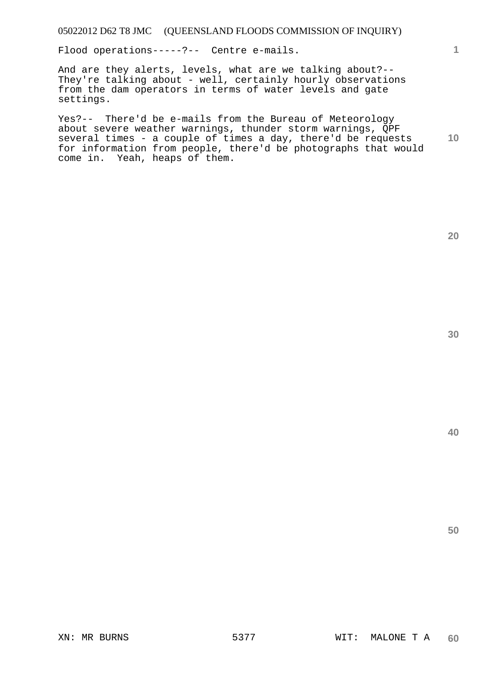Flood operations-----?-- Centre e-mails.

And are they alerts, levels, what are we talking about?-- They're talking about - well, certainly hourly observations from the dam operators in terms of water levels and gate settings.

**10**  Yes?-- There'd be e-mails from the Bureau of Meteorology about severe weather warnings, thunder storm warnings, QPF several times - a couple of times a day, there'd be requests for information from people, there'd be photographs that would come in. Yeah, heaps of them.

**30** 

**40** 

**50** 

**20**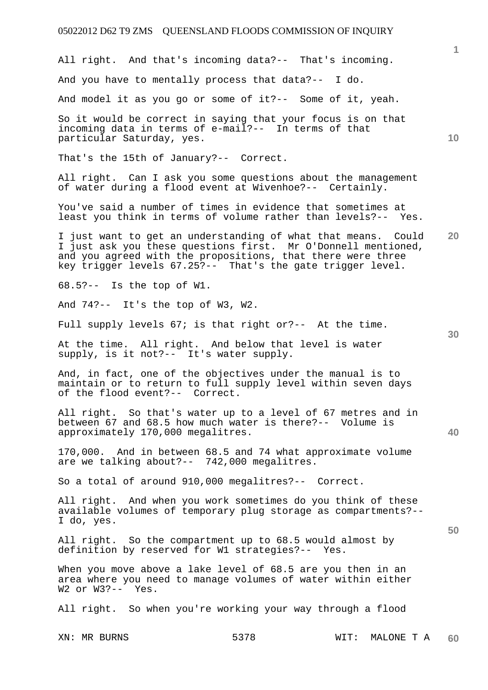**1 10 20 30 40 50**  All right. And that's incoming data?-- That's incoming. And you have to mentally process that data?-- I do. And model it as you go or some of it?-- Some of it, yeah. So it would be correct in saying that your focus is on that incoming data in terms of e-mail?-- In terms of that particular Saturday, yes. That's the 15th of January?-- Correct. All right. Can I ask you some questions about the management of water during a flood event at Wivenhoe?-- Certainly. You've said a number of times in evidence that sometimes at least you think in terms of volume rather than levels?-- Yes. I just want to get an understanding of what that means. Could I just ask you these questions first. Mr O'Donnell mentioned, and you agreed with the propositions, that there were three key trigger levels 67.25?-- That's the gate trigger level. 68.5?-- Is the top of W1. And 74?-- It's the top of W3, W2. Full supply levels 67; is that right or?-- At the time. At the time. All right. And below that level is water supply, is it not?-- It's water supply. And, in fact, one of the objectives under the manual is to maintain or to return to full supply level within seven days of the flood event?-- Correct. All right. So that's water up to a level of 67 metres and in between 67 and 68.5 how much water is there?-- Volume is approximately 170,000 megalitres. 170,000. And in between 68.5 and 74 what approximate volume are we talking about?-- 742,000 megalitres. So a total of around 910,000 megalitres?-- Correct. All right. And when you work sometimes do you think of these available volumes of temporary plug storage as compartments?-- I do, yes. All right. So the compartment up to 68.5 would almost by definition by reserved for W1 strategies?-- Yes. When you move above a lake level of 68.5 are you then in an area where you need to manage volumes of water within either W2 or W3?-- Yes. All right. So when you're working your way through a flood

XN: MR BURNS 6378 WIT: MALONE T A **60**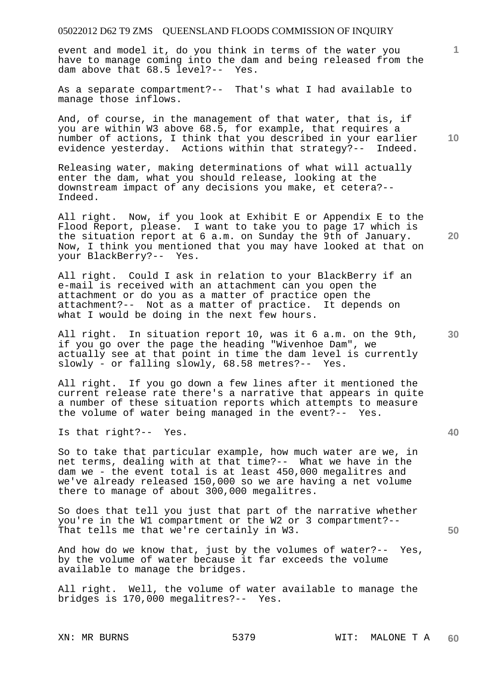event and model it, do you think in terms of the water you have to manage coming into the dam and being released from the dam above that 68.5 level?-- Yes.

As a separate compartment?-- That's what I had available to manage those inflows.

And, of course, in the management of that water, that is, if you are within W3 above 68.5, for example, that requires a number of actions, I think that you described in your earlier evidence yesterday. Actions within that strategy?-- Indeed.

Releasing water, making determinations of what will actually enter the dam, what you should release, looking at the downstream impact of any decisions you make, et cetera?-- Indeed.

All right. Now, if you look at Exhibit E or Appendix E to the Flood Report, please. I want to take you to page 17 which is the situation report at 6 a.m. on Sunday the 9th of January. Now, I think you mentioned that you may have looked at that on your BlackBerry?-- Yes.

All right. Could I ask in relation to your BlackBerry if an e-mail is received with an attachment can you open the attachment or do you as a matter of practice open the attachment?-- Not as a matter of practice. It depends on what I would be doing in the next few hours.

All right. In situation report 10, was it 6 a.m. on the 9th, if you go over the page the heading "Wivenhoe Dam", we actually see at that point in time the dam level is currently slowly - or falling slowly, 68.58 metres?-- Yes.

All right. If you go down a few lines after it mentioned the current release rate there's a narrative that appears in quite a number of these situation reports which attempts to measure the volume of water being managed in the event?-- Yes.

Is that right?-- Yes.

So to take that particular example, how much water are we, in net terms, dealing with at that time?-- What we have in the dam we - the event total is at least 450,000 megalitres and we've already released 150,000 so we are having a net volume there to manage of about 300,000 megalitres.

So does that tell you just that part of the narrative whether you're in the W1 compartment or the W2 or 3 compartment?-- That tells me that we're certainly in W3.

And how do we know that, just by the volumes of water?-- Yes, by the volume of water because it far exceeds the volume available to manage the bridges.

All right. Well, the volume of water available to manage the bridges is 170,000 megalitres?-- Yes.

**10** 

**1**

**30** 

**20** 

**40**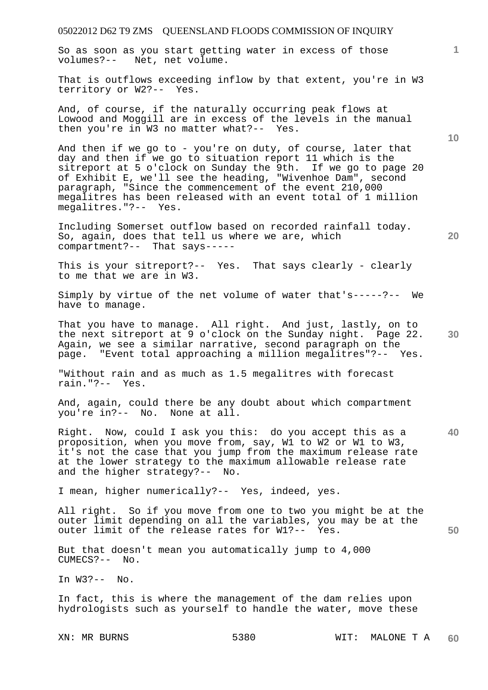So as soon as you start getting water in excess of those volumes?-- Net, net volume.

That is outflows exceeding inflow by that extent, you're in W3 territory or W2?-- Yes.

And, of course, if the naturally occurring peak flows at Lowood and Moggill are in excess of the levels in the manual then you're in W3 no matter what?-- Yes.

And then if we go to - you're on duty, of course, later that day and then if we go to situation report 11 which is the sitreport at 5 o'clock on Sunday the 9th. If we go to page 20 of Exhibit E, we'll see the heading, "Wivenhoe Dam", second paragraph, "Since the commencement of the event 210,000 megalitres has been released with an event total of 1 million megalitres."?-- Yes.

Including Somerset outflow based on recorded rainfall today. So, again, does that tell us where we are, which compartment?-- That says-----

This is your sitreport?-- Yes. That says clearly - clearly to me that we are in W3.

Simply by virtue of the net volume of water that's-----?-- We have to manage.

That you have to manage. All right. And just, lastly, on to the next sitreport at 9 o'clock on the Sunday night. Page 22. Again, we see a similar narrative, second paragraph on the page. "Event total approaching a million megalitres"?-- Yes.

"Without rain and as much as 1.5 megalitres with forecast rain."?-- Yes.

And, again, could there be any doubt about which compartment you're in?-- No. None at all.

**40**  Right. Now, could I ask you this: do you accept this as a proposition, when you move from, say, W1 to W2 or W1 to W3, it's not the case that you jump from the maximum release rate at the lower strategy to the maximum allowable release rate and the higher strategy?-- No.

I mean, higher numerically?-- Yes, indeed, yes.

**50**  All right. So if you move from one to two you might be at the outer limit depending on all the variables, you may be at the outer limit of the release rates for W1?-- Yes.

But that doesn't mean you automatically jump to 4,000 CUMECS?-- No.

In W3?-- No.

In fact, this is where the management of the dam relies upon hydrologists such as yourself to handle the water, move these

**10** 

**1**

**20**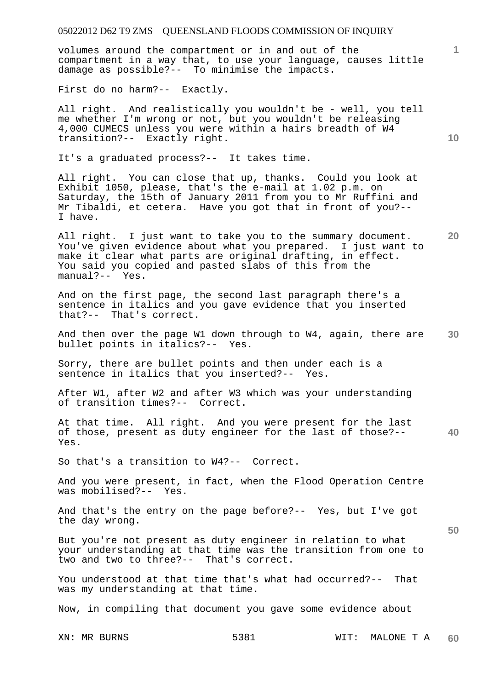volumes around the compartment or in and out of the compartment in a way that, to use your language, causes little damage as possible?-- To minimise the impacts.

First do no harm?-- Exactly.

All right. And realistically you wouldn't be - well, you tell me whether I'm wrong or not, but you wouldn't be releasing 4,000 CUMECS unless you were within a hairs breadth of W4 transition?-- Exactly right.

It's a graduated process?-- It takes time.

All right. You can close that up, thanks. Could you look at Exhibit 1050, please, that's the e-mail at 1.02 p.m. on Saturday, the 15th of January 2011 from you to Mr Ruffini and Mr Tibaldi, et cetera. Have you got that in front of you?-- I have.

All right. I just want to take you to the summary document. You've given evidence about what you prepared. I just want to make it clear what parts are original drafting, in effect. You said you copied and pasted slabs of this from the manual?-- Yes.

And on the first page, the second last paragraph there's a sentence in italics and you gave evidence that you inserted that?-- That's correct.

**30**  And then over the page W1 down through to W4, again, there are bullet points in italics?-- Yes.

Sorry, there are bullet points and then under each is a sentence in italics that you inserted?-- Yes.

After W1, after W2 and after W3 which was your understanding of transition times?-- Correct.

**40**  At that time. All right. And you were present for the last of those, present as duty engineer for the last of those?-- Yes.

So that's a transition to W4?-- Correct.

And you were present, in fact, when the Flood Operation Centre was mobilised?-- Yes.

And that's the entry on the page before?-- Yes, but I've got the day wrong.

But you're not present as duty engineer in relation to what your understanding at that time was the transition from one to two and two to three?-- That's correct.

You understood at that time that's what had occurred?-- That was my understanding at that time.

Now, in compiling that document you gave some evidence about

XN: MR BURNS 5381 WIT: MALONE T A **60** 

**10** 

**1**

**20**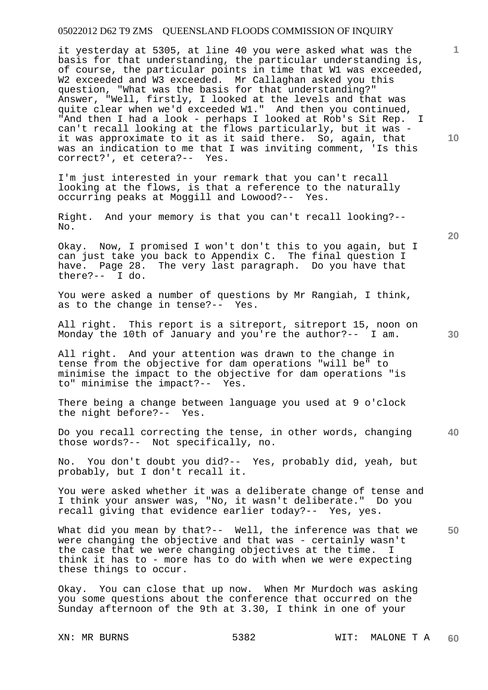it yesterday at 5305, at line 40 you were asked what was the basis for that understanding, the particular understanding is, of course, the particular points in time that W1 was exceeded, W2 exceeded and W3 exceeded. Mr Callaghan asked you this question, "What was the basis for that understanding?" Answer, "Well, firstly, I looked at the levels and that was quite clear when we'd exceeded W1." And then you continued, "And then I had a look - perhaps I looked at Rob's Sit Rep. I can't recall looking at the flows particularly, but it was it was approximate to it as it said there. So, again, that was an indication to me that I was inviting comment, 'Is this correct?', et cetera?-- Yes.

I'm just interested in your remark that you can't recall looking at the flows, is that a reference to the naturally occurring peaks at Moggill and Lowood?-- Yes.

Right. And your memory is that you can't recall looking?-- No.

Okay. Now, I promised I won't don't this to you again, but I can just take you back to Appendix C. The final question I have. Page 28. The very last paragraph. Do you have that there?-- I do.  $there? --$ 

You were asked a number of questions by Mr Rangiah, I think, as to the change in tense?-- Yes.

All right. This report is a sitreport, sitreport 15, noon on Monday the 10th of January and you're the author?-- I am.

All right. And your attention was drawn to the change in tense from the objective for dam operations "will be" to minimise the impact to the objective for dam operations "is to" minimise the impact?-- Yes.

There being a change between language you used at 9 o'clock the night before?-- Yes.

**40**  Do you recall correcting the tense, in other words, changing those words?-- Not specifically, no.

No. You don't doubt you did?-- Yes, probably did, yeah, but probably, but I don't recall it.

You were asked whether it was a deliberate change of tense and I think your answer was, "No, it wasn't deliberate." Do you recall giving that evidence earlier today?-- Yes, yes.

**50**  What did you mean by that?-- Well, the inference was that we were changing the objective and that was - certainly wasn't the case that we were changing objectives at the time. I think it has to - more has to do with when we were expecting these things to occur.

Okay. You can close that up now. When Mr Murdoch was asking you some questions about the conference that occurred on the Sunday afternoon of the 9th at 3.30, I think in one of your

**10** 

**20**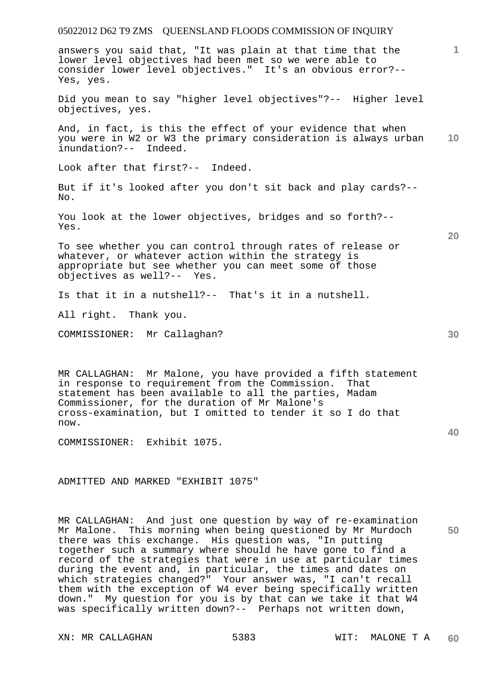answers you said that, "It was plain at that time that the lower level objectives had been met so we were able to consider lower level objectives." It's an obvious error?-- Yes, yes. Did you mean to say "higher level objectives"?-- Higher level objectives, yes.

**10**  And, in fact, is this the effect of your evidence that when you were in W2 or W3 the primary consideration is always urban inundation?-- Indeed.

Look after that first?-- Indeed.

But if it's looked after you don't sit back and play cards?-- No.

You look at the lower objectives, bridges and so forth?-- Yes.

To see whether you can control through rates of release or whatever, or whatever action within the strategy is appropriate but see whether you can meet some of those objectives as well?-- Yes.

Is that it in a nutshell?-- That's it in a nutshell.

All right. Thank you.

COMMISSIONER: Mr Callaghan?

MR CALLAGHAN: Mr Malone, you have provided a fifth statement in response to requirement from the Commission. That statement has been available to all the parties, Madam Commissioner, for the duration of Mr Malone's cross-examination, but I omitted to tender it so I do that now.

COMMISSIONER: Exhibit 1075.

ADMITTED AND MARKED "EXHIBIT 1075"

MR CALLAGHAN: And just one question by way of re-examination Mr Malone. This morning when being questioned by Mr Murdoch there was this exchange. His question was, "In putting together such a summary where should he have gone to find a record of the strategies that were in use at particular times during the event and, in particular, the times and dates on which strategies changed?" Your answer was, "I can't recall them with the exception of W4 ever being specifically written down." My question for you is by that can we take it that W4 was specifically written down?-- Perhaps not written down,

**20** 

**1**

**40**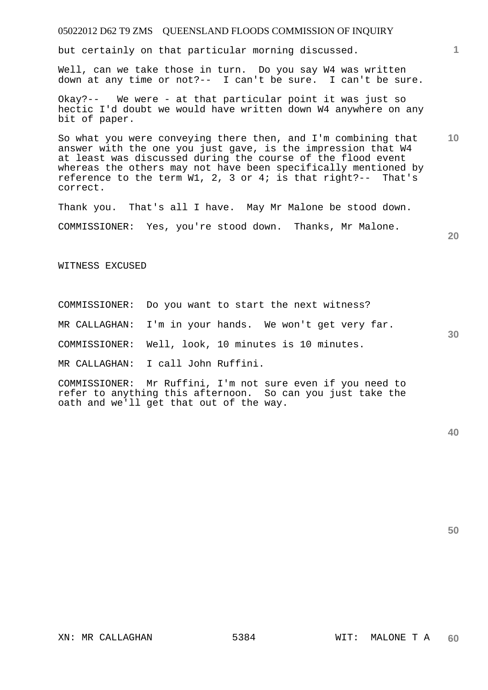## 05022012 D62 T9 ZMS QUEENSLAND FLOODS COMMISSION OF INQUIRY

but certainly on that particular morning discussed.

Well, can we take those in turn. Do you say W4 was written down at any time or not?-- I can't be sure. I can't be sure.

Okay?-- We were - at that particular point it was just so hectic I'd doubt we would have written down W4 anywhere on any bit of paper.

**10**  So what you were conveying there then, and I'm combining that answer with the one you just gave, is the impression that W4 at least was discussed during the course of the flood event whereas the others may not have been specifically mentioned by reference to the term W1, 2, 3 or 4; is that right?-- That's correct.

Thank you. That's all I have. May Mr Malone be stood down.

COMMISSIONER: Yes, you're stood down. Thanks, Mr Malone.

**20** 

**1**

WITNESS EXCUSED

COMMISSIONER: Do you want to start the next witness?

MR CALLAGHAN: I'm in your hands. We won't get very far.

COMMISSIONER: Well, look, 10 minutes is 10 minutes.

MR CALLAGHAN: I call John Ruffini.

COMMISSIONER: Mr Ruffini, I'm not sure even if you need to refer to anything this afternoon. So can you just take the oath and we'll get that out of the way.

**50** 

**30** 

XN: MR CALLAGHAN 5384 WIT: MALONE T A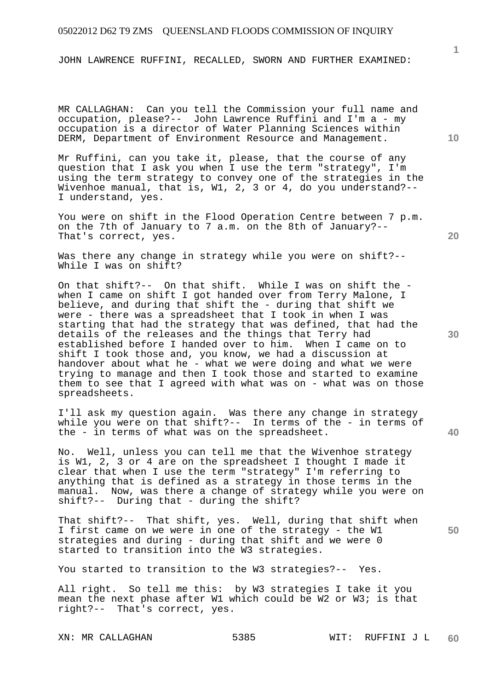JOHN LAWRENCE RUFFINI, RECALLED, SWORN AND FURTHER EXAMINED:

MR CALLAGHAN: Can you tell the Commission your full name and occupation, please?-- John Lawrence Ruffini and I'm a - my occupation is a director of Water Planning Sciences within DERM, Department of Environment Resource and Management.

Mr Ruffini, can you take it, please, that the course of any question that I ask you when I use the term "strategy", I'm using the term strategy to convey one of the strategies in the Wivenhoe manual, that is, W1, 2, 3 or 4, do you understand?--I understand, yes.

You were on shift in the Flood Operation Centre between 7 p.m. on the 7th of January to 7 a.m. on the 8th of January?-- That's correct, yes.

Was there any change in strategy while you were on shift?-- While I was on shift?

On that shift?-- On that shift. While I was on shift the when I came on shift I got handed over from Terry Malone, I believe, and during that shift the - during that shift we were - there was a spreadsheet that I took in when I was starting that had the strategy that was defined, that had the details of the releases and the things that Terry had established before I handed over to him. When I came on to shift I took those and, you know, we had a discussion at handover about what he - what we were doing and what we were trying to manage and then I took those and started to examine them to see that I agreed with what was on - what was on those spreadsheets.

I'll ask my question again. Was there any change in strategy while you were on that shift?-- In terms of the - in terms of the - in terms of what was on the spreadsheet.

No. Well, unless you can tell me that the Wivenhoe strategy is W1, 2, 3 or 4 are on the spreadsheet I thought I made it clear that when I use the term "strategy" I'm referring to anything that is defined as a strategy in those terms in the manual. Now, was there a change of strategy while you were on shift?-- During that - during the shift?

That shift?-- That shift, yes. Well, during that shift when I first came on we were in one of the strategy - the W1 strategies and during - during that shift and we were 0 started to transition into the W3 strategies.

You started to transition to the W3 strategies?-- Yes.

All right. So tell me this: by W3 strategies I take it you mean the next phase after W1 which could be W2 or W3; is that right?-- That's correct, yes.

**1**

**20** 

**30** 

**40**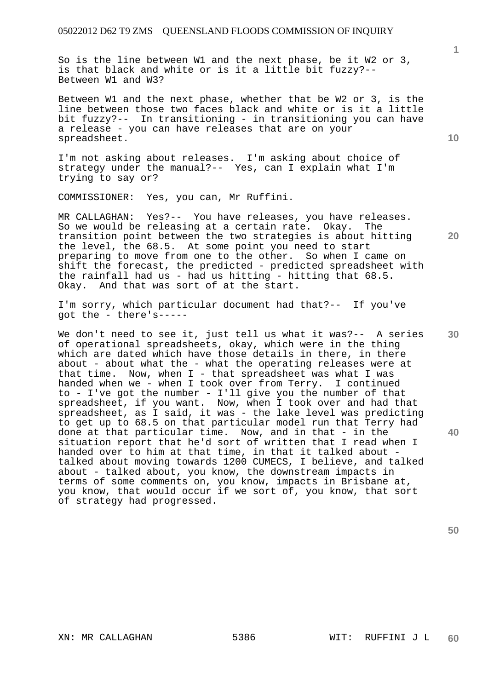So is the line between W1 and the next phase, be it W2 or 3, is that black and white or is it a little bit fuzzy?-- Between W1 and W3?

Between W1 and the next phase, whether that be W2 or 3, is the line between those two faces black and white or is it a little bit fuzzy?-- In transitioning - in transitioning you can have a release - you can have releases that are on your spreadsheet.

I'm not asking about releases. I'm asking about choice of strategy under the manual?-- Yes, can I explain what I'm trying to say or?

COMMISSIONER: Yes, you can, Mr Ruffini.

MR CALLAGHAN: Yes?-- You have releases, you have releases. So we would be releasing at a certain rate. Okay. The transition point between the two strategies is about hitting the level, the 68.5. At some point you need to start preparing to move from one to the other. So when I came on shift the forecast, the predicted - predicted spreadsheet with the rainfall had us - had us hitting - hitting that 68.5. Okay. And that was sort of at the start.

I'm sorry, which particular document had that?-- If you've got the - there's-----

We don't need to see it, just tell us what it was?-- A series of operational spreadsheets, okay, which were in the thing which are dated which have those details in there, in there about - about what the - what the operating releases were at that time. Now, when  $I$  - that spreadsheet was what I was handed when we - when I took over from Terry. I continued to - I've got the number - I'll give you the number of that spreadsheet, if you want. Now, when I took over and had that spreadsheet, as I said, it was - the lake level was predicting to get up to 68.5 on that particular model run that Terry had done at that particular time. Now, and in that - in the situation report that he'd sort of written that I read when I handed over to him at that time, in that it talked about talked about moving towards 1200 CUMECS, I believe, and talked about - talked about, you know, the downstream impacts in terms of some comments on, you know, impacts in Brisbane at, you know, that would occur if we sort of, you know, that sort of strategy had progressed.

**30** 

**40** 

**50** 

**1**

**20**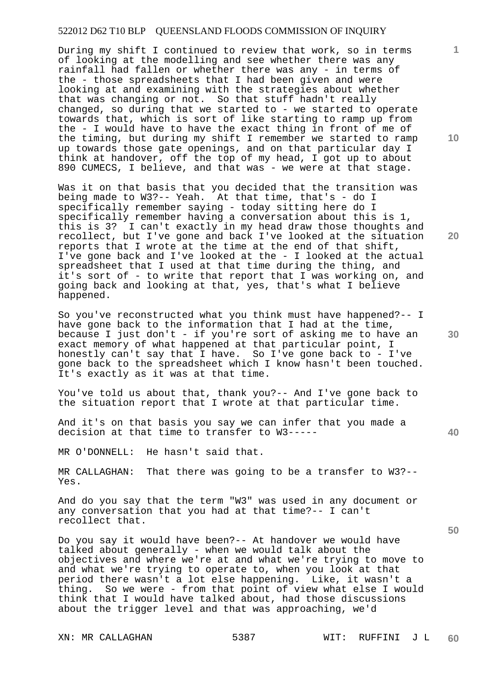## 522012 D62 T10 BLP QUEENSLAND FLOODS COMMISSION OF INQUIRY

During my shift I continued to review that work, so in terms of looking at the modelling and see whether there was any rainfall had fallen or whether there was any - in terms of the - those spreadsheets that I had been given and were looking at and examining with the strategies about whether that was changing or not. So that stuff hadn't really changed, so during that we started to - we started to operate towards that, which is sort of like starting to ramp up from the - I would have to have the exact thing in front of me of the timing, but during my shift I remember we started to ramp up towards those gate openings, and on that particular day I think at handover, off the top of my head, I got up to about 890 CUMECS, I believe, and that was - we were at that stage.

Was it on that basis that you decided that the transition was being made to W3?-- Yeah. At that time, that's - do I specifically remember saying - today sitting here do I specifically remember having a conversation about this is 1, this is 3? I can't exactly in my head draw those thoughts and recollect, but I've gone and back I've looked at the situation reports that I wrote at the time at the end of that shift, I've gone back and I've looked at the - I looked at the actual spreadsheet that I used at that time during the thing, and it's sort of - to write that report that I was working on, and going back and looking at that, yes, that's what I believe happened.

So you've reconstructed what you think must have happened?-- I have gone back to the information that I had at the time, because I just don't - if you're sort of asking me to have an exact memory of what happened at that particular point, I honestly can't say that I have. So I've gone back to - I've gone back to the spreadsheet which I know hasn't been touched. It's exactly as it was at that time.

You've told us about that, thank you?-- And I've gone back to the situation report that I wrote at that particular time.

And it's on that basis you say we can infer that you made a decision at that time to transfer to W3-----

MR O'DONNELL: He hasn't said that.

MR CALLAGHAN: That there was going to be a transfer to W3?-- Yes.

And do you say that the term "W3" was used in any document or any conversation that you had at that time?-- I can't recollect that.

Do you say it would have been?-- At handover we would have talked about generally - when we would talk about the objectives and where we're at and what we're trying to move to and what we're trying to operate to, when you look at that period there wasn't a lot else happening. Like, it wasn't a thing. So we were - from that point of view what else I would think that I would have talked about, had those discussions about the trigger level and that was approaching, we'd

**10** 

**1**

**20** 

**30**